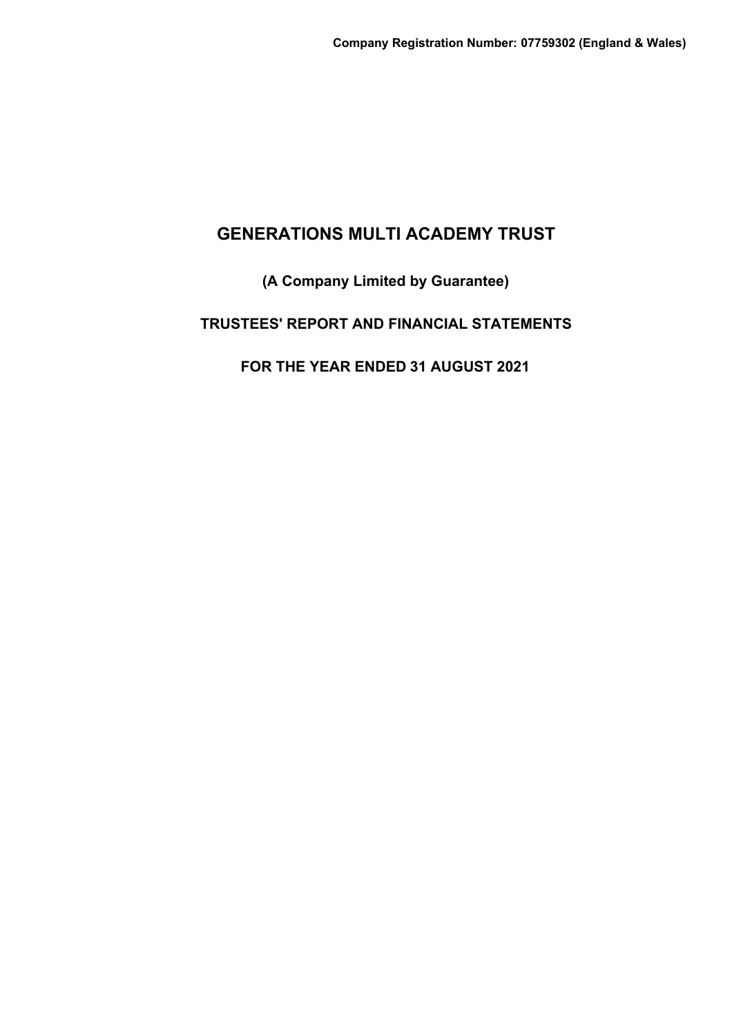# **(A Company Limited by Guarantee)**

# **TRUSTEES' REPORT AND FINANCIAL STATEMENTS**

# **FOR THE YEAR ENDED 31 AUGUST 2021**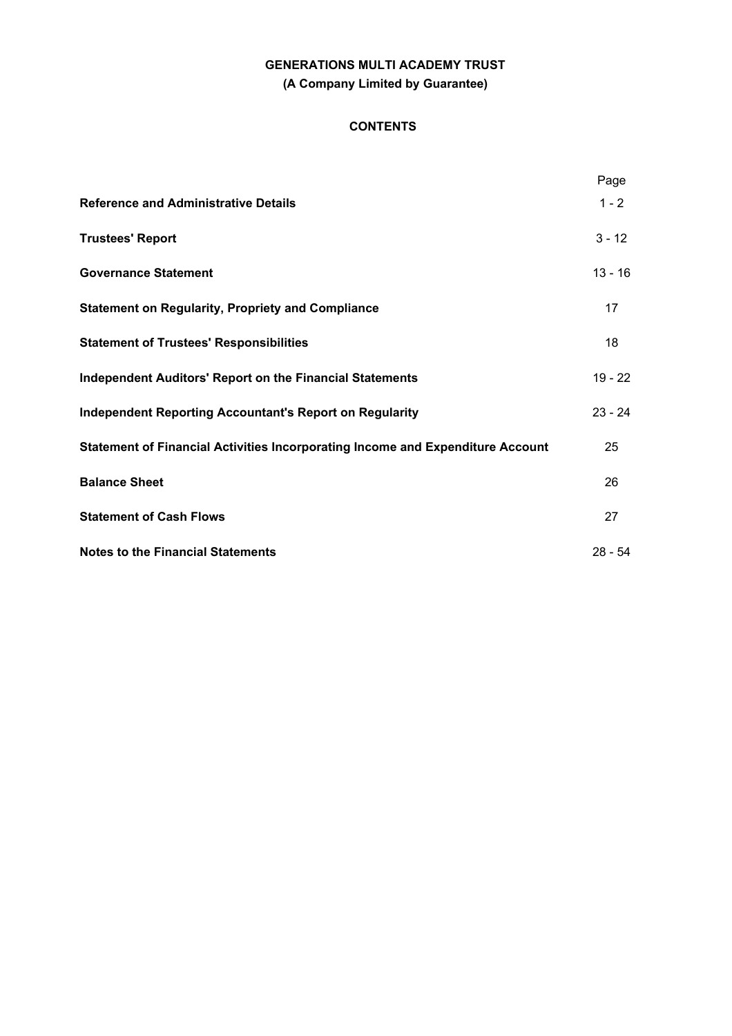# **GENERATIONS MULTI ACADEMY TRUST (A Company Limited by Guarantee)**

## **CONTENTS**

|                                                                                | Page      |
|--------------------------------------------------------------------------------|-----------|
| <b>Reference and Administrative Details</b>                                    | $1 - 2$   |
| <b>Trustees' Report</b>                                                        | $3 - 12$  |
| <b>Governance Statement</b>                                                    | $13 - 16$ |
| <b>Statement on Regularity, Propriety and Compliance</b>                       | 17        |
| <b>Statement of Trustees' Responsibilities</b>                                 | 18        |
| <b>Independent Auditors' Report on the Financial Statements</b>                | $19 - 22$ |
| <b>Independent Reporting Accountant's Report on Regularity</b>                 | $23 - 24$ |
| Statement of Financial Activities Incorporating Income and Expenditure Account | 25        |
| <b>Balance Sheet</b>                                                           | 26        |
| <b>Statement of Cash Flows</b>                                                 | 27        |
| <b>Notes to the Financial Statements</b>                                       | $28 - 54$ |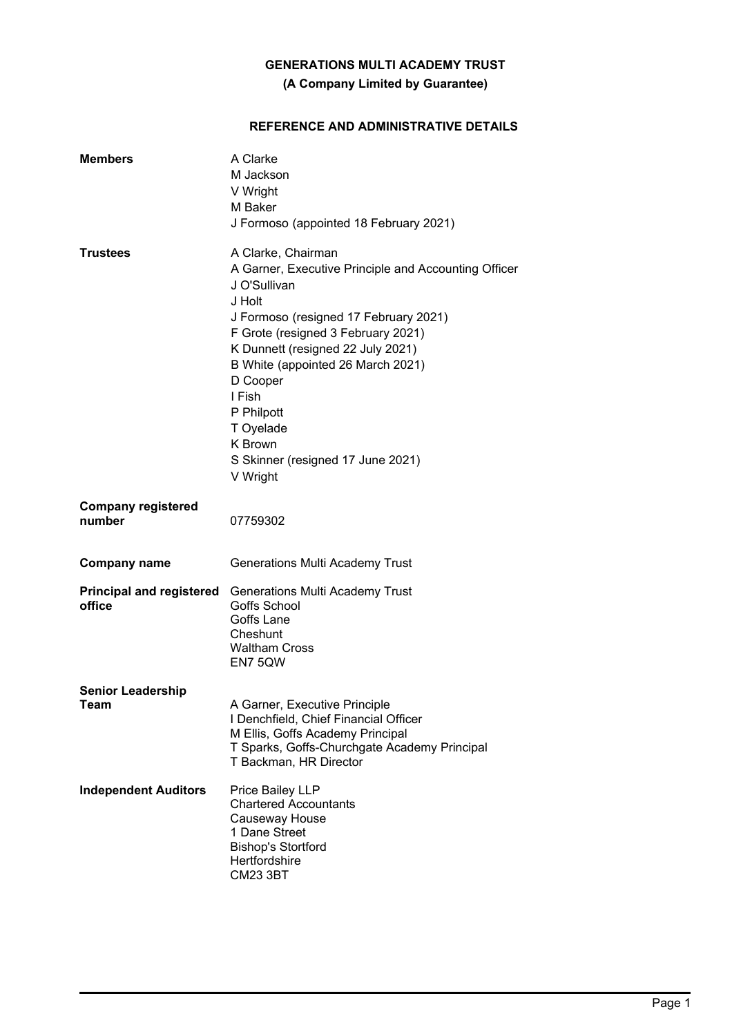## **(A Company Limited by Guarantee)**

## **REFERENCE AND ADMINISTRATIVE DETAILS**

| <b>Members</b>                            | A Clarke<br>M Jackson<br>V Wright<br>M Baker<br>J Formoso (appointed 18 February 2021)                                                                                                                                                                                                                                                                                     |
|-------------------------------------------|----------------------------------------------------------------------------------------------------------------------------------------------------------------------------------------------------------------------------------------------------------------------------------------------------------------------------------------------------------------------------|
| <b>Trustees</b>                           | A Clarke, Chairman<br>A Garner, Executive Principle and Accounting Officer<br>J O'Sullivan<br>J Holt<br>J Formoso (resigned 17 February 2021)<br>F Grote (resigned 3 February 2021)<br>K Dunnett (resigned 22 July 2021)<br>B White (appointed 26 March 2021)<br>D Cooper<br>I Fish<br>P Philpott<br>T Oyelade<br>K Brown<br>S Skinner (resigned 17 June 2021)<br>V Wright |
| <b>Company registered</b><br>number       | 07759302                                                                                                                                                                                                                                                                                                                                                                   |
| <b>Company name</b>                       | <b>Generations Multi Academy Trust</b>                                                                                                                                                                                                                                                                                                                                     |
| <b>Principal and registered</b><br>office | <b>Generations Multi Academy Trust</b><br>Goffs School<br>Goffs Lane<br>Cheshunt<br><b>Waltham Cross</b><br>EN7 5QW                                                                                                                                                                                                                                                        |
| <b>Senior Leadership</b><br>Team          | A Garner, Executive Principle<br>I Denchfield, Chief Financial Officer<br>M Ellis, Goffs Academy Principal<br>T Sparks, Goffs-Churchgate Academy Principal<br>T Backman, HR Director                                                                                                                                                                                       |
| <b>Independent Auditors</b>               | Price Bailey LLP<br><b>Chartered Accountants</b><br>Causeway House<br>1 Dane Street<br><b>Bishop's Stortford</b><br>Hertfordshire<br><b>CM23 3BT</b>                                                                                                                                                                                                                       |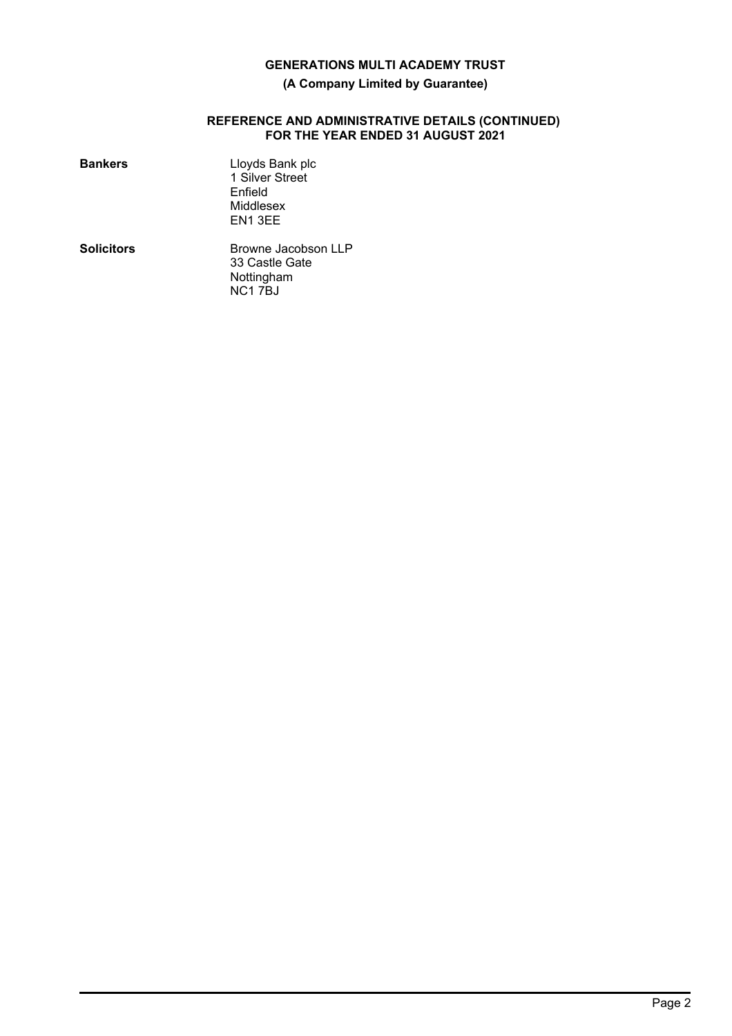## **(A Company Limited by Guarantee)**

#### **REFERENCE AND ADMINISTRATIVE DETAILS (CONTINUED) FOR THE YEAR ENDED 31 AUGUST 2021**

| <b>Bankers</b>    | Lloyds Bank plc<br>1 Silver Street<br>Enfield<br>Middlesex<br>EN1 3EE     |
|-------------------|---------------------------------------------------------------------------|
| <b>Solicitors</b> | Browne Jacobson LLP<br>33 Castle Gate<br>Nottingham<br>NC <sub>17BJ</sub> |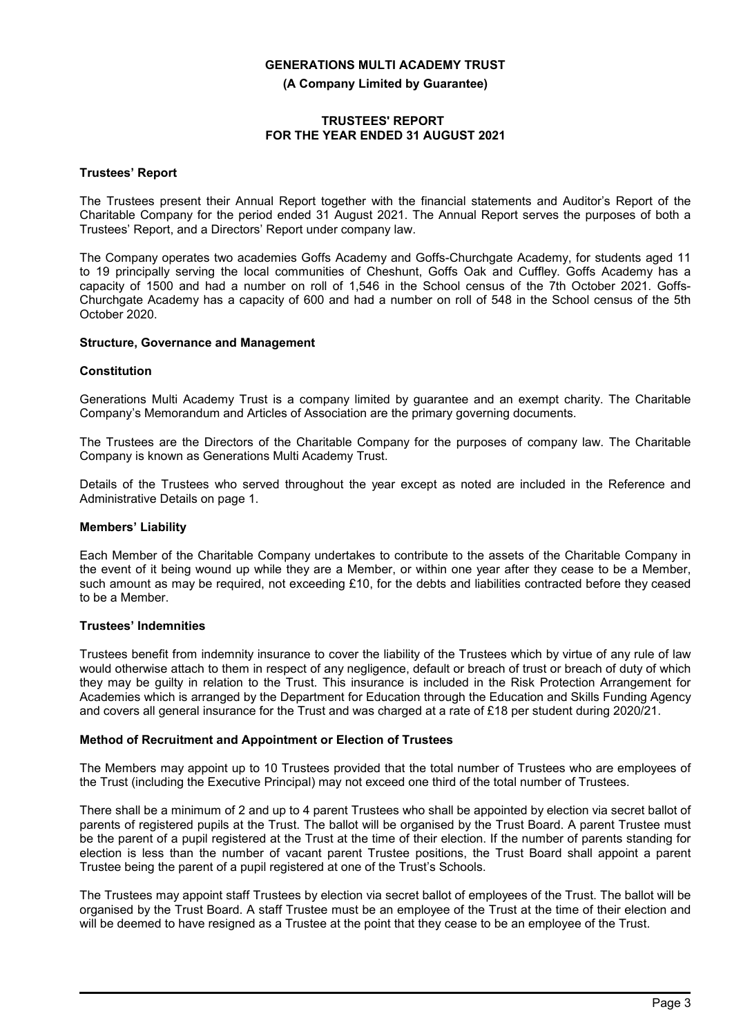**(A Company Limited by Guarantee)**

## **TRUSTEES' REPORT FOR THE YEAR ENDED 31 AUGUST 2021**

#### **Trustees' Report**

The Trustees present their Annual Report together with the financial statements and Auditor's Report of the Charitable Company for the period ended 31 August 2021. The Annual Report serves the purposes of both a Trustees' Report, and a Directors' Report under company law.

The Company operates two academies Goffs Academy and Goffs-Churchgate Academy, for students aged 11 to 19 principally serving the local communities of Cheshunt, Goffs Oak and Cuffley. Goffs Academy has a capacity of 1500 and had a number on roll of 1,546 in the School census of the 7th October 2021. Goffs-Churchgate Academy has a capacity of 600 and had a number on roll of 548 in the School census of the 5th October 2020.

## **Structure, Governance and Management**

## **Constitution**

Generations Multi Academy Trust is a company limited by guarantee and an exempt charity. The Charitable Company's Memorandum and Articles of Association are the primary governing documents.

The Trustees are the Directors of the Charitable Company for the purposes of company law. The Charitable Company is known as Generations Multi Academy Trust.

Details of the Trustees who served throughout the year except as noted are included in the Reference and Administrative Details on page 1.

## **Members' Liability**

Each Member of the Charitable Company undertakes to contribute to the assets of the Charitable Company in the event of it being wound up while they are a Member, or within one year after they cease to be a Member, such amount as may be required, not exceeding £10, for the debts and liabilities contracted before they ceased to be a Member.

## **Trustees' Indemnities**

Trustees benefit from indemnity insurance to cover the liability of the Trustees which by virtue of any rule of law would otherwise attach to them in respect of any negligence, default or breach of trust or breach of duty of which they may be guilty in relation to the Trust. This insurance is included in the Risk Protection Arrangement for Academies which is arranged by the Department for Education through the Education and Skills Funding Agency and covers all general insurance for the Trust and was charged at a rate of £18 per student during 2020/21.

#### **Method of Recruitment and Appointment or Election of Trustees**

The Members may appoint up to 10 Trustees provided that the total number of Trustees who are employees of the Trust (including the Executive Principal) may not exceed one third of the total number of Trustees.

There shall be a minimum of 2 and up to 4 parent Trustees who shall be appointed by election via secret ballot of parents of registered pupils at the Trust. The ballot will be organised by the Trust Board. A parent Trustee must be the parent of a pupil registered at the Trust at the time of their election. If the number of parents standing for election is less than the number of vacant parent Trustee positions, the Trust Board shall appoint a parent Trustee being the parent of a pupil registered at one of the Trust's Schools.

The Trustees may appoint staff Trustees by election via secret ballot of employees of the Trust. The ballot will be organised by the Trust Board. A staff Trustee must be an employee of the Trust at the time of their election and will be deemed to have resigned as a Trustee at the point that they cease to be an employee of the Trust.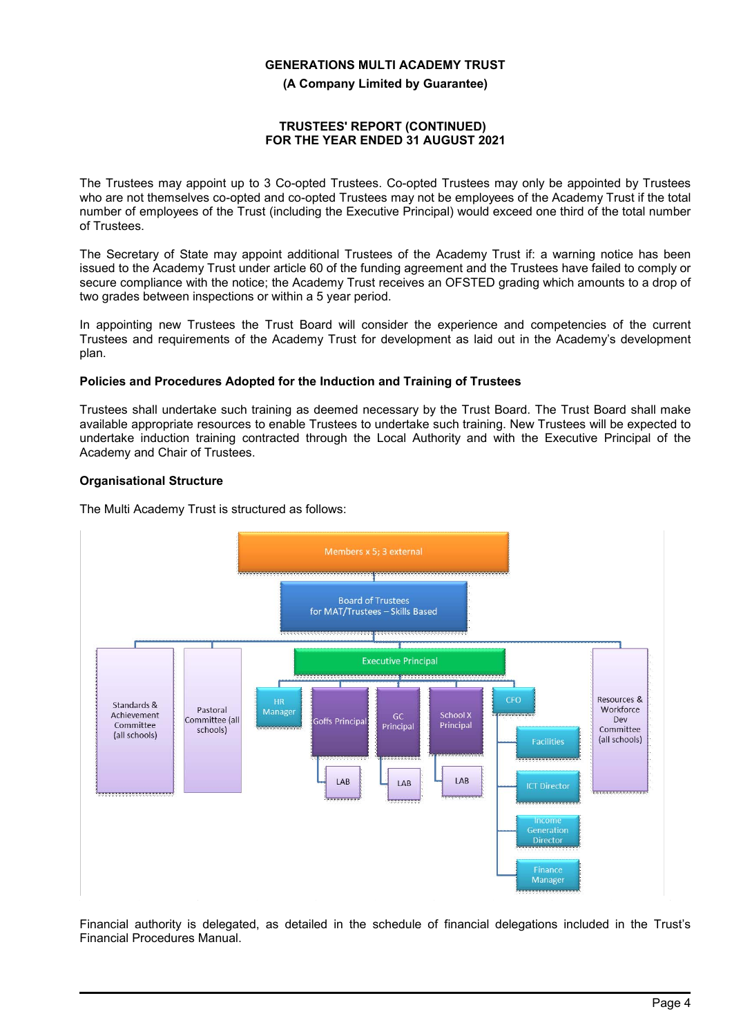**(A Company Limited by Guarantee)**

## **TRUSTEES' REPORT (CONTINUED) FOR THE YEAR ENDED 31 AUGUST 2021**

The Trustees may appoint up to 3 Co-opted Trustees. Co-opted Trustees may only be appointed by Trustees who are not themselves co-opted and co-opted Trustees may not be employees of the Academy Trust if the total number of employees of the Trust (including the Executive Principal) would exceed one third of the total number of Trustees.

The Secretary of State may appoint additional Trustees of the Academy Trust if: a warning notice has been issued to the Academy Trust under article 60 of the funding agreement and the Trustees have failed to comply or secure compliance with the notice; the Academy Trust receives an OFSTED grading which amounts to a drop of two grades between inspections or within a 5 year period.

In appointing new Trustees the Trust Board will consider the experience and competencies of the current Trustees and requirements of the Academy Trust for development as laid out in the Academy's development plan.

## **Policies and Procedures Adopted for the Induction and Training of Trustees**

Trustees shall undertake such training as deemed necessary by the Trust Board. The Trust Board shall make available appropriate resources to enable Trustees to undertake such training. New Trustees will be expected to undertake induction training contracted through the Local Authority and with the Executive Principal of the Academy and Chair of Trustees.

## **Organisational Structure**

The Multi Academy Trust is structured as follows:



Financial authority is delegated, as detailed in the schedule of financial delegations included in the Trust's Financial Procedures Manual.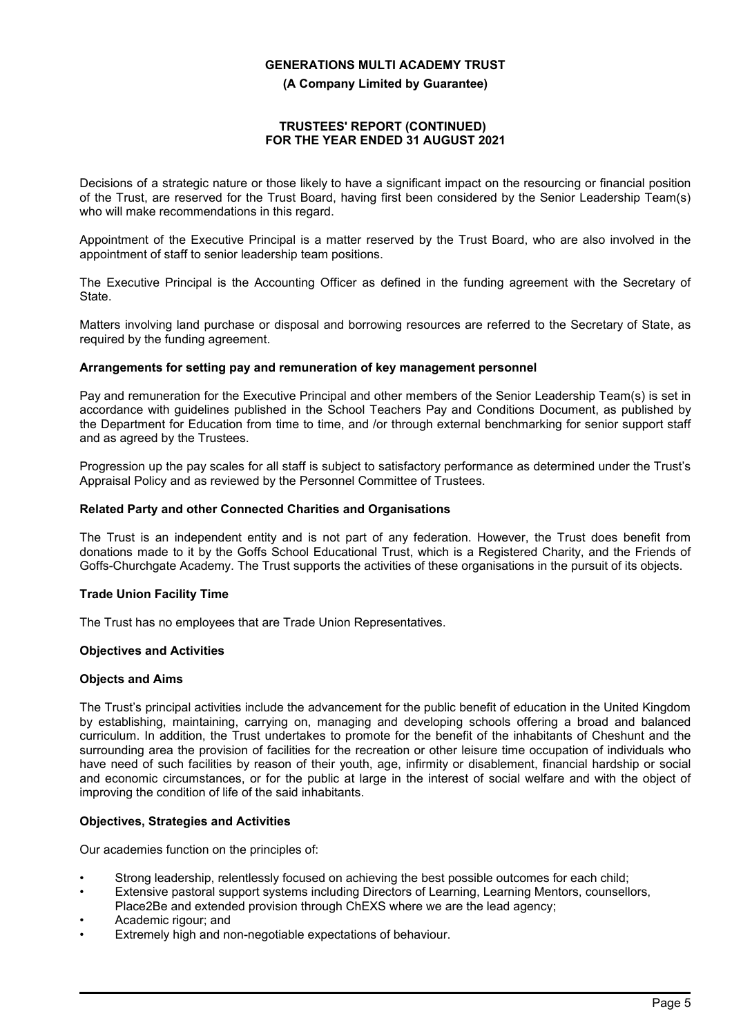**(A Company Limited by Guarantee)**

## **TRUSTEES' REPORT (CONTINUED) FOR THE YEAR ENDED 31 AUGUST 2021**

Decisions of a strategic nature or those likely to have a significant impact on the resourcing or financial position of the Trust, are reserved for the Trust Board, having first been considered by the Senior Leadership Team(s) who will make recommendations in this regard.

Appointment of the Executive Principal is a matter reserved by the Trust Board, who are also involved in the appointment of staff to senior leadership team positions.

The Executive Principal is the Accounting Officer as defined in the funding agreement with the Secretary of State.

Matters involving land purchase or disposal and borrowing resources are referred to the Secretary of State, as required by the funding agreement.

## **Arrangements for setting pay and remuneration of key management personnel**

Pay and remuneration for the Executive Principal and other members of the Senior Leadership Team(s) is set in accordance with guidelines published in the School Teachers Pay and Conditions Document, as published by the Department for Education from time to time, and /or through external benchmarking for senior support staff and as agreed by the Trustees.

Progression up the pay scales for all staff is subject to satisfactory performance as determined under the Trust's Appraisal Policy and as reviewed by the Personnel Committee of Trustees.

## **Related Party and other Connected Charities and Organisations**

The Trust is an independent entity and is not part of any federation. However, the Trust does benefit from donations made to it by the Goffs School Educational Trust, which is a Registered Charity, and the Friends of Goffs-Churchgate Academy. The Trust supports the activities of these organisations in the pursuit of its objects.

## **Trade Union Facility Time**

The Trust has no employees that are Trade Union Representatives.

## **Objectives and Activities**

## **Objects and Aims**

The Trust's principal activities include the advancement for the public benefit of education in the United Kingdom by establishing, maintaining, carrying on, managing and developing schools offering a broad and balanced curriculum. In addition, the Trust undertakes to promote for the benefit of the inhabitants of Cheshunt and the surrounding area the provision of facilities for the recreation or other leisure time occupation of individuals who have need of such facilities by reason of their youth, age, infirmity or disablement, financial hardship or social and economic circumstances, or for the public at large in the interest of social welfare and with the object of improving the condition of life of the said inhabitants.

## **Objectives, Strategies and Activities**

Our academies function on the principles of:

- Strong leadership, relentlessly focused on achieving the best possible outcomes for each child;
- Extensive pastoral support systems including Directors of Learning, Learning Mentors, counsellors,
- Place2Be and extended provision through ChEXS where we are the lead agency;
- Academic rigour; and
- Extremely high and non-negotiable expectations of behaviour.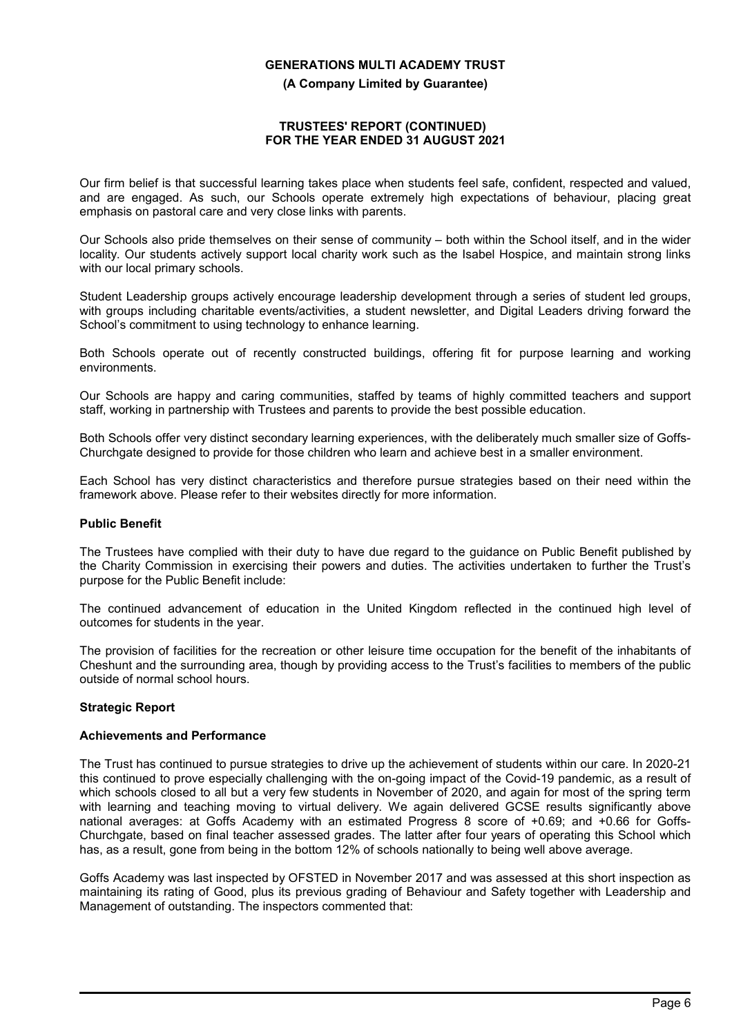**(A Company Limited by Guarantee)**

## **TRUSTEES' REPORT (CONTINUED) FOR THE YEAR ENDED 31 AUGUST 2021**

Our firm belief is that successful learning takes place when students feel safe, confident, respected and valued, and are engaged. As such, our Schools operate extremely high expectations of behaviour, placing great emphasis on pastoral care and very close links with parents.

Our Schools also pride themselves on their sense of community – both within the School itself, and in the wider locality. Our students actively support local charity work such as the Isabel Hospice, and maintain strong links with our local primary schools.

Student Leadership groups actively encourage leadership development through a series of student led groups, with groups including charitable events/activities, a student newsletter, and Digital Leaders driving forward the School's commitment to using technology to enhance learning.

Both Schools operate out of recently constructed buildings, offering fit for purpose learning and working environments.

Our Schools are happy and caring communities, staffed by teams of highly committed teachers and support staff, working in partnership with Trustees and parents to provide the best possible education.

Both Schools offer very distinct secondary learning experiences, with the deliberately much smaller size of Goffs-Churchgate designed to provide for those children who learn and achieve best in a smaller environment.

Each School has very distinct characteristics and therefore pursue strategies based on their need within the framework above. Please refer to their websites directly for more information.

## **Public Benefit**

The Trustees have complied with their duty to have due regard to the guidance on Public Benefit published by the Charity Commission in exercising their powers and duties. The activities undertaken to further the Trust's purpose for the Public Benefit include:

The continued advancement of education in the United Kingdom reflected in the continued high level of outcomes for students in the year.

The provision of facilities for the recreation or other leisure time occupation for the benefit of the inhabitants of Cheshunt and the surrounding area, though by providing access to the Trust's facilities to members of the public outside of normal school hours.

## **Strategic Report**

#### **Achievements and Performance**

The Trust has continued to pursue strategies to drive up the achievement of students within our care. In 2020-21 this continued to prove especially challenging with the on-going impact of the Covid-19 pandemic, as a result of which schools closed to all but a very few students in November of 2020, and again for most of the spring term with learning and teaching moving to virtual delivery. We again delivered GCSE results significantly above national averages: at Goffs Academy with an estimated Progress 8 score of +0.69; and +0.66 for Goffs-Churchgate, based on final teacher assessed grades. The latter after four years of operating this School which has, as a result, gone from being in the bottom 12% of schools nationally to being well above average.

Goffs Academy was last inspected by OFSTED in November 2017 and was assessed at this short inspection as maintaining its rating of Good, plus its previous grading of Behaviour and Safety together with Leadership and Management of outstanding. The inspectors commented that: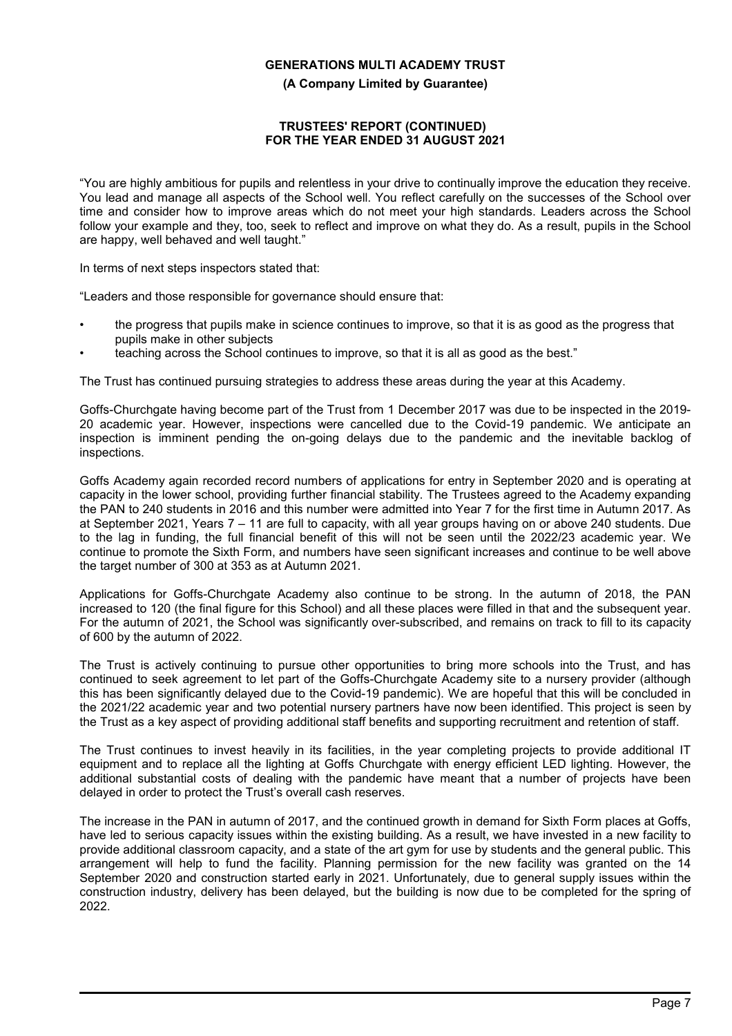**(A Company Limited by Guarantee)**

## **TRUSTEES' REPORT (CONTINUED) FOR THE YEAR ENDED 31 AUGUST 2021**

"You are highly ambitious for pupils and relentless in your drive to continually improve the education they receive. You lead and manage all aspects of the School well. You reflect carefully on the successes of the School over time and consider how to improve areas which do not meet your high standards. Leaders across the School follow your example and they, too, seek to reflect and improve on what they do. As a result, pupils in the School are happy, well behaved and well taught."

In terms of next steps inspectors stated that:

"Leaders and those responsible for governance should ensure that:

- the progress that pupils make in science continues to improve, so that it is as good as the progress that pupils make in other subjects
- teaching across the School continues to improve, so that it is all as good as the best."

The Trust has continued pursuing strategies to address these areas during the year at this Academy.

Goffs-Churchgate having become part of the Trust from 1 December 2017 was due to be inspected in the 2019- 20 academic year. However, inspections were cancelled due to the Covid-19 pandemic. We anticipate an inspection is imminent pending the on-going delays due to the pandemic and the inevitable backlog of inspections.

Goffs Academy again recorded record numbers of applications for entry in September 2020 and is operating at capacity in the lower school, providing further financial stability. The Trustees agreed to the Academy expanding the PAN to 240 students in 2016 and this number were admitted into Year 7 for the first time in Autumn 2017. As at September 2021, Years 7 – 11 are full to capacity, with all year groups having on or above 240 students. Due to the lag in funding, the full financial benefit of this will not be seen until the 2022/23 academic year. We continue to promote the Sixth Form, and numbers have seen significant increases and continue to be well above the target number of 300 at 353 as at Autumn 2021.

Applications for Goffs-Churchgate Academy also continue to be strong. In the autumn of 2018, the PAN increased to 120 (the final figure for this School) and all these places were filled in that and the subsequent year. For the autumn of 2021, the School was significantly over-subscribed, and remains on track to fill to its capacity of 600 by the autumn of 2022.

The Trust is actively continuing to pursue other opportunities to bring more schools into the Trust, and has continued to seek agreement to let part of the Goffs-Churchgate Academy site to a nursery provider (although this has been significantly delayed due to the Covid-19 pandemic). We are hopeful that this will be concluded in the 2021/22 academic year and two potential nursery partners have now been identified. This project is seen by the Trust as a key aspect of providing additional staff benefits and supporting recruitment and retention of staff.

The Trust continues to invest heavily in its facilities, in the year completing projects to provide additional IT equipment and to replace all the lighting at Goffs Churchgate with energy efficient LED lighting. However, the additional substantial costs of dealing with the pandemic have meant that a number of projects have been delayed in order to protect the Trust's overall cash reserves.

The increase in the PAN in autumn of 2017, and the continued growth in demand for Sixth Form places at Goffs, have led to serious capacity issues within the existing building. As a result, we have invested in a new facility to provide additional classroom capacity, and a state of the art gym for use by students and the general public. This arrangement will help to fund the facility. Planning permission for the new facility was granted on the 14 September 2020 and construction started early in 2021. Unfortunately, due to general supply issues within the construction industry, delivery has been delayed, but the building is now due to be completed for the spring of 2022.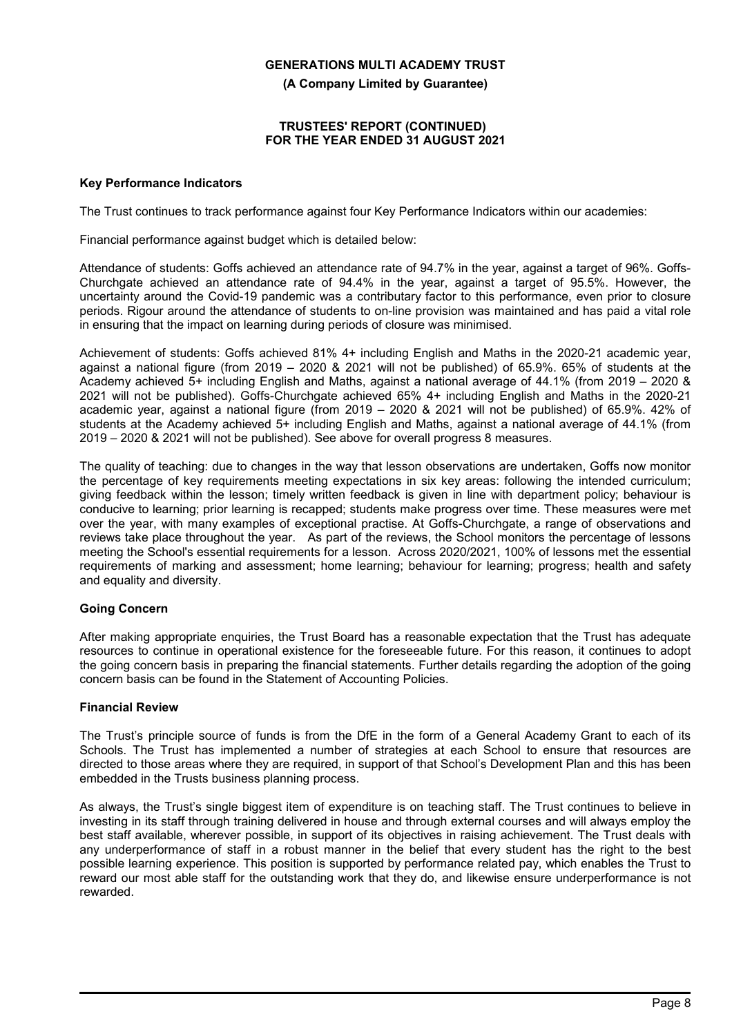**(A Company Limited by Guarantee)**

#### **TRUSTEES' REPORT (CONTINUED) FOR THE YEAR ENDED 31 AUGUST 2021**

## **Key Performance Indicators**

The Trust continues to track performance against four Key Performance Indicators within our academies:

Financial performance against budget which is detailed below:

Attendance of students: Goffs achieved an attendance rate of 94.7% in the year, against a target of 96%. Goffs-Churchgate achieved an attendance rate of 94.4% in the year, against a target of 95.5%. However, the uncertainty around the Covid-19 pandemic was a contributary factor to this performance, even prior to closure periods. Rigour around the attendance of students to on-line provision was maintained and has paid a vital role in ensuring that the impact on learning during periods of closure was minimised.

Achievement of students: Goffs achieved 81% 4+ including English and Maths in the 2020-21 academic year, against a national figure (from 2019 – 2020 & 2021 will not be published) of 65.9%. 65% of students at the Academy achieved 5+ including English and Maths, against a national average of 44.1% (from 2019 – 2020 & 2021 will not be published). Goffs-Churchgate achieved 65% 4+ including English and Maths in the 2020-21 academic year, against a national figure (from 2019 – 2020 & 2021 will not be published) of 65.9%. 42% of students at the Academy achieved 5+ including English and Maths, against a national average of 44.1% (from 2019 – 2020 & 2021 will not be published). See above for overall progress 8 measures.

The quality of teaching: due to changes in the way that lesson observations are undertaken, Goffs now monitor the percentage of key requirements meeting expectations in six key areas: following the intended curriculum; giving feedback within the lesson; timely written feedback is given in line with department policy; behaviour is conducive to learning; prior learning is recapped; students make progress over time. These measures were met over the year, with many examples of exceptional practise. At Goffs-Churchgate, a range of observations and reviews take place throughout the year. As part of the reviews, the School monitors the percentage of lessons meeting the School's essential requirements for a lesson. Across 2020/2021, 100% of lessons met the essential requirements of marking and assessment; home learning; behaviour for learning; progress; health and safety and equality and diversity.

## **Going Concern**

After making appropriate enquiries, the Trust Board has a reasonable expectation that the Trust has adequate resources to continue in operational existence for the foreseeable future. For this reason, it continues to adopt the going concern basis in preparing the financial statements. Further details regarding the adoption of the going concern basis can be found in the Statement of Accounting Policies.

## **Financial Review**

The Trust's principle source of funds is from the DfE in the form of a General Academy Grant to each of its Schools. The Trust has implemented a number of strategies at each School to ensure that resources are directed to those areas where they are required, in support of that School's Development Plan and this has been embedded in the Trusts business planning process.

As always, the Trust's single biggest item of expenditure is on teaching staff. The Trust continues to believe in investing in its staff through training delivered in house and through external courses and will always employ the best staff available, wherever possible, in support of its objectives in raising achievement. The Trust deals with any underperformance of staff in a robust manner in the belief that every student has the right to the best possible learning experience. This position is supported by performance related pay, which enables the Trust to reward our most able staff for the outstanding work that they do, and likewise ensure underperformance is not rewarded.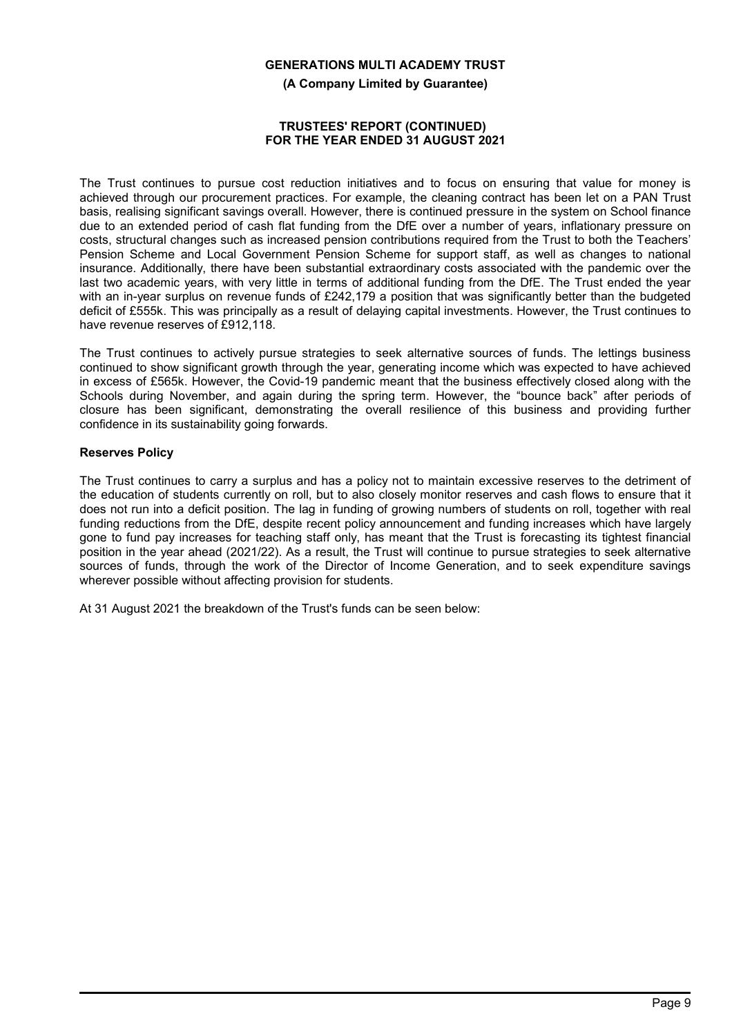**(A Company Limited by Guarantee)**

#### **TRUSTEES' REPORT (CONTINUED) FOR THE YEAR ENDED 31 AUGUST 2021**

The Trust continues to pursue cost reduction initiatives and to focus on ensuring that value for money is achieved through our procurement practices. For example, the cleaning contract has been let on a PAN Trust basis, realising significant savings overall. However, there is continued pressure in the system on School finance due to an extended period of cash flat funding from the DfE over a number of years, inflationary pressure on costs, structural changes such as increased pension contributions required from the Trust to both the Teachers' Pension Scheme and Local Government Pension Scheme for support staff, as well as changes to national insurance. Additionally, there have been substantial extraordinary costs associated with the pandemic over the last two academic years, with very little in terms of additional funding from the DfE. The Trust ended the year with an in-year surplus on revenue funds of £242,179 a position that was significantly better than the budgeted deficit of £555k. This was principally as a result of delaying capital investments. However, the Trust continues to have revenue reserves of £912,118.

The Trust continues to actively pursue strategies to seek alternative sources of funds. The lettings business continued to show significant growth through the year, generating income which was expected to have achieved in excess of £565k. However, the Covid-19 pandemic meant that the business effectively closed along with the Schools during November, and again during the spring term. However, the "bounce back" after periods of closure has been significant, demonstrating the overall resilience of this business and providing further confidence in its sustainability going forwards.

## **Reserves Policy**

The Trust continues to carry a surplus and has a policy not to maintain excessive reserves to the detriment of the education of students currently on roll, but to also closely monitor reserves and cash flows to ensure that it does not run into a deficit position. The lag in funding of growing numbers of students on roll, together with real funding reductions from the DfE, despite recent policy announcement and funding increases which have largely gone to fund pay increases for teaching staff only, has meant that the Trust is forecasting its tightest financial position in the year ahead (2021/22). As a result, the Trust will continue to pursue strategies to seek alternative sources of funds, through the work of the Director of Income Generation, and to seek expenditure savings wherever possible without affecting provision for students.

At 31 August 2021 the breakdown of the Trust's funds can be seen below: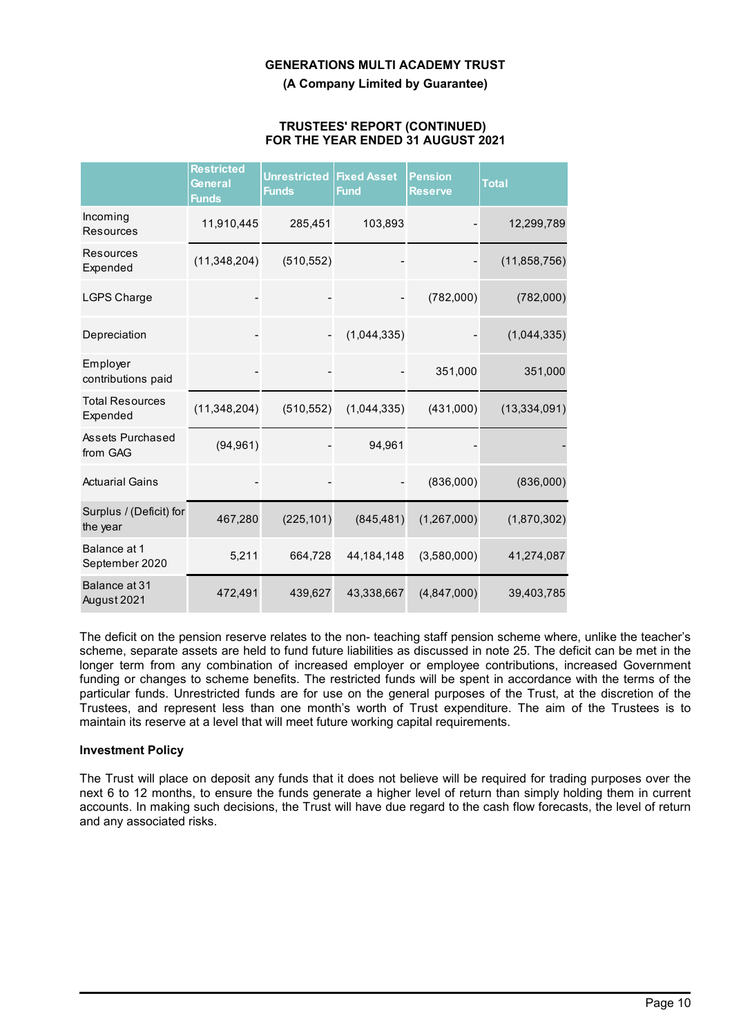**(A Company Limited by Guarantee)**

#### **TRUSTEES' REPORT (CONTINUED) FOR THE YEAR ENDED 31 AUGUST 2021**

|                                     | Restricted<br>General<br><b>Funds</b> | <b>Unrestricted</b><br><b>Funds</b> | <b>Fixed Asset</b><br><b>Fund</b> | <b>Pension</b><br><b>Reserve</b> | <b>Total</b>   |
|-------------------------------------|---------------------------------------|-------------------------------------|-----------------------------------|----------------------------------|----------------|
| Incoming<br><b>Resources</b>        | 11,910,445                            | 285,451                             | 103,893                           |                                  | 12,299,789     |
| <b>Resources</b><br>Expended        | (11, 348, 204)                        | (510, 552)                          |                                   |                                  | (11, 858, 756) |
| <b>LGPS Charge</b>                  |                                       |                                     |                                   | (782,000)                        | (782,000)      |
| Depreciation                        |                                       |                                     | (1,044,335)                       |                                  | (1,044,335)    |
| Employer<br>contributions paid      |                                       |                                     |                                   | 351,000                          | 351,000        |
| <b>Total Resources</b><br>Expended  | (11, 348, 204)                        | (510, 552)                          | (1,044,335)                       | (431,000)                        | (13, 334, 091) |
| Assets Purchased<br>from GAG        | (94, 961)                             |                                     | 94,961                            |                                  |                |
| <b>Actuarial Gains</b>              |                                       |                                     |                                   | (836,000)                        | (836,000)      |
| Surplus / (Deficit) for<br>the year | 467,280                               | (225, 101)                          | (845, 481)                        | (1,267,000)                      | (1,870,302)    |
| Balance at 1<br>September 2020      | 5,211                                 | 664,728                             | 44, 184, 148                      | (3,580,000)                      | 41,274,087     |
| Balance at 31<br>August 2021        | 472,491                               | 439,627                             | 43,338,667                        | (4,847,000)                      | 39,403,785     |

The deficit on the pension reserve relates to the non- teaching staff pension scheme where, unlike the teacher's scheme, separate assets are held to fund future liabilities as discussed in note 25. The deficit can be met in the longer term from any combination of increased employer or employee contributions, increased Government funding or changes to scheme benefits. The restricted funds will be spent in accordance with the terms of the particular funds. Unrestricted funds are for use on the general purposes of the Trust, at the discretion of the Trustees, and represent less than one month's worth of Trust expenditure. The aim of the Trustees is to maintain its reserve at a level that will meet future working capital requirements.

## **Investment Policy**

The Trust will place on deposit any funds that it does not believe will be required for trading purposes over the next 6 to 12 months, to ensure the funds generate a higher level of return than simply holding them in current accounts. In making such decisions, the Trust will have due regard to the cash flow forecasts, the level of return and any associated risks.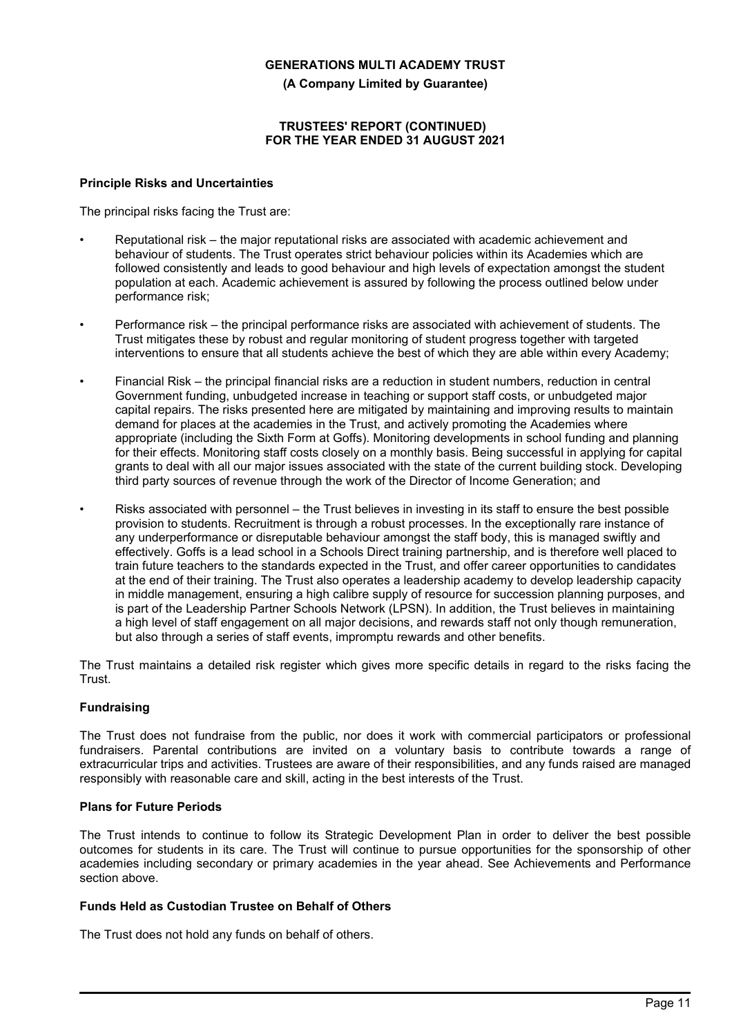**(A Company Limited by Guarantee)**

## **TRUSTEES' REPORT (CONTINUED) FOR THE YEAR ENDED 31 AUGUST 2021**

## **Principle Risks and Uncertainties**

The principal risks facing the Trust are:

- Reputational risk the major reputational risks are associated with academic achievement and behaviour of students. The Trust operates strict behaviour policies within its Academies which are followed consistently and leads to good behaviour and high levels of expectation amongst the student population at each. Academic achievement is assured by following the process outlined below under performance risk;
- Performance risk the principal performance risks are associated with achievement of students. The Trust mitigates these by robust and regular monitoring of student progress together with targeted interventions to ensure that all students achieve the best of which they are able within every Academy;
- Financial Risk the principal financial risks are a reduction in student numbers, reduction in central Government funding, unbudgeted increase in teaching or support staff costs, or unbudgeted major capital repairs. The risks presented here are mitigated by maintaining and improving results to maintain demand for places at the academies in the Trust, and actively promoting the Academies where appropriate (including the Sixth Form at Goffs). Monitoring developments in school funding and planning for their effects. Monitoring staff costs closely on a monthly basis. Being successful in applying for capital grants to deal with all our major issues associated with the state of the current building stock. Developing third party sources of revenue through the work of the Director of Income Generation; and
- Risks associated with personnel the Trust believes in investing in its staff to ensure the best possible provision to students. Recruitment is through a robust processes. In the exceptionally rare instance of any underperformance or disreputable behaviour amongst the staff body, this is managed swiftly and effectively. Goffs is a lead school in a Schools Direct training partnership, and is therefore well placed to train future teachers to the standards expected in the Trust, and offer career opportunities to candidates at the end of their training. The Trust also operates a leadership academy to develop leadership capacity in middle management, ensuring a high calibre supply of resource for succession planning purposes, and is part of the Leadership Partner Schools Network (LPSN). In addition, the Trust believes in maintaining a high level of staff engagement on all major decisions, and rewards staff not only though remuneration, but also through a series of staff events, impromptu rewards and other benefits.

The Trust maintains a detailed risk register which gives more specific details in regard to the risks facing the Trust.

## **Fundraising**

The Trust does not fundraise from the public, nor does it work with commercial participators or professional fundraisers. Parental contributions are invited on a voluntary basis to contribute towards a range of extracurricular trips and activities. Trustees are aware of their responsibilities, and any funds raised are managed responsibly with reasonable care and skill, acting in the best interests of the Trust.

## **Plans for Future Periods**

The Trust intends to continue to follow its Strategic Development Plan in order to deliver the best possible outcomes for students in its care. The Trust will continue to pursue opportunities for the sponsorship of other academies including secondary or primary academies in the year ahead. See Achievements and Performance section above.

## **Funds Held as Custodian Trustee on Behalf of Others**

The Trust does not hold any funds on behalf of others.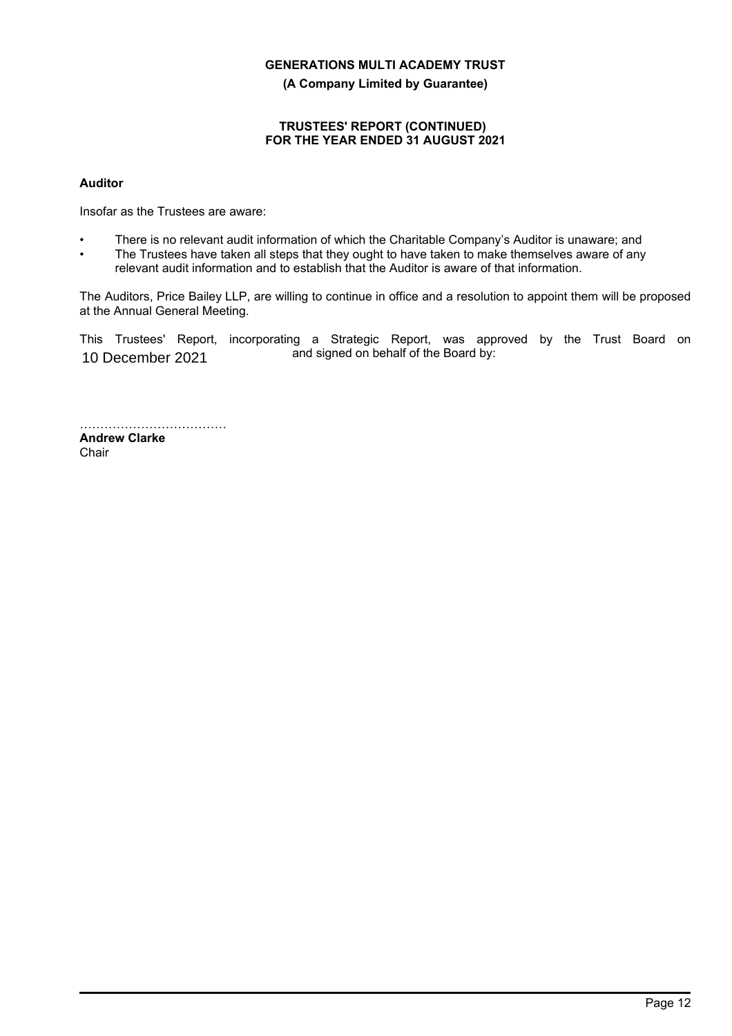**(A Company Limited by Guarantee)**

## **TRUSTEES' REPORT (CONTINUED) FOR THE YEAR ENDED 31 AUGUST 2021**

## **Auditor**

Insofar as the Trustees are aware:

- There is no relevant audit information of which the Charitable Company's Auditor is unaware; and
- The Trustees have taken all steps that they ought to have taken to make themselves aware of any relevant audit information and to establish that the Auditor is aware of that information.

The Auditors, Price Bailey LLP, are willing to continue in office and a resolution to appoint them will be proposed at the Annual General Meeting.

This Trustees' Report, incorporating a Strategic Report, was approved by the Trust Board on and signed on behalf of the Board by: 10 December 2021

……………………………………… **Andrew Clarke Chair**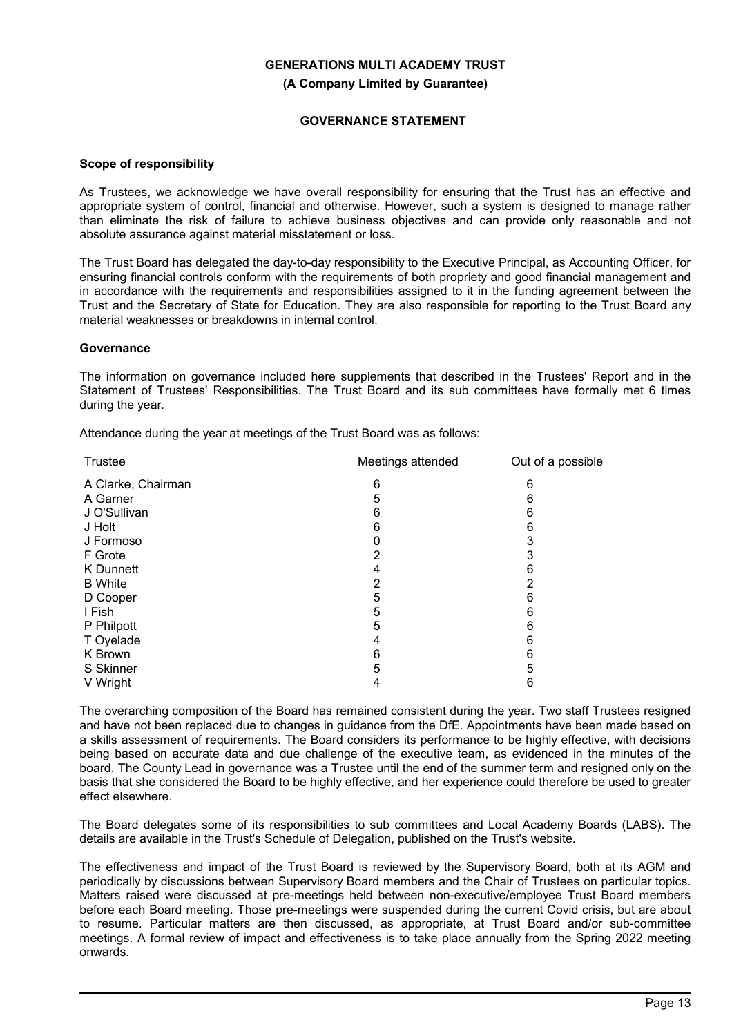**(A Company Limited by Guarantee)**

## **GOVERNANCE STATEMENT**

#### **Scope of responsibility**

As Trustees, we acknowledge we have overall responsibility for ensuring that the Trust has an effective and appropriate system of control, financial and otherwise. However, such a system is designed to manage rather than eliminate the risk of failure to achieve business objectives and can provide only reasonable and not absolute assurance against material misstatement or loss.

The Trust Board has delegated the day-to-day responsibility to the Executive Principal, as Accounting Officer, for ensuring financial controls conform with the requirements of both propriety and good financial management and in accordance with the requirements and responsibilities assigned to it in the funding agreement between the Trust and the Secretary of State for Education. They are also responsible for reporting to the Trust Board any material weaknesses or breakdowns in internal control.

## **Governance**

The information on governance included here supplements that described in the Trustees' Report and in the Statement of Trustees' Responsibilities. The Trust Board and its sub committees have formally met 6 times during the year.

Attendance during the year at meetings of the Trust Board was as follows:

| <b>Trustee</b>     | Meetings attended | Out of a possible |
|--------------------|-------------------|-------------------|
| A Clarke, Chairman | 6                 | 6                 |
| A Garner           | 5                 | 6                 |
| J O'Sullivan       | 6                 | 6                 |
| J Holt             | 6                 | 6                 |
| J Formoso          |                   | 3                 |
| F Grote            | 2                 | 3                 |
| K Dunnett          | 4                 | 6                 |
| <b>B</b> White     | 2                 | 2                 |
| D Cooper           | 5                 | 6                 |
| I Fish             | 5                 | 6                 |
| P Philpott         | 5                 | 6                 |
| T Oyelade          | 4                 | 6                 |
| K Brown            | 6                 | 6                 |
| S Skinner          | 5                 | 5                 |
| V Wright           | 4                 | 6                 |
|                    |                   |                   |

The overarching composition of the Board has remained consistent during the year. Two staff Trustees resigned and have not been replaced due to changes in guidance from the DfE. Appointments have been made based on a skills assessment of requirements. The Board considers its performance to be highly effective, with decisions being based on accurate data and due challenge of the executive team, as evidenced in the minutes of the board. The County Lead in governance was a Trustee until the end of the summer term and resigned only on the basis that she considered the Board to be highly effective, and her experience could therefore be used to greater effect elsewhere.

The Board delegates some of its responsibilities to sub committees and Local Academy Boards (LABS). The details are available in the Trust's Schedule of Delegation, published on the Trust's website.

The effectiveness and impact of the Trust Board is reviewed by the Supervisory Board, both at its AGM and periodically by discussions between Supervisory Board members and the Chair of Trustees on particular topics. Matters raised were discussed at pre-meetings held between non-executive/employee Trust Board members before each Board meeting. Those pre-meetings were suspended during the current Covid crisis, but are about to resume. Particular matters are then discussed, as appropriate, at Trust Board and/or sub-committee meetings. A formal review of impact and effectiveness is to take place annually from the Spring 2022 meeting onwards.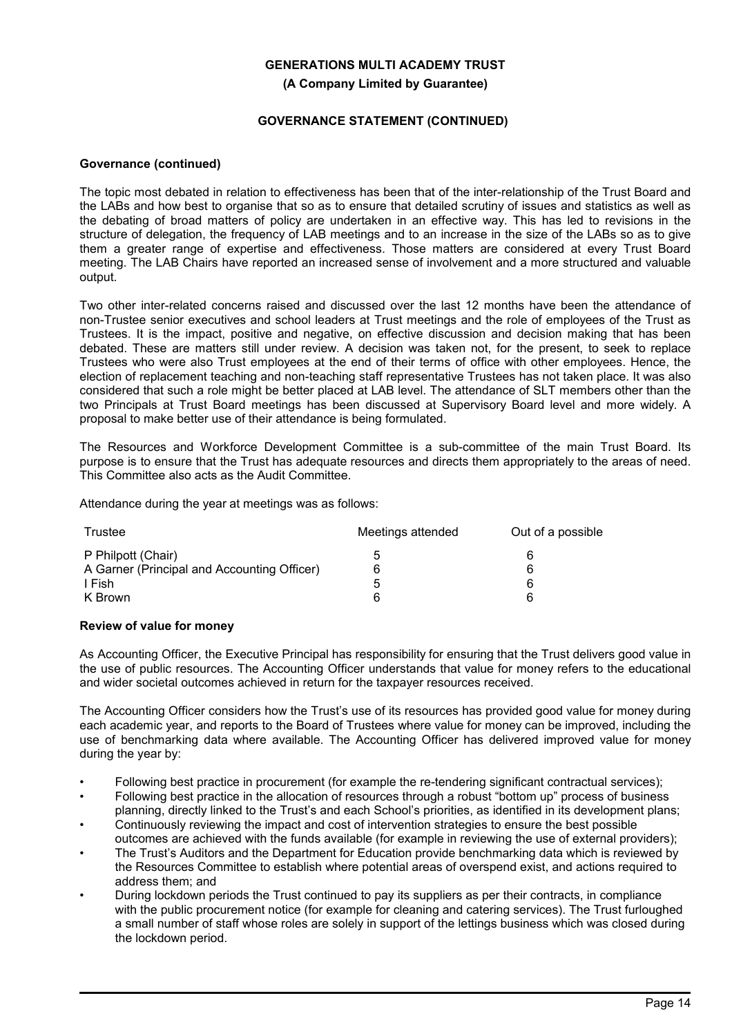## **GENERATIONS MULTI ACADEMY TRUST (A Company Limited by Guarantee)**

## **GOVERNANCE STATEMENT (CONTINUED)**

## **Governance (continued)**

The topic most debated in relation to effectiveness has been that of the inter-relationship of the Trust Board and the LABs and how best to organise that so as to ensure that detailed scrutiny of issues and statistics as well as the debating of broad matters of policy are undertaken in an effective way. This has led to revisions in the structure of delegation, the frequency of LAB meetings and to an increase in the size of the LABs so as to give them a greater range of expertise and effectiveness. Those matters are considered at every Trust Board meeting. The LAB Chairs have reported an increased sense of involvement and a more structured and valuable output.

Two other inter-related concerns raised and discussed over the last 12 months have been the attendance of non-Trustee senior executives and school leaders at Trust meetings and the role of employees of the Trust as Trustees. It is the impact, positive and negative, on effective discussion and decision making that has been debated. These are matters still under review. A decision was taken not, for the present, to seek to replace Trustees who were also Trust employees at the end of their terms of office with other employees. Hence, the election of replacement teaching and non-teaching staff representative Trustees has not taken place. It was also considered that such a role might be better placed at LAB level. The attendance of SLT members other than the two Principals at Trust Board meetings has been discussed at Supervisory Board level and more widely. A proposal to make better use of their attendance is being formulated.

The Resources and Workforce Development Committee is a sub-committee of the main Trust Board. Its purpose is to ensure that the Trust has adequate resources and directs them appropriately to the areas of need. This Committee also acts as the Audit Committee.

Attendance during the year at meetings was as follows:

| Trustee                                     | Meetings attended | Out of a possible |
|---------------------------------------------|-------------------|-------------------|
| P Philpott (Chair)                          | :C                | h                 |
| A Garner (Principal and Accounting Officer) |                   | 6                 |
| I Fish                                      | :C                | 6                 |
| K Brown                                     | 6                 | ค                 |

#### **Review of value for money**

As Accounting Officer, the Executive Principal has responsibility for ensuring that the Trust delivers good value in the use of public resources. The Accounting Officer understands that value for money refers to the educational and wider societal outcomes achieved in return for the taxpayer resources received.

The Accounting Officer considers how the Trust's use of its resources has provided good value for money during each academic year, and reports to the Board of Trustees where value for money can be improved, including the use of benchmarking data where available. The Accounting Officer has delivered improved value for money during the year by:

- Following best practice in procurement (for example the re-tendering significant contractual services);
- Following best practice in the allocation of resources through a robust "bottom up" process of business planning, directly linked to the Trust's and each School's priorities, as identified in its development plans;
- Continuously reviewing the impact and cost of intervention strategies to ensure the best possible outcomes are achieved with the funds available (for example in reviewing the use of external providers);
- The Trust's Auditors and the Department for Education provide benchmarking data which is reviewed by the Resources Committee to establish where potential areas of overspend exist, and actions required to address them; and
- During lockdown periods the Trust continued to pay its suppliers as per their contracts, in compliance with the public procurement notice (for example for cleaning and catering services). The Trust furloughed a small number of staff whose roles are solely in support of the lettings business which was closed during the lockdown period.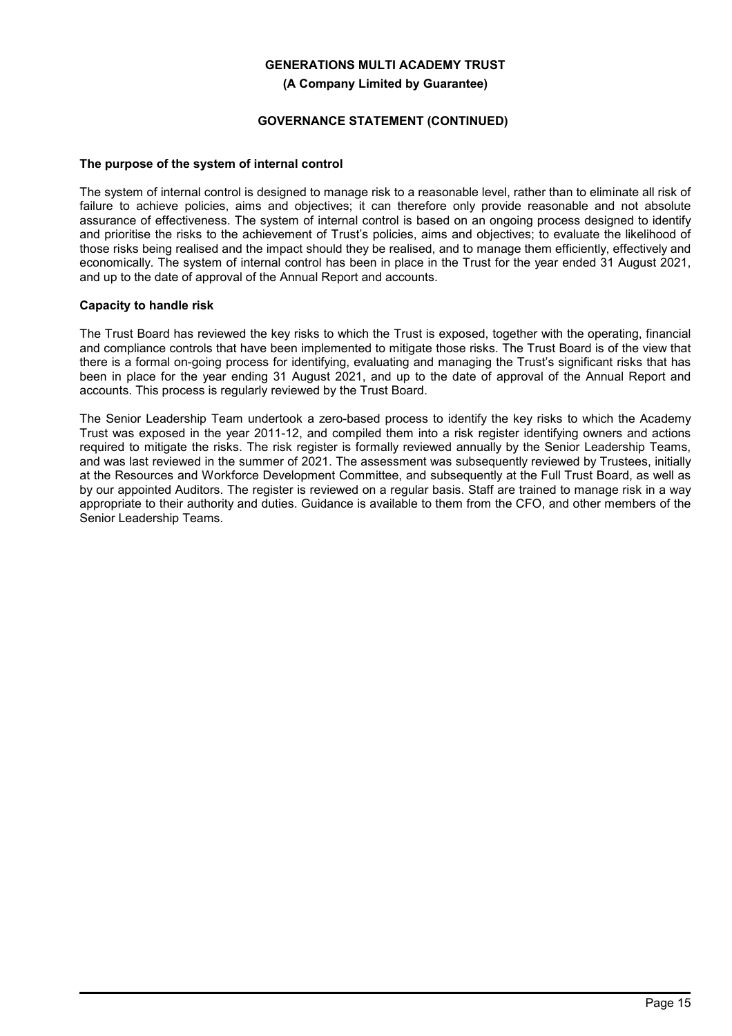**(A Company Limited by Guarantee)**

## **GOVERNANCE STATEMENT (CONTINUED)**

## **The purpose of the system of internal control**

The system of internal control is designed to manage risk to a reasonable level, rather than to eliminate all risk of failure to achieve policies, aims and objectives; it can therefore only provide reasonable and not absolute assurance of effectiveness. The system of internal control is based on an ongoing process designed to identify and prioritise the risks to the achievement of Trust's policies, aims and objectives; to evaluate the likelihood of those risks being realised and the impact should they be realised, and to manage them efficiently, effectively and economically. The system of internal control has been in place in the Trust for the year ended 31 August 2021, and up to the date of approval of the Annual Report and accounts.

## **Capacity to handle risk**

The Trust Board has reviewed the key risks to which the Trust is exposed, together with the operating, financial and compliance controls that have been implemented to mitigate those risks. The Trust Board is of the view that there is a formal on-going process for identifying, evaluating and managing the Trust's significant risks that has been in place for the year ending 31 August 2021, and up to the date of approval of the Annual Report and accounts. This process is regularly reviewed by the Trust Board.

The Senior Leadership Team undertook a zero-based process to identify the key risks to which the Academy Trust was exposed in the year 2011-12, and compiled them into a risk register identifying owners and actions required to mitigate the risks. The risk register is formally reviewed annually by the Senior Leadership Teams, and was last reviewed in the summer of 2021. The assessment was subsequently reviewed by Trustees, initially at the Resources and Workforce Development Committee, and subsequently at the Full Trust Board, as well as by our appointed Auditors. The register is reviewed on a regular basis. Staff are trained to manage risk in a way appropriate to their authority and duties. Guidance is available to them from the CFO, and other members of the Senior Leadership Teams.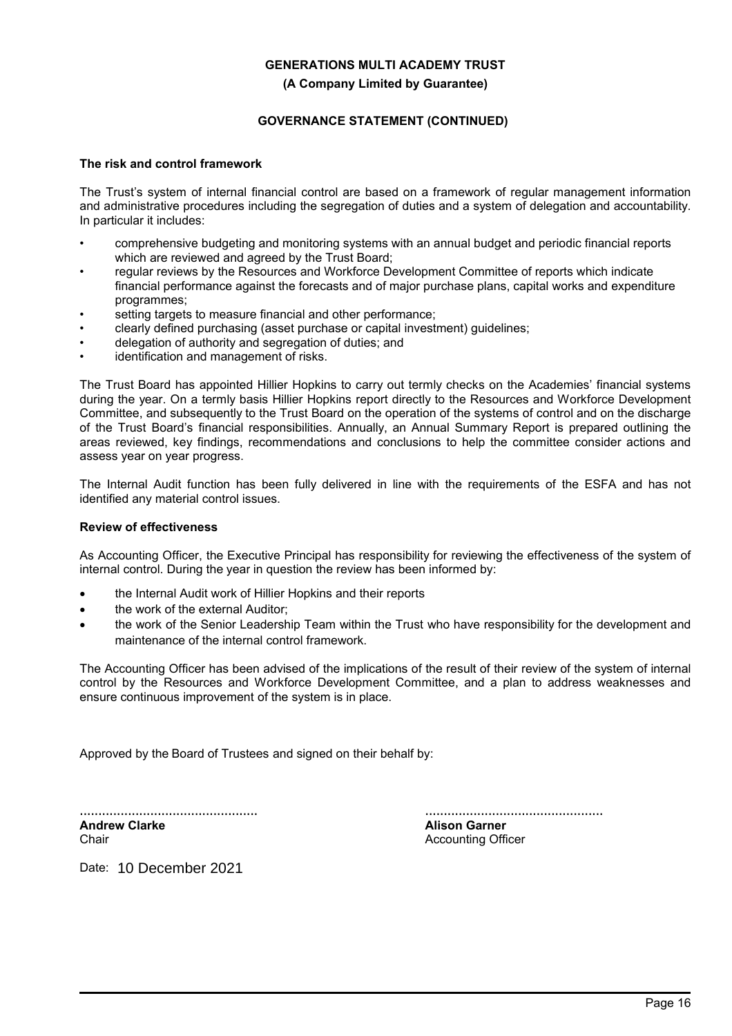## **GENERATIONS MULTI ACADEMY TRUST (A Company Limited by Guarantee)**

## **GOVERNANCE STATEMENT (CONTINUED)**

#### **The risk and control framework**

The Trust's system of internal financial control are based on a framework of regular management information and administrative procedures including the segregation of duties and a system of delegation and accountability. In particular it includes:

- comprehensive budgeting and monitoring systems with an annual budget and periodic financial reports which are reviewed and agreed by the Trust Board;
- regular reviews by the Resources and Workforce Development Committee of reports which indicate financial performance against the forecasts and of major purchase plans, capital works and expenditure programmes;
- setting targets to measure financial and other performance;
- clearly defined purchasing (asset purchase or capital investment) guidelines;
- delegation of authority and segregation of duties; and
- identification and management of risks.

The Trust Board has appointed Hillier Hopkins to carry out termly checks on the Academies' financial systems during the year. On a termly basis Hillier Hopkins report directly to the Resources and Workforce Development Committee, and subsequently to the Trust Board on the operation of the systems of control and on the discharge of the Trust Board's financial responsibilities. Annually, an Annual Summary Report is prepared outlining the areas reviewed, key findings, recommendations and conclusions to help the committee consider actions and assess year on year progress.

The Internal Audit function has been fully delivered in line with the requirements of the ESFA and has not identified any material control issues.

#### **Review of effectiveness**

As Accounting Officer, the Executive Principal has responsibility for reviewing the effectiveness of the system of internal control. During the year in question the review has been informed by:

- the Internal Audit work of Hillier Hopkins and their reports
- the work of the external Auditor:
- the work of the Senior Leadership Team within the Trust who have responsibility for the development and maintenance of the internal control framework.

The Accounting Officer has been advised of the implications of the result of their review of the system of internal control by the Resources and Workforce Development Committee, and a plan to address weaknesses and ensure continuous improvement of the system is in place.

Approved by the Board of Trustees and signed on their behalf by:

................................................ **Andrew Clarke**

Chair

................................................

**Alison Garner** Accounting Officer

Date: 10 December 2021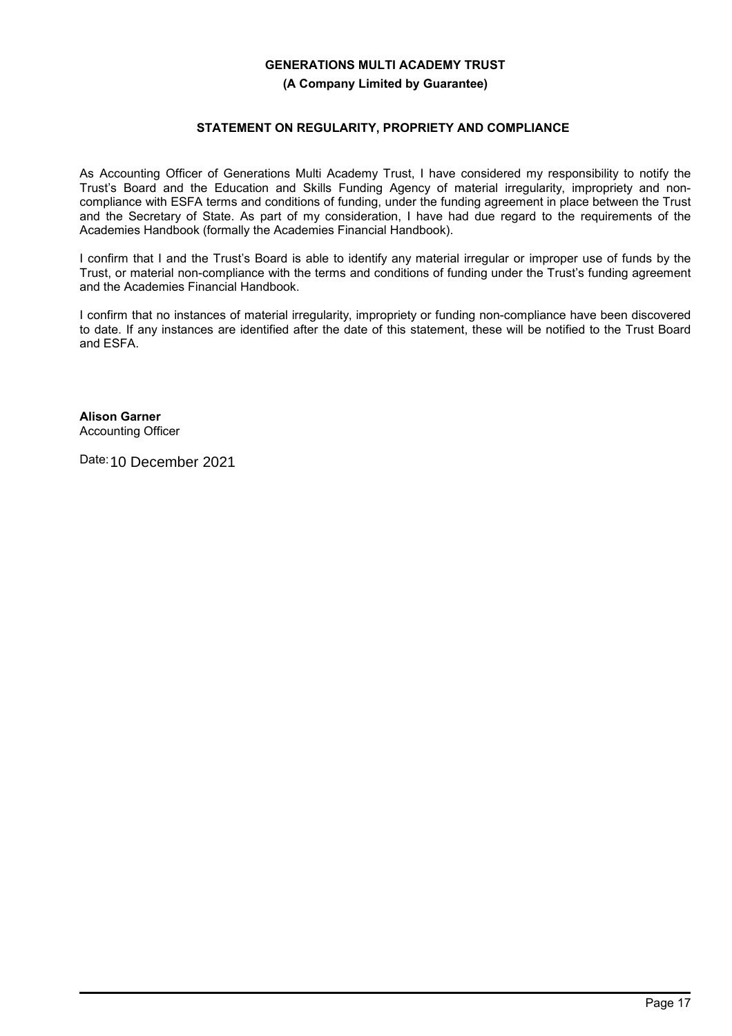**(A Company Limited by Guarantee)**

## **STATEMENT ON REGULARITY, PROPRIETY AND COMPLIANCE**

As Accounting Officer of Generations Multi Academy Trust, I have considered my responsibility to notify the Trust's Board and the Education and Skills Funding Agency of material irregularity, impropriety and noncompliance with ESFA terms and conditions of funding, under the funding agreement in place between the Trust and the Secretary of State. As part of my consideration, I have had due regard to the requirements of the Academies Handbook (formally the Academies Financial Handbook).

I confirm that I and the Trust's Board is able to identify any material irregular or improper use of funds by the Trust, or material non-compliance with the terms and conditions of funding under the Trust's funding agreement and the Academies Financial Handbook.

I confirm that no instances of material irregularity, impropriety or funding non-compliance have been discovered to date. If any instances are identified after the date of this statement, these will be notified to the Trust Board and ESFA.

**Alison Garner** Accounting Officer

Date: 10 December 2021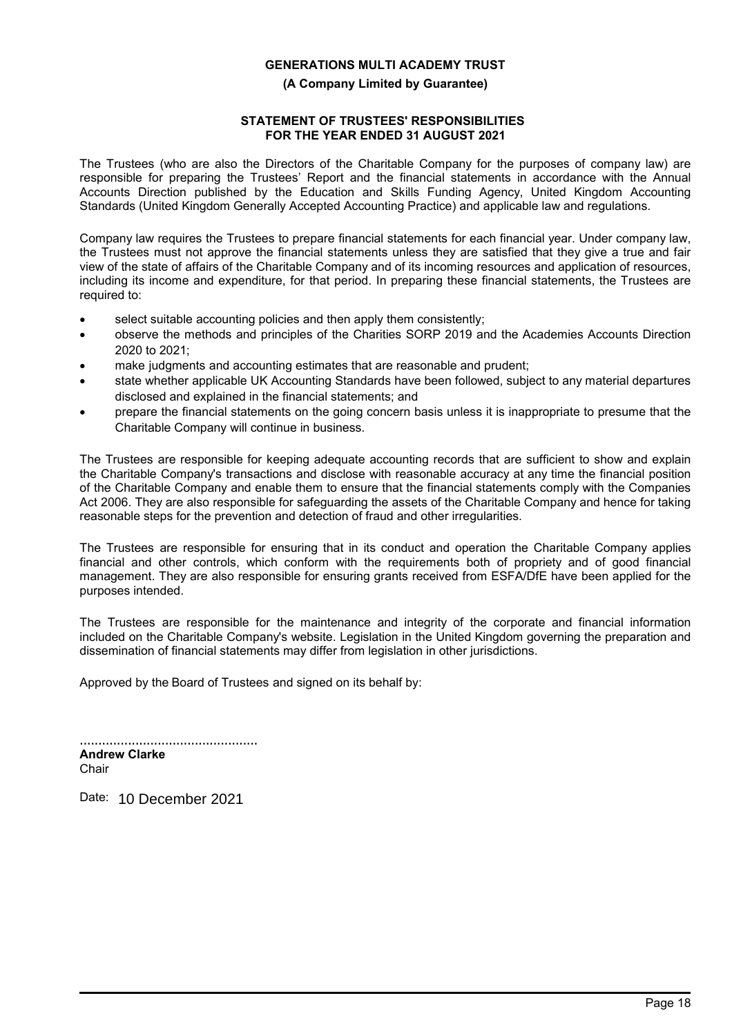#### **(A Company Limited by Guarantee)**

## **STATEMENT OF TRUSTEES' RESPONSIBILITIES FOR THE YEAR ENDED 31 AUGUST 2021**

The Trustees (who are also the Directors of the Charitable Company for the purposes of company law) are responsible for preparing the Trustees' Report and the financial statements in accordance with the Annual Accounts Direction published by the Education and Skills Funding Agency, United Kingdom Accounting Standards (United Kingdom Generally Accepted Accounting Practice) and applicable law and regulations.

Company law requires the Trustees to prepare financial statements for each financial year. Under company law, the Trustees must not approve the financial statements unless they are satisfied that they give a true and fair view of the state of affairs of the Charitable Company and of its incoming resources and application of resources, including its income and expenditure, for that period. In preparing these financial statements, the Trustees are required to:

- select suitable accounting policies and then apply them consistently;
- observe the methods and principles of the Charities SORP 2019 and the Academies Accounts Direction 2020 to 2021;
- make judgments and accounting estimates that are reasonable and prudent;
- state whether applicable UK Accounting Standards have been followed, subject to any material departures disclosed and explained in the financial statements; and
- prepare the financial statements on the going concern basis unless it is inappropriate to presume that the Charitable Company will continue in business.

The Trustees are responsible for keeping adequate accounting records that are sufficient to show and explain the Charitable Company's transactions and disclose with reasonable accuracy at any time the financial position of the Charitable Company and enable them to ensure that the financial statements comply with the Companies Act 2006. They are also responsible for safeguarding the assets of the Charitable Company and hence for taking reasonable steps for the prevention and detection of fraud and other irregularities.

The Trustees are responsible for ensuring that in its conduct and operation the Charitable Company applies financial and other controls, which conform with the requirements both of propriety and of good financial management. They are also responsible for ensuring grants received from ESFA/DfE have been applied for the purposes intended.

The Trustees are responsible for the maintenance and integrity of the corporate and financial information included on the Charitable Company's website. Legislation in the United Kingdom governing the preparation and dissemination of financial statements may differ from legislation in other jurisdictions.

Approved by the Board of Trustees and signed on its behalf by:

................................................ **Andrew Clarke Chair** 

Date: 10 December 2021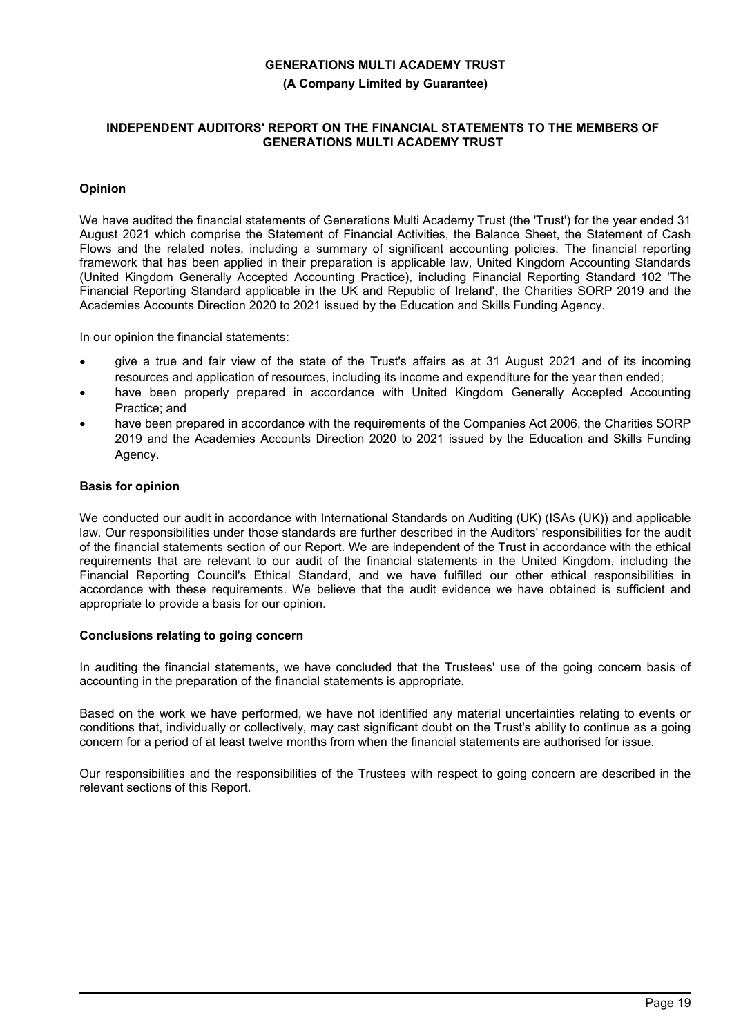**(A Company Limited by Guarantee)**

#### **INDEPENDENT AUDITORS' REPORT ON THE FINANCIAL STATEMENTS TO THE MEMBERS OF GENERATIONS MULTI ACADEMY TRUST**

## **Opinion**

We have audited the financial statements of Generations Multi Academy Trust (the 'Trust') for the year ended 31 August 2021 which comprise the Statement of Financial Activities, the Balance Sheet, the Statement of Cash Flows and the related notes, including a summary of significant accounting policies. The financial reporting framework that has been applied in their preparation is applicable law, United Kingdom Accounting Standards (United Kingdom Generally Accepted Accounting Practice), including Financial Reporting Standard 102 'The Financial Reporting Standard applicable in the UK and Republic of Ireland', the Charities SORP 2019 and the Academies Accounts Direction 2020 to 2021 issued by the Education and Skills Funding Agency.

In our opinion the financial statements:

- give a true and fair view of the state of the Trust's affairs as at 31 August 2021 and of its incoming resources and application of resources, including its income and expenditure for the year then ended;
- have been properly prepared in accordance with United Kingdom Generally Accepted Accounting Practice; and
- have been prepared in accordance with the requirements of the Companies Act 2006, the Charities SORP 2019 and the Academies Accounts Direction 2020 to 2021 issued by the Education and Skills Funding Agency.

## **Basis for opinion**

We conducted our audit in accordance with International Standards on Auditing (UK) (ISAs (UK)) and applicable law. Our responsibilities under those standards are further described in the Auditors' responsibilities for the audit of the financial statements section of our Report. We are independent of the Trust in accordance with the ethical requirements that are relevant to our audit of the financial statements in the United Kingdom, including the Financial Reporting Council's Ethical Standard, and we have fulfilled our other ethical responsibilities in accordance with these requirements. We believe that the audit evidence we have obtained is sufficient and appropriate to provide a basis for our opinion.

## **Conclusions relating to going concern**

In auditing the financial statements, we have concluded that the Trustees' use of the going concern basis of accounting in the preparation of the financial statements is appropriate.

Based on the work we have performed, we have not identified any material uncertainties relating to events or conditions that, individually or collectively, may cast significant doubt on the Trust's ability to continue as a going concern for a period of at least twelve months from when the financial statements are authorised for issue.

Our responsibilities and the responsibilities of the Trustees with respect to going concern are described in the relevant sections of this Report.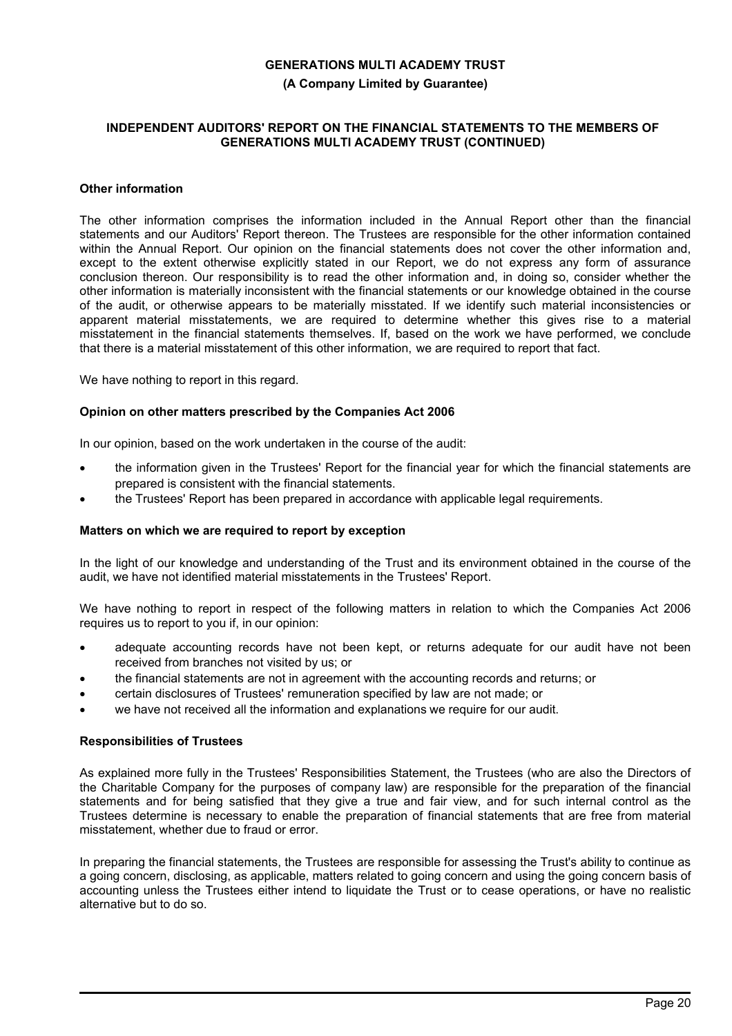**(A Company Limited by Guarantee)**

#### **INDEPENDENT AUDITORS' REPORT ON THE FINANCIAL STATEMENTS TO THE MEMBERS OF GENERATIONS MULTI ACADEMY TRUST (CONTINUED)**

## **Other information**

The other information comprises the information included in the Annual Report other than the financial statements and our Auditors' Report thereon. The Trustees are responsible for the other information contained within the Annual Report. Our opinion on the financial statements does not cover the other information and, except to the extent otherwise explicitly stated in our Report, we do not express any form of assurance conclusion thereon. Our responsibility is to read the other information and, in doing so, consider whether the other information is materially inconsistent with the financial statements or our knowledge obtained in the course of the audit, or otherwise appears to be materially misstated. If we identify such material inconsistencies or apparent material misstatements, we are required to determine whether this gives rise to a material misstatement in the financial statements themselves. If, based on the work we have performed, we conclude that there is a material misstatement of this other information, we are required to report that fact.

We have nothing to report in this regard.

## **Opinion on other matters prescribed by the Companies Act 2006**

In our opinion, based on the work undertaken in the course of the audit:

- the information given in the Trustees' Report for the financial year for which the financial statements are prepared is consistent with the financial statements.
- the Trustees' Report has been prepared in accordance with applicable legal requirements.

#### **Matters on which we are required to report by exception**

In the light of our knowledge and understanding of the Trust and its environment obtained in the course of the audit, we have not identified material misstatements in the Trustees' Report.

We have nothing to report in respect of the following matters in relation to which the Companies Act 2006 requires us to report to you if, in our opinion:

- adequate accounting records have not been kept, or returns adequate for our audit have not been received from branches not visited by us; or
- the financial statements are not in agreement with the accounting records and returns; or
- certain disclosures of Trustees' remuneration specified by law are not made; or
- we have not received all the information and explanations we require for our audit.

#### **Responsibilities of Trustees**

As explained more fully in the Trustees' Responsibilities Statement, the Trustees (who are also the Directors of the Charitable Company for the purposes of company law) are responsible for the preparation of the financial statements and for being satisfied that they give a true and fair view, and for such internal control as the Trustees determine is necessary to enable the preparation of financial statements that are free from material misstatement, whether due to fraud or error.

In preparing the financial statements, the Trustees are responsible for assessing the Trust's ability to continue as a going concern, disclosing, as applicable, matters related to going concern and using the going concern basis of accounting unless the Trustees either intend to liquidate the Trust or to cease operations, or have no realistic alternative but to do so.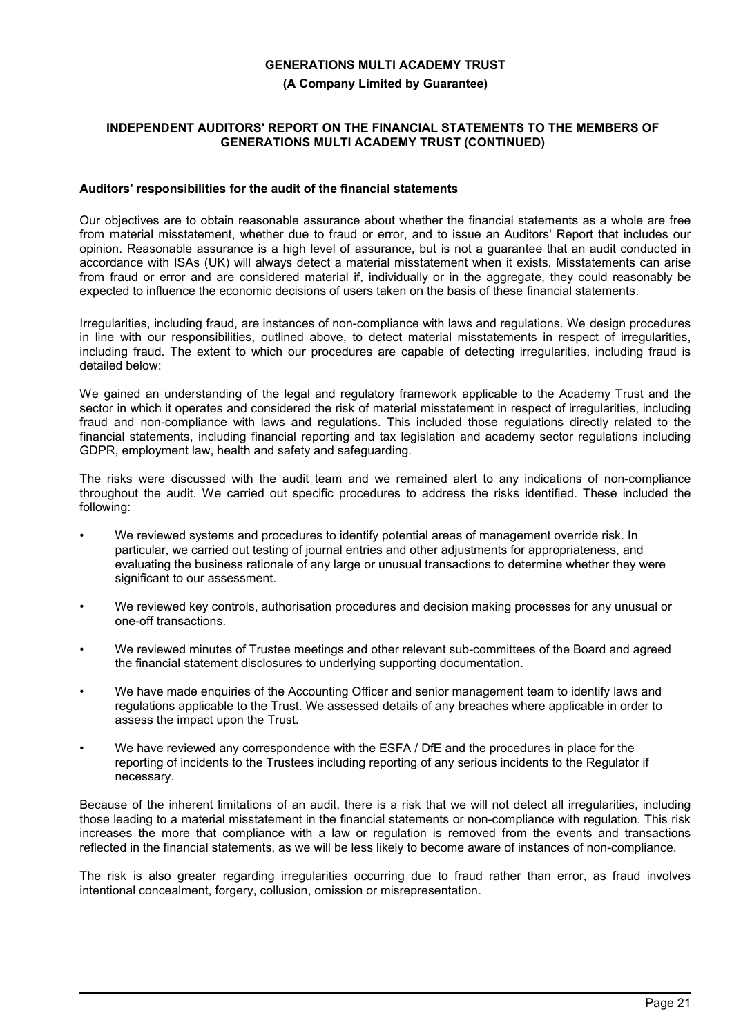**(A Company Limited by Guarantee)**

### **INDEPENDENT AUDITORS' REPORT ON THE FINANCIAL STATEMENTS TO THE MEMBERS OF GENERATIONS MULTI ACADEMY TRUST (CONTINUED)**

## **Auditors' responsibilities for the audit of the financial statements**

Our objectives are to obtain reasonable assurance about whether the financial statements as a whole are free from material misstatement, whether due to fraud or error, and to issue an Auditors' Report that includes our opinion. Reasonable assurance is a high level of assurance, but is not a guarantee that an audit conducted in accordance with ISAs (UK) will always detect a material misstatement when it exists. Misstatements can arise from fraud or error and are considered material if, individually or in the aggregate, they could reasonably be expected to influence the economic decisions of users taken on the basis of these financial statements.

Irregularities, including fraud, are instances of non-compliance with laws and regulations. We design procedures in line with our responsibilities, outlined above, to detect material misstatements in respect of irregularities, including fraud. The extent to which our procedures are capable of detecting irregularities, including fraud is detailed below:

We gained an understanding of the legal and regulatory framework applicable to the Academy Trust and the sector in which it operates and considered the risk of material misstatement in respect of irregularities, including fraud and non-compliance with laws and regulations. This included those regulations directly related to the financial statements, including financial reporting and tax legislation and academy sector regulations including GDPR, employment law, health and safety and safeguarding.

The risks were discussed with the audit team and we remained alert to any indications of non-compliance throughout the audit. We carried out specific procedures to address the risks identified. These included the following:

- We reviewed systems and procedures to identify potential areas of management override risk. In particular, we carried out testing of journal entries and other adjustments for appropriateness, and evaluating the business rationale of any large or unusual transactions to determine whether they were significant to our assessment.
- We reviewed key controls, authorisation procedures and decision making processes for any unusual or one-off transactions.
- We reviewed minutes of Trustee meetings and other relevant sub-committees of the Board and agreed the financial statement disclosures to underlying supporting documentation.
- We have made enquiries of the Accounting Officer and senior management team to identify laws and regulations applicable to the Trust. We assessed details of any breaches where applicable in order to assess the impact upon the Trust.
- We have reviewed any correspondence with the ESFA / DfE and the procedures in place for the reporting of incidents to the Trustees including reporting of any serious incidents to the Regulator if necessary.

Because of the inherent limitations of an audit, there is a risk that we will not detect all irregularities, including those leading to a material misstatement in the financial statements or non-compliance with regulation. This risk increases the more that compliance with a law or regulation is removed from the events and transactions reflected in the financial statements, as we will be less likely to become aware of instances of non-compliance.

The risk is also greater regarding irregularities occurring due to fraud rather than error, as fraud involves intentional concealment, forgery, collusion, omission or misrepresentation.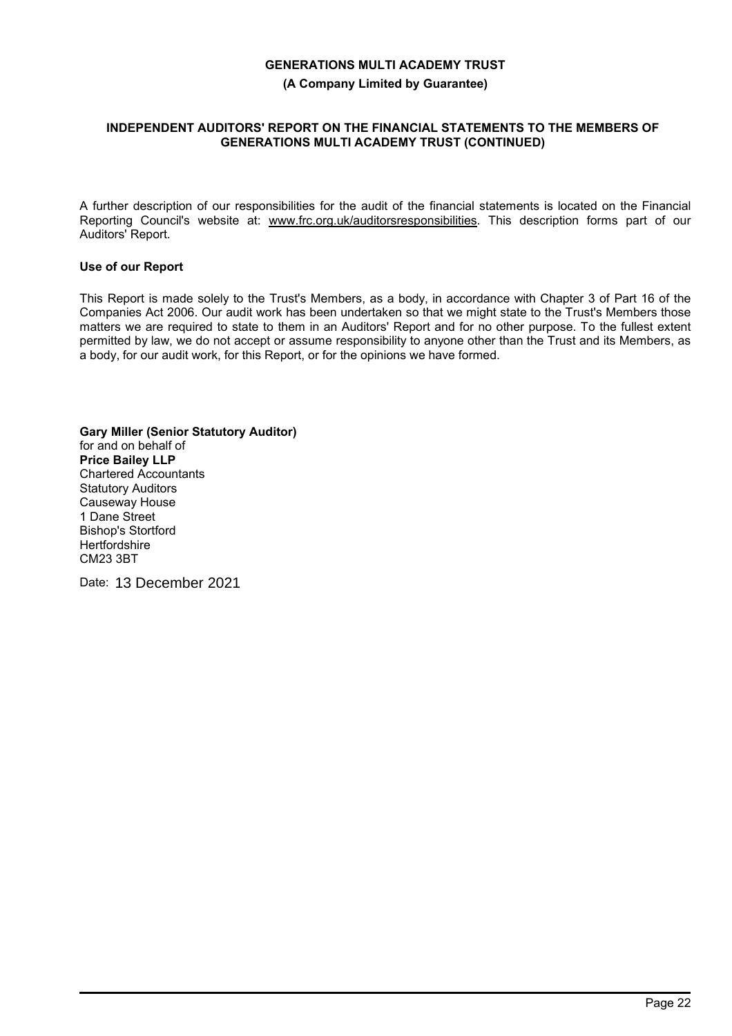**(A Company Limited by Guarantee)**

## **INDEPENDENT AUDITORS' REPORT ON THE FINANCIAL STATEMENTS TO THE MEMBERS OF GENERATIONS MULTI ACADEMY TRUST (CONTINUED)**

A further description of our responsibilities for the audit of the financial statements is located on the Financial Reporting Council's website at: www.frc.org.uk/auditorsresponsibilities. This description forms part of our Auditors' Report.

## **Use of our Report**

This Report is made solely to the Trust's Members, as a body, in accordance with Chapter 3 of Part 16 of the Companies Act 2006. Our audit work has been undertaken so that we might state to the Trust's Members those matters we are required to state to them in an Auditors' Report and for no other purpose. To the fullest extent permitted by law, we do not accept or assume responsibility to anyone other than the Trust and its Members, as a body, for our audit work, for this Report, or for the opinions we have formed.

**Gary Miller (Senior Statutory Auditor)** for and on behalf of **Price Bailey LLP** Chartered Accountants Statutory Auditors Causeway House 1 Dane Street Bishop's Stortford **Hertfordshire** CM23 3BT

Date: 13 December 2021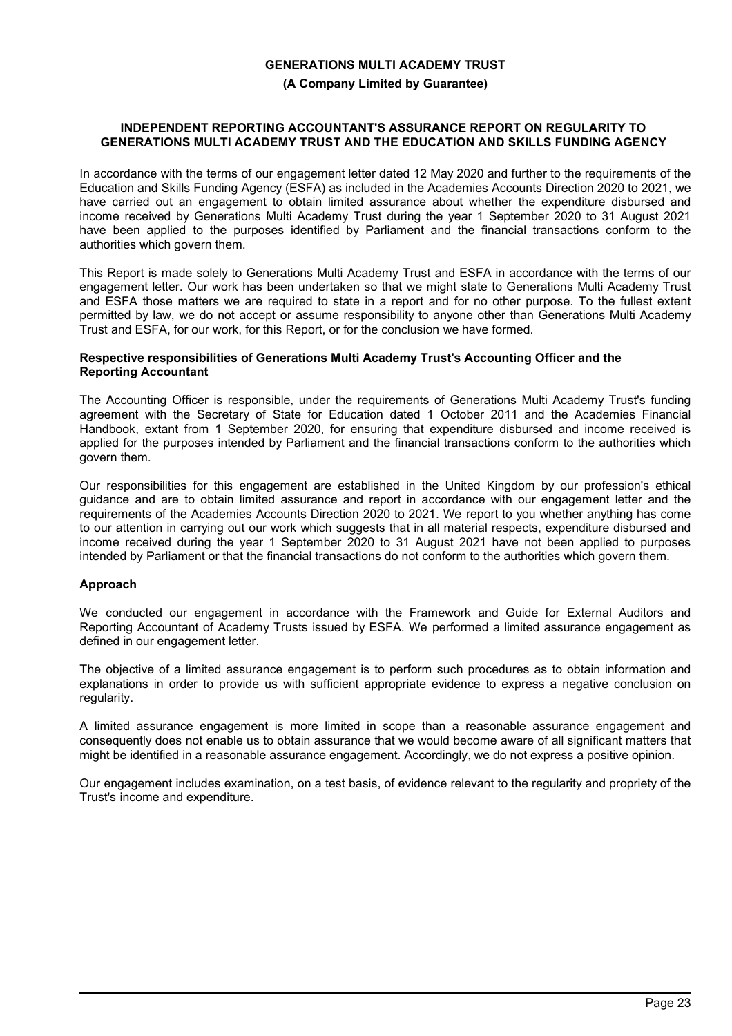#### **(A Company Limited by Guarantee)**

### **INDEPENDENT REPORTING ACCOUNTANT'S ASSURANCE REPORT ON REGULARITY TO GENERATIONS MULTI ACADEMY TRUST AND THE EDUCATION AND SKILLS FUNDING AGENCY**

In accordance with the terms of our engagement letter dated 12 May 2020 and further to the requirements of the Education and Skills Funding Agency (ESFA) as included in the Academies Accounts Direction 2020 to 2021, we have carried out an engagement to obtain limited assurance about whether the expenditure disbursed and income received by Generations Multi Academy Trust during the year 1 September 2020 to 31 August 2021 have been applied to the purposes identified by Parliament and the financial transactions conform to the authorities which govern them.

This Report is made solely to Generations Multi Academy Trust and ESFA in accordance with the terms of our engagement letter. Our work has been undertaken so that we might state to Generations Multi Academy Trust and ESFA those matters we are required to state in a report and for no other purpose. To the fullest extent permitted by law, we do not accept or assume responsibility to anyone other than Generations Multi Academy Trust and ESFA, for our work, for this Report, or for the conclusion we have formed.

#### **Respective responsibilities of Generations Multi Academy Trust's Accounting Officer and the Reporting Accountant**

The Accounting Officer is responsible, under the requirements of Generations Multi Academy Trust's funding agreement with the Secretary of State for Education dated 1 October 2011 and the Academies Financial Handbook, extant from 1 September 2020, for ensuring that expenditure disbursed and income received is applied for the purposes intended by Parliament and the financial transactions conform to the authorities which govern them.

Our responsibilities for this engagement are established in the United Kingdom by our profession's ethical guidance and are to obtain limited assurance and report in accordance with our engagement letter and the requirements of the Academies Accounts Direction 2020 to 2021. We report to you whether anything has come to our attention in carrying out our work which suggests that in all material respects, expenditure disbursed and income received during the year 1 September 2020 to 31 August 2021 have not been applied to purposes intended by Parliament or that the financial transactions do not conform to the authorities which govern them.

## **Approach**

We conducted our engagement in accordance with the Framework and Guide for External Auditors and Reporting Accountant of Academy Trusts issued by ESFA. We performed a limited assurance engagement as defined in our engagement letter.

The objective of a limited assurance engagement is to perform such procedures as to obtain information and explanations in order to provide us with sufficient appropriate evidence to express a negative conclusion on regularity.

A limited assurance engagement is more limited in scope than a reasonable assurance engagement and consequently does not enable us to obtain assurance that we would become aware of all significant matters that might be identified in a reasonable assurance engagement. Accordingly, we do not express a positive opinion.

Our engagement includes examination, on a test basis, of evidence relevant to the regularity and propriety of the Trust's income and expenditure.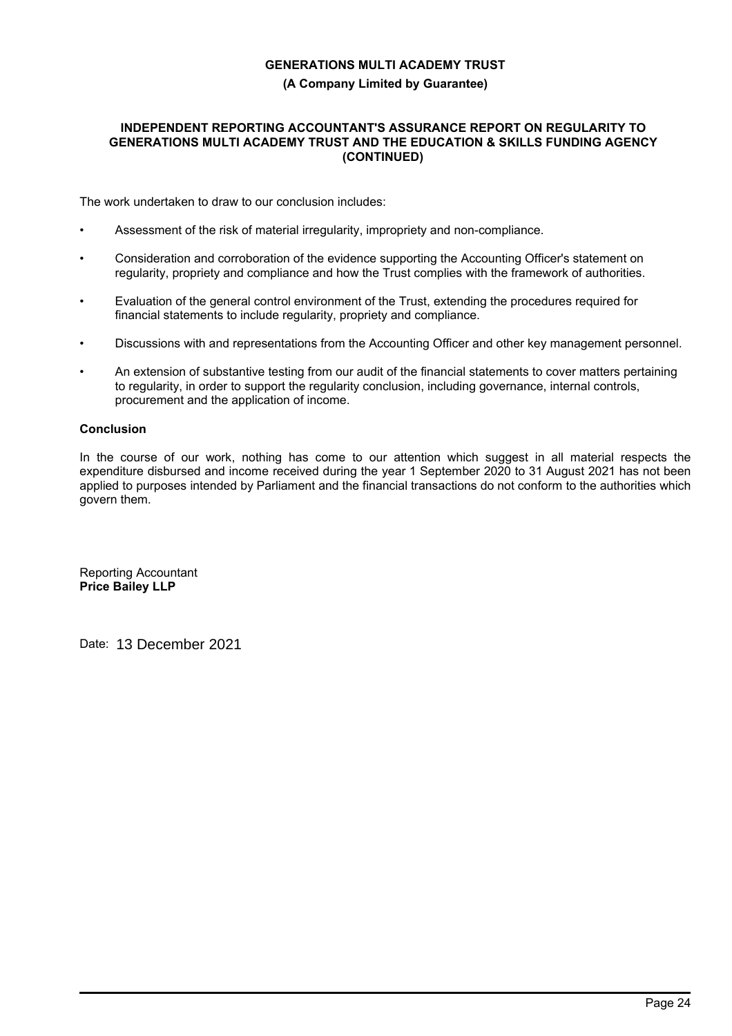## **GENERATIONS MULTI ACADEMY TRUST (A Company Limited by Guarantee)**

## **INDEPENDENT REPORTING ACCOUNTANT'S ASSURANCE REPORT ON REGULARITY TO GENERATIONS MULTI ACADEMY TRUST AND THE EDUCATION & SKILLS FUNDING AGENCY (CONTINUED)**

The work undertaken to draw to our conclusion includes:

- Assessment of the risk of material irregularity, impropriety and non-compliance.
- Consideration and corroboration of the evidence supporting the Accounting Officer's statement on regularity, propriety and compliance and how the Trust complies with the framework of authorities.
- Evaluation of the general control environment of the Trust, extending the procedures required for financial statements to include regularity, propriety and compliance.
- Discussions with and representations from the Accounting Officer and other key management personnel.
- An extension of substantive testing from our audit of the financial statements to cover matters pertaining to regularity, in order to support the regularity conclusion, including governance, internal controls, procurement and the application of income.

## **Conclusion**

In the course of our work, nothing has come to our attention which suggest in all material respects the expenditure disbursed and income received during the year 1 September 2020 to 31 August 2021 has not been applied to purposes intended by Parliament and the financial transactions do not conform to the authorities which govern them.

Reporting Accountant **Price Bailey LLP**

Date: 13 December 2021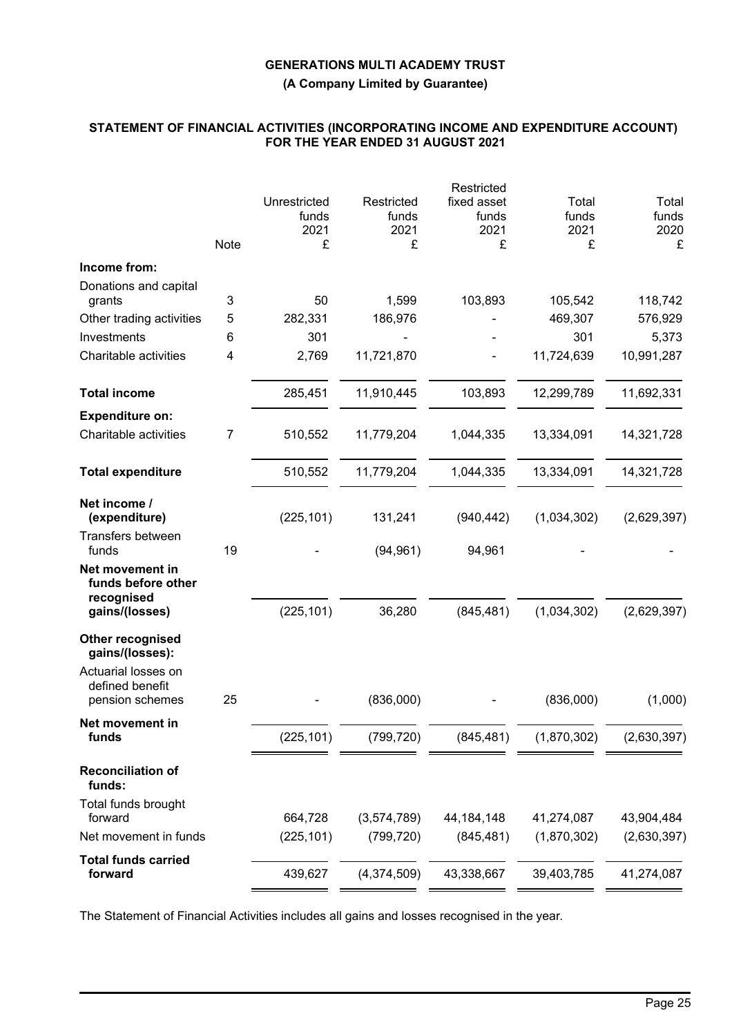**(A Company Limited by Guarantee)**

## **STATEMENT OF FINANCIAL ACTIVITIES (INCORPORATING INCOME AND EXPENDITURE ACCOUNT) FOR THE YEAR ENDED 31 AUGUST 2021**

|                                                           |      |                                    |                                  | Restricted                        |                             |                             |
|-----------------------------------------------------------|------|------------------------------------|----------------------------------|-----------------------------------|-----------------------------|-----------------------------|
|                                                           | Note | Unrestricted<br>funds<br>2021<br>£ | Restricted<br>funds<br>2021<br>£ | fixed asset<br>funds<br>2021<br>£ | Total<br>funds<br>2021<br>£ | Total<br>funds<br>2020<br>£ |
| Income from:                                              |      |                                    |                                  |                                   |                             |                             |
| Donations and capital<br>grants                           | 3    | 50                                 | 1,599                            | 103,893                           | 105,542                     | 118,742                     |
| Other trading activities                                  | 5    | 282,331                            | 186,976                          |                                   | 469,307                     | 576,929                     |
| Investments                                               | 6    | 301                                |                                  |                                   | 301                         | 5,373                       |
| Charitable activities                                     | 4    | 2,769                              | 11,721,870                       |                                   | 11,724,639                  | 10,991,287                  |
| <b>Total income</b>                                       |      | 285,451                            | 11,910,445                       | 103,893                           | 12,299,789                  | 11,692,331                  |
| <b>Expenditure on:</b>                                    |      |                                    |                                  |                                   |                             |                             |
| Charitable activities                                     | 7    | 510,552                            | 11,779,204                       | 1,044,335                         | 13,334,091                  | 14,321,728                  |
| <b>Total expenditure</b>                                  |      | 510,552                            | 11,779,204                       | 1,044,335                         | 13,334,091                  | 14,321,728                  |
| Net income /<br>(expenditure)                             |      | (225, 101)                         | 131,241                          | (940, 442)                        | (1,034,302)                 | (2,629,397)                 |
| <b>Transfers between</b><br>funds                         | 19   |                                    | (94, 961)                        | 94,961                            |                             |                             |
| Net movement in<br>funds before other<br>recognised       |      |                                    |                                  |                                   |                             |                             |
| gains/(losses)                                            |      | (225, 101)                         | 36,280                           | (845, 481)                        | (1,034,302)                 | (2,629,397)                 |
| Other recognised<br>gains/(losses):                       |      |                                    |                                  |                                   |                             |                             |
| Actuarial losses on<br>defined benefit<br>pension schemes | 25   |                                    | (836,000)                        |                                   | (836,000)                   | (1,000)                     |
|                                                           |      |                                    |                                  |                                   |                             |                             |
| Net movement in<br>funds                                  |      | (225, 101)                         | (799, 720)                       | (845, 481)                        | (1,870,302)                 | (2,630,397)                 |
| <b>Reconciliation of</b><br>funds:                        |      |                                    |                                  |                                   |                             |                             |
| Total funds brought<br>forward                            |      | 664,728                            | (3,574,789)                      | 44, 184, 148                      | 41,274,087                  | 43,904,484                  |
| Net movement in funds                                     |      | (225, 101)                         | (799, 720)                       | (845, 481)                        | (1,870,302)                 | (2,630,397)                 |
| <b>Total funds carried</b><br>forward                     |      | 439,627                            | (4,374,509)                      | 43,338,667                        | 39,403,785                  | 41,274,087                  |
|                                                           |      |                                    |                                  |                                   |                             |                             |

The Statement of Financial Activities includes all gains and losses recognised in the year.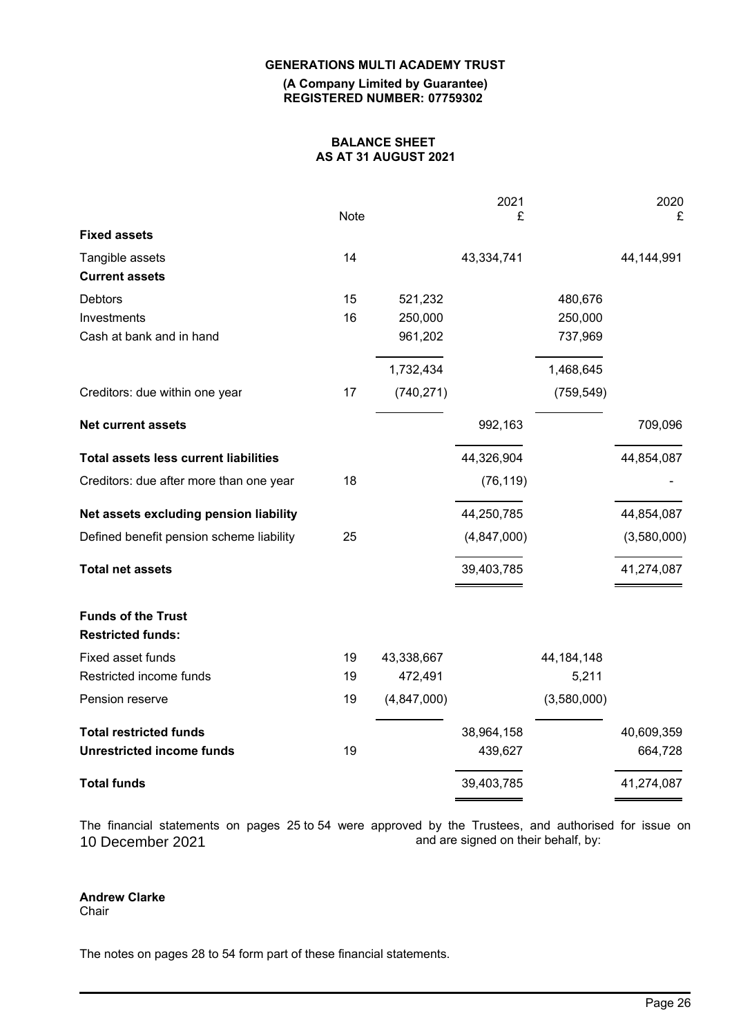**(A Company Limited by Guarantee) REGISTERED NUMBER: 07759302**

## **BALANCE SHEET AS AT 31 AUGUST 2021**

| £<br>Note<br><b>Fixed assets</b><br>Tangible assets<br>14<br>43,334,741<br>44, 144, 991<br><b>Current assets</b><br>Debtors<br>15<br>521,232<br>480,676<br>16<br>250,000<br>250,000<br>Investments<br>Cash at bank and in hand<br>961,202<br>737,969<br>1,732,434<br>1,468,645<br>17<br>(740, 271)<br>(759, 549)<br>Creditors: due within one year<br>992,163<br><b>Net current assets</b><br><b>Total assets less current liabilities</b><br>44,326,904<br>44,854,087<br>18<br>(76, 119)<br>Creditors: due after more than one year<br>Net assets excluding pension liability<br>44,250,785<br>44,854,087<br>25<br>Defined benefit pension scheme liability<br>(4,847,000)<br>(3,580,000)<br>41,274,087<br><b>Total net assets</b><br>39,403,785<br><b>Funds of the Trust</b><br><b>Restricted funds:</b> | £<br>709,096 |
|------------------------------------------------------------------------------------------------------------------------------------------------------------------------------------------------------------------------------------------------------------------------------------------------------------------------------------------------------------------------------------------------------------------------------------------------------------------------------------------------------------------------------------------------------------------------------------------------------------------------------------------------------------------------------------------------------------------------------------------------------------------------------------------------------------|--------------|
|                                                                                                                                                                                                                                                                                                                                                                                                                                                                                                                                                                                                                                                                                                                                                                                                            |              |
|                                                                                                                                                                                                                                                                                                                                                                                                                                                                                                                                                                                                                                                                                                                                                                                                            |              |
|                                                                                                                                                                                                                                                                                                                                                                                                                                                                                                                                                                                                                                                                                                                                                                                                            |              |
|                                                                                                                                                                                                                                                                                                                                                                                                                                                                                                                                                                                                                                                                                                                                                                                                            |              |
|                                                                                                                                                                                                                                                                                                                                                                                                                                                                                                                                                                                                                                                                                                                                                                                                            |              |
|                                                                                                                                                                                                                                                                                                                                                                                                                                                                                                                                                                                                                                                                                                                                                                                                            |              |
|                                                                                                                                                                                                                                                                                                                                                                                                                                                                                                                                                                                                                                                                                                                                                                                                            |              |
|                                                                                                                                                                                                                                                                                                                                                                                                                                                                                                                                                                                                                                                                                                                                                                                                            |              |
|                                                                                                                                                                                                                                                                                                                                                                                                                                                                                                                                                                                                                                                                                                                                                                                                            |              |
|                                                                                                                                                                                                                                                                                                                                                                                                                                                                                                                                                                                                                                                                                                                                                                                                            |              |
|                                                                                                                                                                                                                                                                                                                                                                                                                                                                                                                                                                                                                                                                                                                                                                                                            |              |
|                                                                                                                                                                                                                                                                                                                                                                                                                                                                                                                                                                                                                                                                                                                                                                                                            |              |
|                                                                                                                                                                                                                                                                                                                                                                                                                                                                                                                                                                                                                                                                                                                                                                                                            |              |
|                                                                                                                                                                                                                                                                                                                                                                                                                                                                                                                                                                                                                                                                                                                                                                                                            |              |
|                                                                                                                                                                                                                                                                                                                                                                                                                                                                                                                                                                                                                                                                                                                                                                                                            |              |
| Fixed asset funds<br>19<br>43,338,667<br>44, 184, 148                                                                                                                                                                                                                                                                                                                                                                                                                                                                                                                                                                                                                                                                                                                                                      |              |
| Restricted income funds<br>19<br>472,491<br>5,211                                                                                                                                                                                                                                                                                                                                                                                                                                                                                                                                                                                                                                                                                                                                                          |              |
| 19<br>(4, 847, 000)<br>(3,580,000)<br>Pension reserve                                                                                                                                                                                                                                                                                                                                                                                                                                                                                                                                                                                                                                                                                                                                                      |              |
| <b>Total restricted funds</b><br>38,964,158<br>40,609,359                                                                                                                                                                                                                                                                                                                                                                                                                                                                                                                                                                                                                                                                                                                                                  |              |
| <b>Unrestricted income funds</b><br>19<br>439,627                                                                                                                                                                                                                                                                                                                                                                                                                                                                                                                                                                                                                                                                                                                                                          | 664,728      |
| <b>Total funds</b><br>39,403,785<br>41,274,087                                                                                                                                                                                                                                                                                                                                                                                                                                                                                                                                                                                                                                                                                                                                                             |              |

The financial statements on pages 25 to 54 were approved by the Trustees, and authorised for issue on and are signed on their behalf, by: 10 December 2021

## **Andrew Clarke**

**Chair** 

The notes on pages 28 to 54 form part of these financial statements.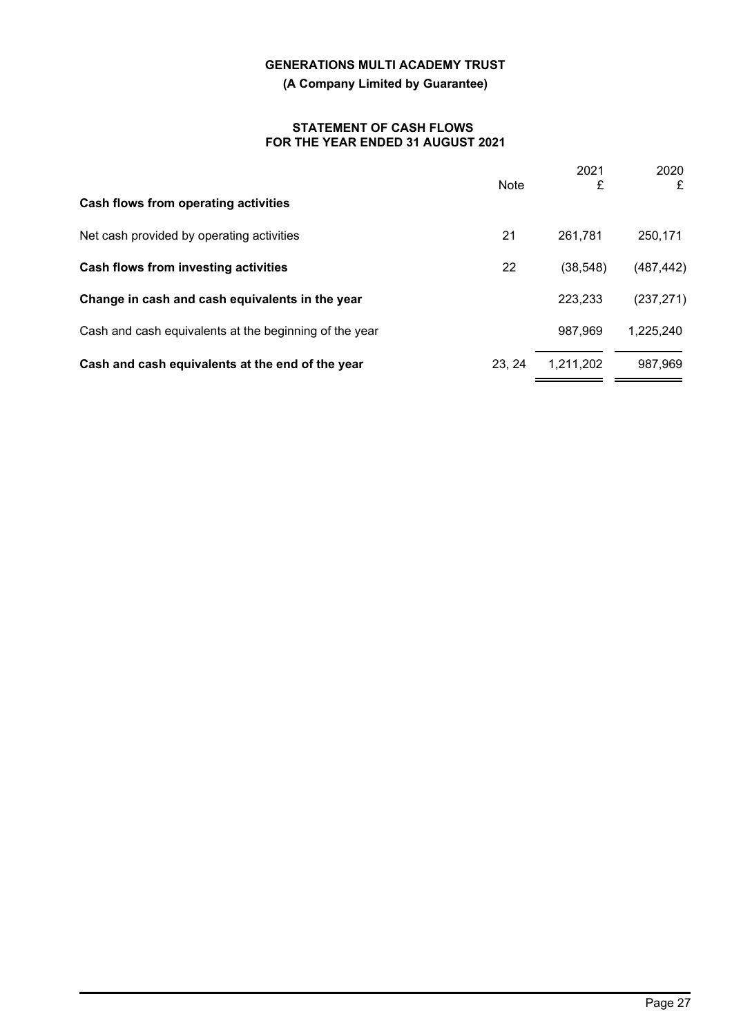**(A Company Limited by Guarantee)**

## **STATEMENT OF CASH FLOWS FOR THE YEAR ENDED 31 AUGUST 2021**

|                                                        | <b>Note</b> | 2021<br>£ | 2020<br>£  |
|--------------------------------------------------------|-------------|-----------|------------|
| Cash flows from operating activities                   |             |           |            |
| Net cash provided by operating activities              | 21          | 261,781   | 250,171    |
| Cash flows from investing activities                   | 22          | (38, 548) | (487, 442) |
| Change in cash and cash equivalents in the year        |             | 223,233   | (237, 271) |
| Cash and cash equivalents at the beginning of the year |             | 987,969   | 1,225,240  |
| Cash and cash equivalents at the end of the year       | 23.24       | 1.211.202 | 987,969    |
|                                                        |             |           |            |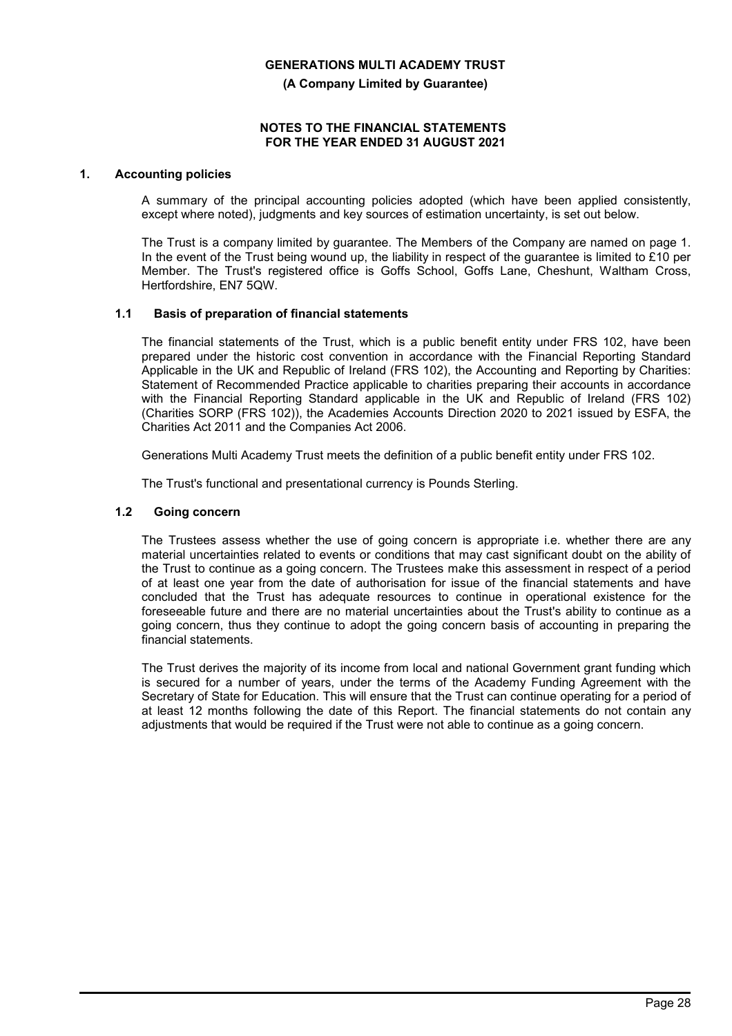**(A Company Limited by Guarantee)**

#### **NOTES TO THE FINANCIAL STATEMENTS FOR THE YEAR ENDED 31 AUGUST 2021**

## **1. Accounting policies**

A summary of the principal accounting policies adopted (which have been applied consistently, except where noted), judgments and key sources of estimation uncertainty, is set out below.

The Trust is a company limited by guarantee. The Members of the Company are named on page 1. In the event of the Trust being wound up, the liability in respect of the guarantee is limited to £10 per Member. The Trust's registered office is Goffs School, Goffs Lane, Cheshunt, Waltham Cross, Hertfordshire, EN7 5QW.

## **1.1 Basis of preparation of financial statements**

The financial statements of the Trust, which is a public benefit entity under FRS 102, have been prepared under the historic cost convention in accordance with the Financial Reporting Standard Applicable in the UK and Republic of Ireland (FRS 102), the Accounting and Reporting by Charities: Statement of Recommended Practice applicable to charities preparing their accounts in accordance with the Financial Reporting Standard applicable in the UK and Republic of Ireland (FRS 102) (Charities SORP (FRS 102)), the Academies Accounts Direction 2020 to 2021 issued by ESFA, the Charities Act 2011 and the Companies Act 2006.

Generations Multi Academy Trust meets the definition of a public benefit entity under FRS 102.

The Trust's functional and presentational currency is Pounds Sterling.

## **1.2 Going concern**

The Trustees assess whether the use of going concern is appropriate i.e. whether there are any material uncertainties related to events or conditions that may cast significant doubt on the ability of the Trust to continue as a going concern. The Trustees make this assessment in respect of a period of at least one year from the date of authorisation for issue of the financial statements and have concluded that the Trust has adequate resources to continue in operational existence for the foreseeable future and there are no material uncertainties about the Trust's ability to continue as a going concern, thus they continue to adopt the going concern basis of accounting in preparing the financial statements.

The Trust derives the majority of its income from local and national Government grant funding which is secured for a number of years, under the terms of the Academy Funding Agreement with the Secretary of State for Education. This will ensure that the Trust can continue operating for a period of at least 12 months following the date of this Report. The financial statements do not contain any adjustments that would be required if the Trust were not able to continue as a going concern.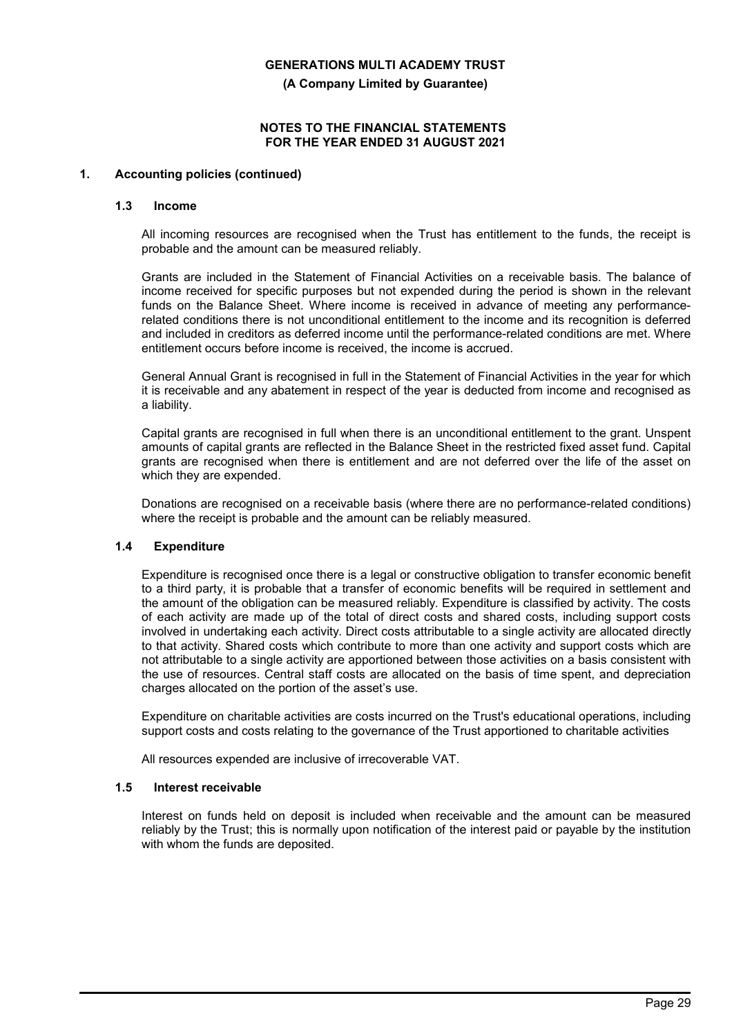**(A Company Limited by Guarantee)**

### **NOTES TO THE FINANCIAL STATEMENTS FOR THE YEAR ENDED 31 AUGUST 2021**

## **1. Accounting policies (continued)**

#### **1.3 Income**

All incoming resources are recognised when the Trust has entitlement to the funds, the receipt is probable and the amount can be measured reliably.

Grants are included in the Statement of Financial Activities on a receivable basis. The balance of income received for specific purposes but not expended during the period is shown in the relevant funds on the Balance Sheet. Where income is received in advance of meeting any performancerelated conditions there is not unconditional entitlement to the income and its recognition is deferred and included in creditors as deferred income until the performance-related conditions are met. Where entitlement occurs before income is received, the income is accrued.

General Annual Grant is recognised in full in the Statement of Financial Activities in the year for which it is receivable and any abatement in respect of the year is deducted from income and recognised as a liability.

Capital grants are recognised in full when there is an unconditional entitlement to the grant. Unspent amounts of capital grants are reflected in the Balance Sheet in the restricted fixed asset fund. Capital grants are recognised when there is entitlement and are not deferred over the life of the asset on which they are expended.

Donations are recognised on a receivable basis (where there are no performance-related conditions) where the receipt is probable and the amount can be reliably measured.

## **1.4 Expenditure**

Expenditure is recognised once there is a legal or constructive obligation to transfer economic benefit to a third party, it is probable that a transfer of economic benefits will be required in settlement and the amount of the obligation can be measured reliably. Expenditure is classified by activity. The costs of each activity are made up of the total of direct costs and shared costs, including support costs involved in undertaking each activity. Direct costs attributable to a single activity are allocated directly to that activity. Shared costs which contribute to more than one activity and support costs which are not attributable to a single activity are apportioned between those activities on a basis consistent with the use of resources. Central staff costs are allocated on the basis of time spent, and depreciation charges allocated on the portion of the asset's use.

Expenditure on charitable activities are costs incurred on the Trust's educational operations, including support costs and costs relating to the governance of the Trust apportioned to charitable activities

All resources expended are inclusive of irrecoverable VAT.

#### **1.5 Interest receivable**

Interest on funds held on deposit is included when receivable and the amount can be measured reliably by the Trust; this is normally upon notification of the interest paid or payable by the institution with whom the funds are deposited.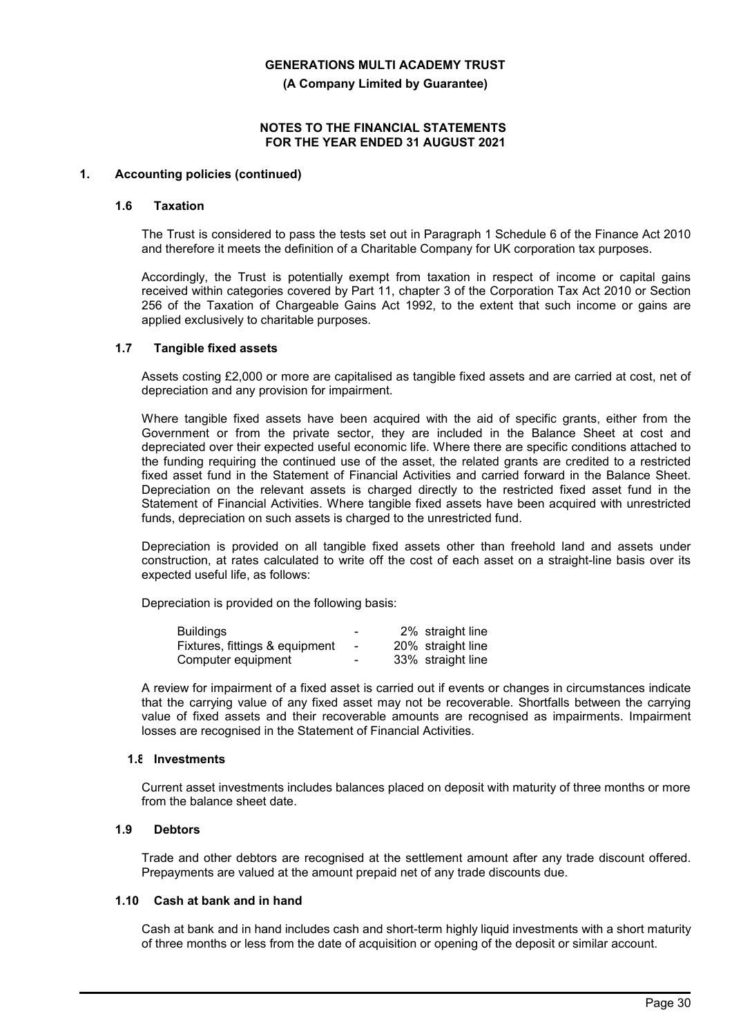**(A Company Limited by Guarantee)**

## **NOTES TO THE FINANCIAL STATEMENTS FOR THE YEAR ENDED 31 AUGUST 2021**

## **1. Accounting policies (continued)**

#### **1.6 Taxation**

The Trust is considered to pass the tests set out in Paragraph 1 Schedule 6 of the Finance Act 2010 and therefore it meets the definition of a Charitable Company for UK corporation tax purposes.

Accordingly, the Trust is potentially exempt from taxation in respect of income or capital gains received within categories covered by Part 11, chapter 3 of the Corporation Tax Act 2010 or Section 256 of the Taxation of Chargeable Gains Act 1992, to the extent that such income or gains are applied exclusively to charitable purposes.

#### **1.7 Tangible fixed assets**

Assets costing £2,000 or more are capitalised as tangible fixed assets and are carried at cost, net of depreciation and any provision for impairment.

Where tangible fixed assets have been acquired with the aid of specific grants, either from the Government or from the private sector, they are included in the Balance Sheet at cost and depreciated over their expected useful economic life. Where there are specific conditions attached to the funding requiring the continued use of the asset, the related grants are credited to a restricted fixed asset fund in the Statement of Financial Activities and carried forward in the Balance Sheet. Depreciation on the relevant assets is charged directly to the restricted fixed asset fund in the Statement of Financial Activities. Where tangible fixed assets have been acquired with unrestricted funds, depreciation on such assets is charged to the unrestricted fund.

Depreciation is provided on all tangible fixed assets other than freehold land and assets under construction, at rates calculated to write off the cost of each asset on a straight-line basis over its expected useful life, as follows:

Depreciation is provided on the following basis:

| <b>Buildings</b>               | -                        | 2% straight line  |
|--------------------------------|--------------------------|-------------------|
| Fixtures, fittings & equipment | $\sim$                   | 20% straight line |
| Computer equipment             | $\overline{\phantom{0}}$ | 33% straight line |

A review for impairment of a fixed asset is carried out if events or changes in circumstances indicate that the carrying value of any fixed asset may not be recoverable. Shortfalls between the carrying value of fixed assets and their recoverable amounts are recognised as impairments. Impairment losses are recognised in the Statement of Financial Activities.

#### **1.8 Investments**

Current asset investments includes balances placed on deposit with maturity of three months or more from the balance sheet date.

## **1.9 Debtors**

Trade and other debtors are recognised at the settlement amount after any trade discount offered. Prepayments are valued at the amount prepaid net of any trade discounts due.

#### **1.10 Cash at bank and in hand**

Cash at bank and in hand includes cash and short-term highly liquid investments with a short maturity of three months or less from the date of acquisition or opening of the deposit or similar account.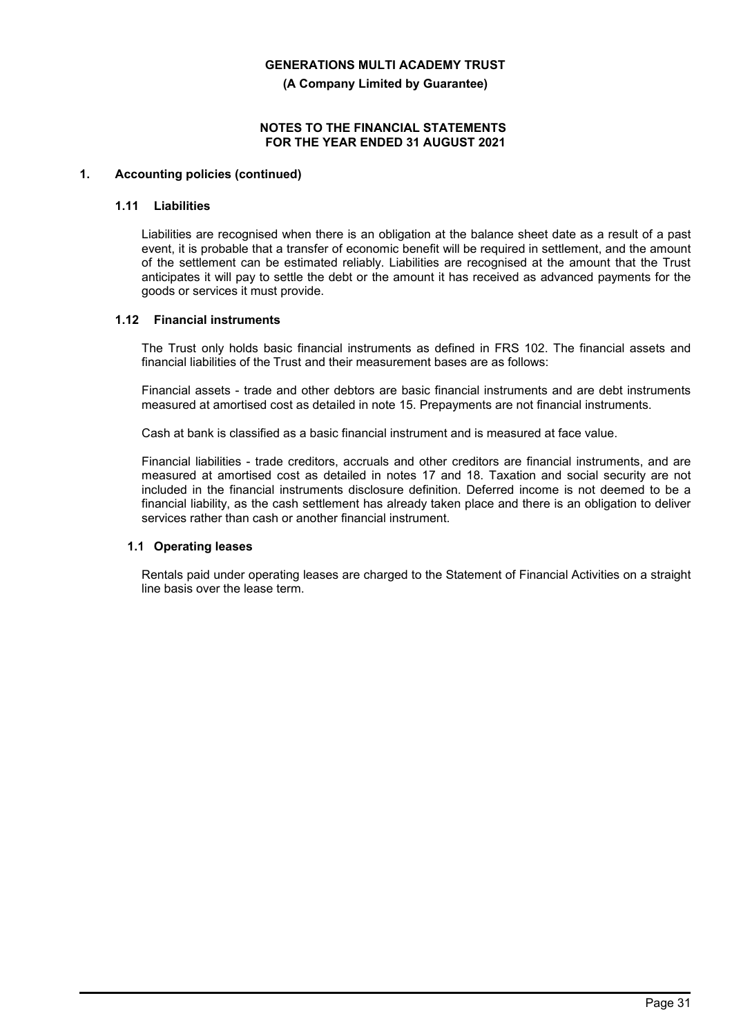**(A Company Limited by Guarantee)**

## **NOTES TO THE FINANCIAL STATEMENTS FOR THE YEAR ENDED 31 AUGUST 2021**

## **1. Accounting policies (continued)**

#### **1.11 Liabilities**

Liabilities are recognised when there is an obligation at the balance sheet date as a result of a past event, it is probable that a transfer of economic benefit will be required in settlement, and the amount of the settlement can be estimated reliably. Liabilities are recognised at the amount that the Trust anticipates it will pay to settle the debt or the amount it has received as advanced payments for the goods or services it must provide.

## **1.12 Financial instruments**

The Trust only holds basic financial instruments as defined in FRS 102. The financial assets and financial liabilities of the Trust and their measurement bases are as follows:

Financial assets - trade and other debtors are basic financial instruments and are debt instruments measured at amortised cost as detailed in note 15. Prepayments are not financial instruments.

Cash at bank is classified as a basic financial instrument and is measured at face value.

Financial liabilities - trade creditors, accruals and other creditors are financial instruments, and are measured at amortised cost as detailed in notes 17 and 18. Taxation and social security are not included in the financial instruments disclosure definition. Deferred income is not deemed to be a financial liability, as the cash settlement has already taken place and there is an obligation to deliver services rather than cash or another financial instrument.

## **1.1 Operating leases**

Rentals paid under operating leases are charged to the Statement of Financial Activities on a straight line basis over the lease term.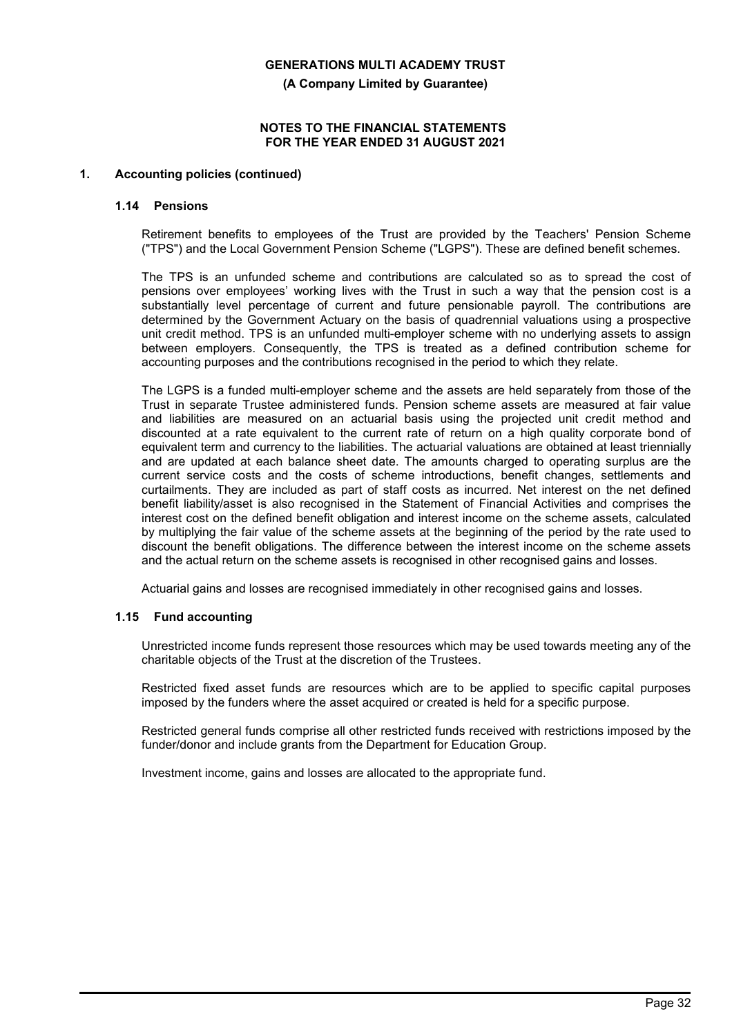**(A Company Limited by Guarantee)**

### **NOTES TO THE FINANCIAL STATEMENTS FOR THE YEAR ENDED 31 AUGUST 2021**

## **1. Accounting policies (continued)**

## **1.14 Pensions**

Retirement benefits to employees of the Trust are provided by the Teachers' Pension Scheme ("TPS") and the Local Government Pension Scheme ("LGPS"). These are defined benefit schemes.

The TPS is an unfunded scheme and contributions are calculated so as to spread the cost of pensions over employees' working lives with the Trust in such a way that the pension cost is a substantially level percentage of current and future pensionable payroll. The contributions are determined by the Government Actuary on the basis of quadrennial valuations using a prospective unit credit method. TPS is an unfunded multi-employer scheme with no underlying assets to assign between employers. Consequently, the TPS is treated as a defined contribution scheme for accounting purposes and the contributions recognised in the period to which they relate.

The LGPS is a funded multi-employer scheme and the assets are held separately from those of the Trust in separate Trustee administered funds. Pension scheme assets are measured at fair value and liabilities are measured on an actuarial basis using the projected unit credit method and discounted at a rate equivalent to the current rate of return on a high quality corporate bond of equivalent term and currency to the liabilities. The actuarial valuations are obtained at least triennially and are updated at each balance sheet date. The amounts charged to operating surplus are the current service costs and the costs of scheme introductions, benefit changes, settlements and curtailments. They are included as part of staff costs as incurred. Net interest on the net defined benefit liability/asset is also recognised in the Statement of Financial Activities and comprises the interest cost on the defined benefit obligation and interest income on the scheme assets, calculated by multiplying the fair value of the scheme assets at the beginning of the period by the rate used to discount the benefit obligations. The difference between the interest income on the scheme assets and the actual return on the scheme assets is recognised in other recognised gains and losses.

Actuarial gains and losses are recognised immediately in other recognised gains and losses.

#### **1.15 Fund accounting**

Unrestricted income funds represent those resources which may be used towards meeting any of the charitable objects of the Trust at the discretion of the Trustees.

Restricted fixed asset funds are resources which are to be applied to specific capital purposes imposed by the funders where the asset acquired or created is held for a specific purpose.

Restricted general funds comprise all other restricted funds received with restrictions imposed by the funder/donor and include grants from the Department for Education Group.

Investment income, gains and losses are allocated to the appropriate fund.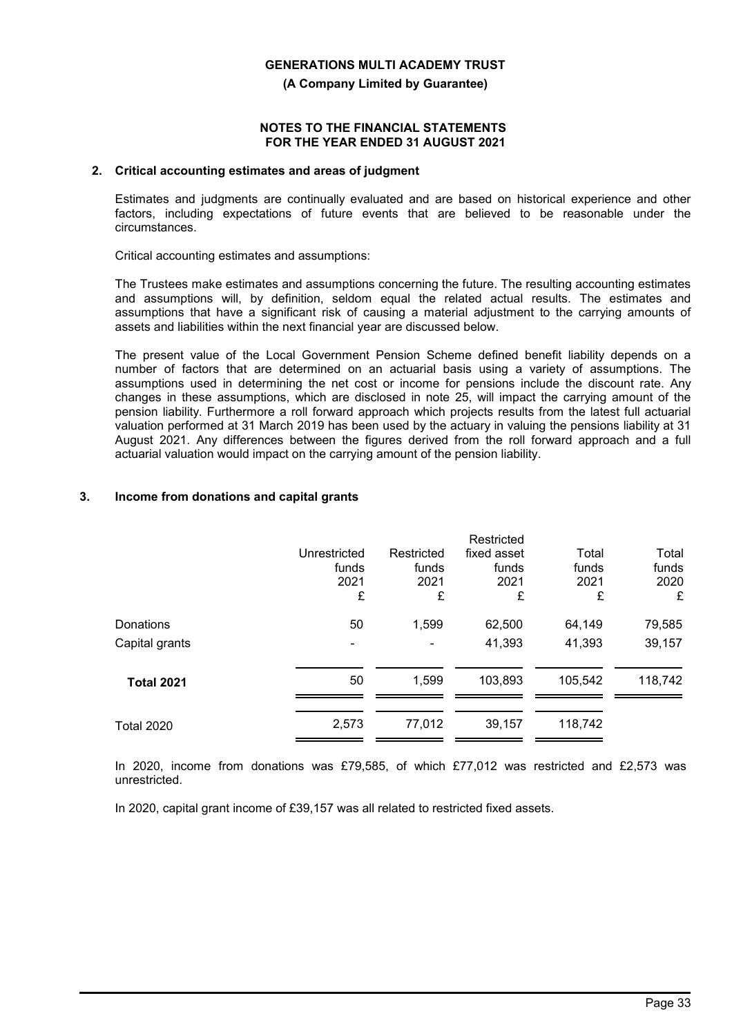**(A Company Limited by Guarantee)**

#### **NOTES TO THE FINANCIAL STATEMENTS FOR THE YEAR ENDED 31 AUGUST 2021**

## **2. Critical accounting estimates and areas of judgment**

Estimates and judgments are continually evaluated and are based on historical experience and other factors, including expectations of future events that are believed to be reasonable under the circumstances.

Critical accounting estimates and assumptions:

The Trustees make estimates and assumptions concerning the future. The resulting accounting estimates and assumptions will, by definition, seldom equal the related actual results. The estimates and assumptions that have a significant risk of causing a material adjustment to the carrying amounts of assets and liabilities within the next financial year are discussed below.

The present value of the Local Government Pension Scheme defined benefit liability depends on a number of factors that are determined on an actuarial basis using a variety of assumptions. The assumptions used in determining the net cost or income for pensions include the discount rate. Any changes in these assumptions, which are disclosed in note 25, will impact the carrying amount of the pension liability. Furthermore a roll forward approach which projects results from the latest full actuarial valuation performed at 31 March 2019 has been used by the actuary in valuing the pensions liability at 31 August 2021. Any differences between the figures derived from the roll forward approach and a full actuarial valuation would impact on the carrying amount of the pension liability.

## **3. Income from donations and capital grants**

|                   |              |            | Restricted  |         |         |
|-------------------|--------------|------------|-------------|---------|---------|
|                   | Unrestricted | Restricted | fixed asset | Total   | Total   |
|                   | funds        | funds      | funds       | funds   | funds   |
|                   | 2021         | 2021       | 2021        | 2021    | 2020    |
|                   | £            | £          | £           | £       | £       |
| Donations         | 50           | 1,599      | 62,500      | 64,149  | 79,585  |
| Capital grants    | ۰            | ۰          | 41,393      | 41,393  | 39,157  |
|                   |              |            |             |         |         |
| <b>Total 2021</b> | 50           | 1,599      | 103,893     | 105,542 | 118,742 |
|                   |              |            |             |         |         |
| <b>Total 2020</b> | 2,573        | 77,012     | 39,157      | 118,742 |         |

In 2020, income from donations was £79,585, of which £77,012 was restricted and £2,573 was unrestricted.

In 2020, capital grant income of £39,157 was all related to restricted fixed assets.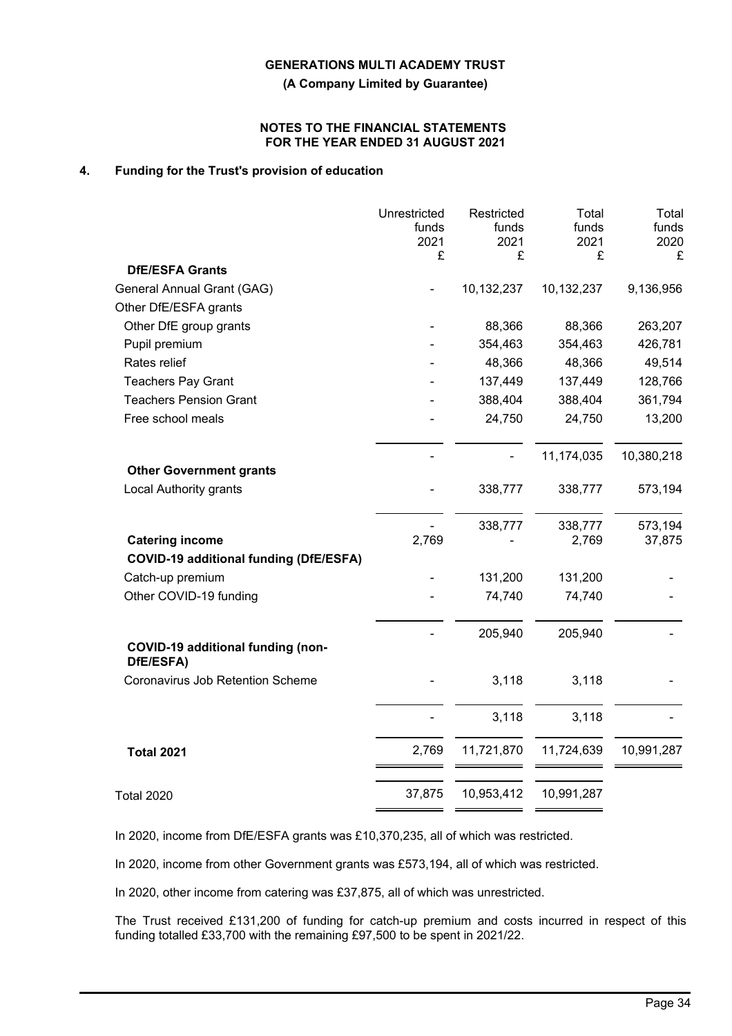**(A Company Limited by Guarantee)**

#### **NOTES TO THE FINANCIAL STATEMENTS FOR THE YEAR ENDED 31 AUGUST 2021**

## **4. Funding for the Trust's provision of education**

|                                                                 | Unrestricted<br>funds<br>2021<br>£ | Restricted<br>funds<br>2021<br>£ | Total<br>funds<br>2021<br>£ | Total<br>funds<br>2020<br>£ |
|-----------------------------------------------------------------|------------------------------------|----------------------------------|-----------------------------|-----------------------------|
| <b>DfE/ESFA Grants</b>                                          |                                    |                                  |                             |                             |
| General Annual Grant (GAG)                                      |                                    | 10,132,237                       | 10,132,237                  | 9,136,956                   |
| Other DfE/ESFA grants                                           |                                    |                                  |                             |                             |
| Other DfE group grants                                          |                                    | 88,366                           | 88,366                      | 263,207                     |
| Pupil premium                                                   |                                    | 354,463                          | 354,463                     | 426,781                     |
| Rates relief                                                    |                                    | 48,366                           | 48,366                      | 49,514                      |
| <b>Teachers Pay Grant</b>                                       |                                    | 137,449                          | 137,449                     | 128,766                     |
| <b>Teachers Pension Grant</b>                                   |                                    | 388,404                          | 388,404                     | 361,794                     |
| Free school meals                                               |                                    | 24,750                           | 24,750                      | 13,200                      |
|                                                                 |                                    |                                  | 11,174,035                  | 10,380,218                  |
| <b>Other Government grants</b><br><b>Local Authority grants</b> |                                    | 338,777                          | 338,777                     | 573,194                     |
|                                                                 |                                    | 338,777                          | 338,777                     | 573,194                     |
| <b>Catering income</b>                                          | 2,769                              |                                  | 2,769                       | 37,875                      |
| <b>COVID-19 additional funding (DfE/ESFA)</b>                   |                                    |                                  |                             |                             |
| Catch-up premium                                                |                                    | 131,200                          | 131,200                     |                             |
| Other COVID-19 funding                                          |                                    | 74,740                           | 74,740                      |                             |
| COVID-19 additional funding (non-                               |                                    | 205,940                          | 205,940                     |                             |
| DfE/ESFA)                                                       |                                    |                                  |                             |                             |
| Coronavirus Job Retention Scheme                                |                                    | 3,118                            | 3,118                       |                             |
|                                                                 |                                    | 3,118                            | 3,118                       |                             |
| <b>Total 2021</b>                                               | 2,769                              | 11,721,870                       | 11,724,639                  | 10,991,287                  |
|                                                                 | 37,875                             | 10,953,412                       | 10,991,287                  |                             |
| <b>Total 2020</b>                                               |                                    |                                  |                             |                             |

In 2020, income from DfE/ESFA grants was £10,370,235, all of which was restricted.

In 2020, income from other Government grants was £573,194, all of which was restricted.

In 2020, other income from catering was £37,875, all of which was unrestricted.

The Trust received £131,200 of funding for catch-up premium and costs incurred in respect of this funding totalled £33,700 with the remaining £97,500 to be spent in 2021/22.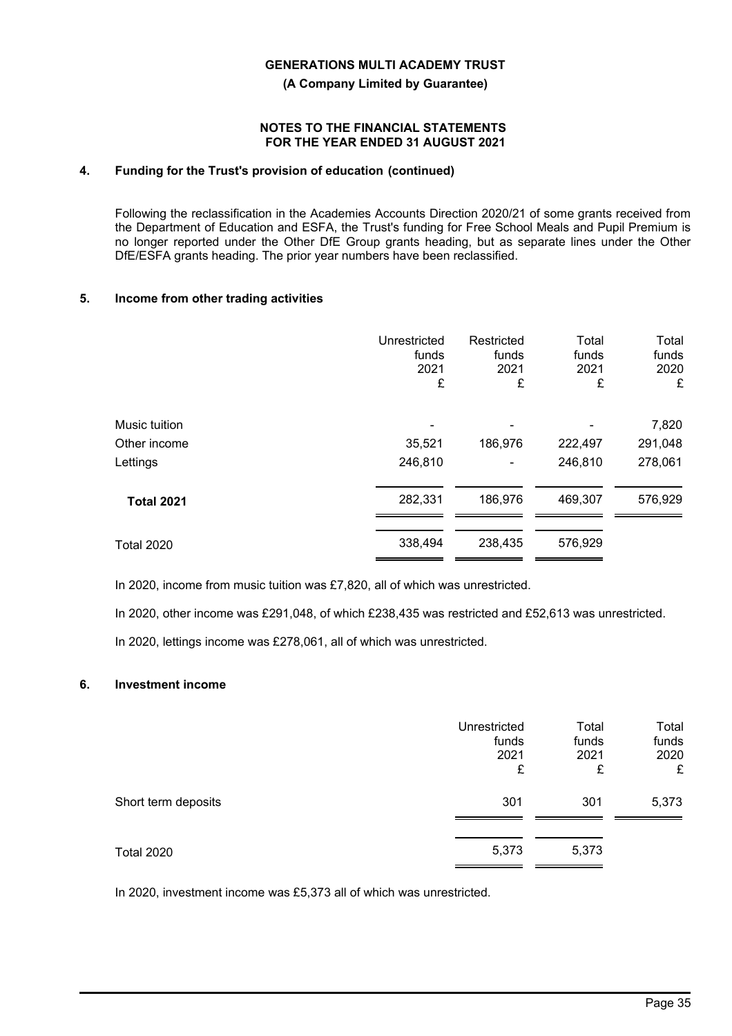**(A Company Limited by Guarantee)**

#### **NOTES TO THE FINANCIAL STATEMENTS FOR THE YEAR ENDED 31 AUGUST 2021**

## **4. Funding for the Trust's provision of education (continued)**

Following the reclassification in the Academies Accounts Direction 2020/21 of some grants received from the Department of Education and ESFA, the Trust's funding for Free School Meals and Pupil Premium is no longer reported under the Other DfE Group grants heading, but as separate lines under the Other DfE/ESFA grants heading. The prior year numbers have been reclassified.

## **5. Income from other trading activities**

|                   | Unrestricted<br>funds<br>2021<br>£ | Restricted<br>funds<br>2021<br>£ | Total<br>funds<br>2021<br>£ | Total<br>funds<br>2020<br>£ |
|-------------------|------------------------------------|----------------------------------|-----------------------------|-----------------------------|
| Music tuition     |                                    |                                  |                             | 7,820                       |
| Other income      | 35,521                             | 186,976                          | 222,497                     | 291,048                     |
| Lettings          | 246,810                            |                                  | 246,810                     | 278,061                     |
| <b>Total 2021</b> | 282,331                            | 186,976                          | 469,307                     | 576,929                     |
| <b>Total 2020</b> | 338,494                            | 238,435                          | 576,929                     |                             |

In 2020, income from music tuition was £7,820, all of which was unrestricted.

In 2020, other income was £291,048, of which £238,435 was restricted and £52,613 was unrestricted.

In 2020, lettings income was £278,061, all of which was unrestricted.

#### **6. Investment income**

|                     | Unrestricted<br>funds<br>2021<br>£ | Total<br>funds<br>2021<br>£ | Total<br>funds<br>2020<br>£ |
|---------------------|------------------------------------|-----------------------------|-----------------------------|
| Short term deposits | 301                                | 301                         | 5,373                       |
| <b>Total 2020</b>   | 5,373                              | 5,373                       |                             |

In 2020, investment income was £5,373 all of which was unrestricted.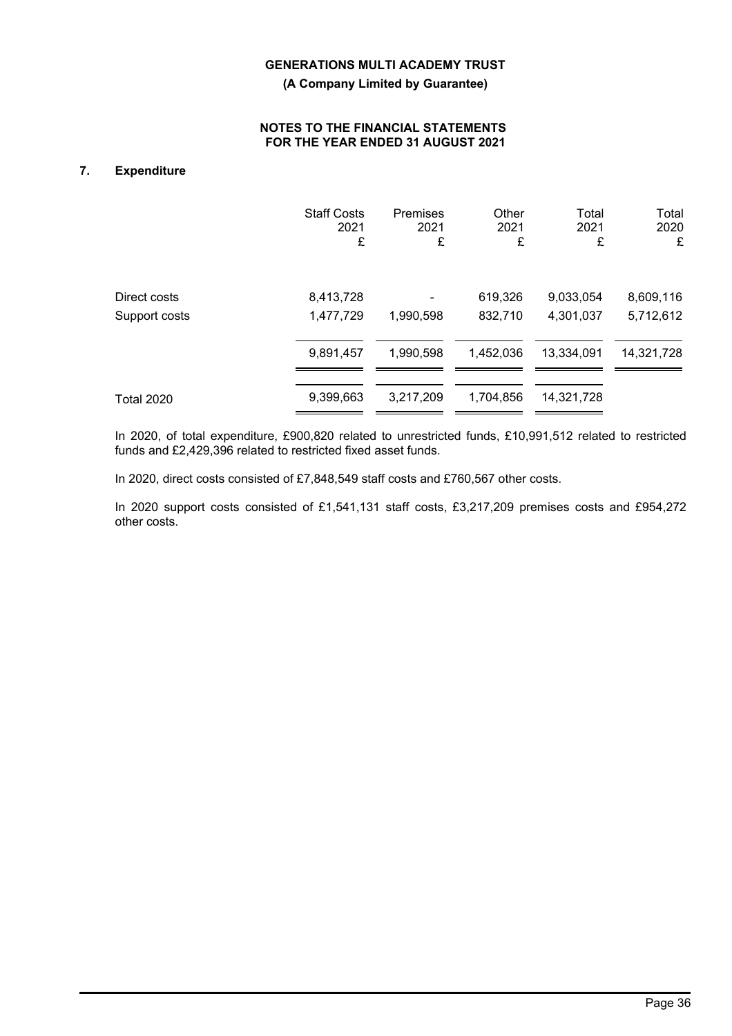**(A Company Limited by Guarantee)**

## **NOTES TO THE FINANCIAL STATEMENTS FOR THE YEAR ENDED 31 AUGUST 2021**

## **7. Expenditure**

|                   | <b>Staff Costs</b> | Premises  | Other     | Total      | Total      |
|-------------------|--------------------|-----------|-----------|------------|------------|
|                   | 2021               | 2021      | 2021      | 2021       | 2020       |
|                   | £                  | £         | £         | £          | £          |
| Direct costs      | 8,413,728          | 1,990,598 | 619,326   | 9,033,054  | 8,609,116  |
| Support costs     | 1,477,729          |           | 832,710   | 4,301,037  | 5,712,612  |
|                   | 9,891,457          | 1,990,598 | 1,452,036 | 13,334,091 | 14,321,728 |
| <b>Total 2020</b> | 9,399,663          | 3,217,209 | 1,704,856 | 14,321,728 |            |

In 2020, of total expenditure, £900,820 related to unrestricted funds, £10,991,512 related to restricted funds and £2,429,396 related to restricted fixed asset funds.

In 2020, direct costs consisted of £7,848,549 staff costs and £760,567 other costs.

In 2020 support costs consisted of £1,541,131 staff costs, £3,217,209 premises costs and £954,272 other costs.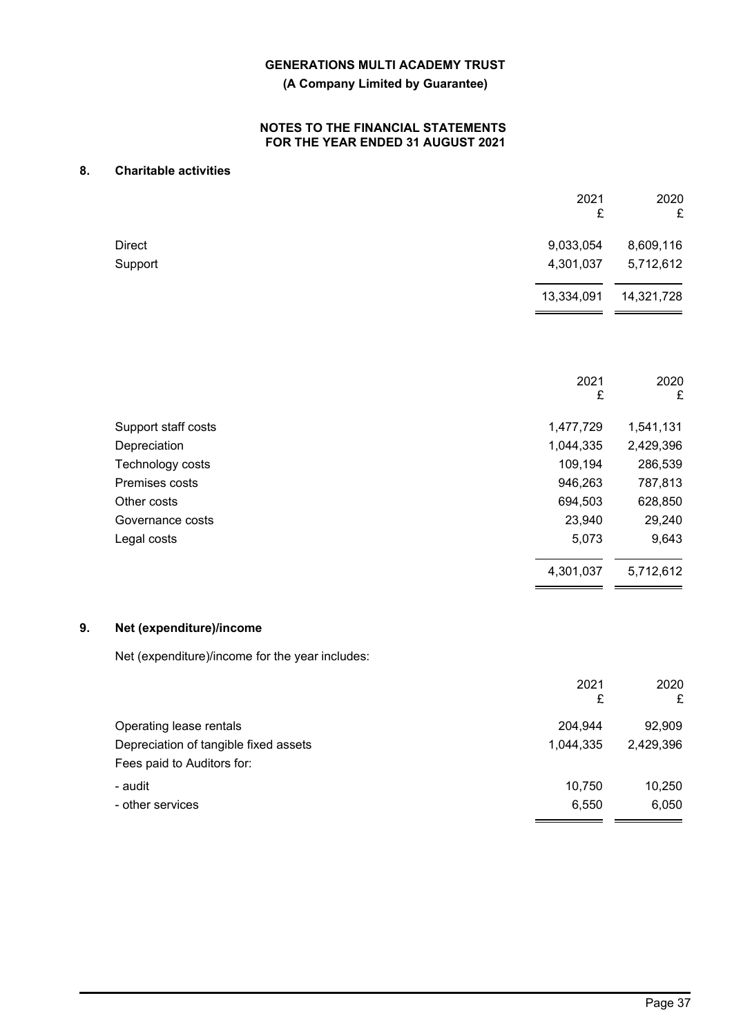**(A Company Limited by Guarantee)**

## **NOTES TO THE FINANCIAL STATEMENTS FOR THE YEAR ENDED 31 AUGUST 2021**

## **8. Charitable activities**

|    |                                                 | 2021<br>£  | 2020<br>£  |
|----|-------------------------------------------------|------------|------------|
|    | <b>Direct</b>                                   | 9,033,054  | 8,609,116  |
|    | Support                                         | 4,301,037  | 5,712,612  |
|    |                                                 | 13,334,091 | 14,321,728 |
|    |                                                 |            |            |
|    |                                                 | 2021<br>£  | 2020<br>£  |
|    | Support staff costs                             | 1,477,729  | 1,541,131  |
|    | Depreciation                                    | 1,044,335  | 2,429,396  |
|    | Technology costs                                | 109,194    | 286,539    |
|    | Premises costs                                  | 946,263    | 787,813    |
|    | Other costs                                     | 694,503    | 628,850    |
|    | Governance costs                                | 23,940     | 29,240     |
|    | Legal costs                                     | 5,073      | 9,643      |
|    |                                                 | 4,301,037  | 5,712,612  |
| 9. | Net (expenditure)/income                        |            |            |
|    | Net (expenditure)/income for the year includes: |            |            |
|    |                                                 | 2021<br>£  | 2020<br>£  |
|    | Operating lease rentals                         | 204,944    | 92,909     |
|    | Depreciation of tangible fixed assets           | 1,044,335  | 2,429,396  |

Fees paid to Auditors for:

- audit 10,750 10,250 - other services 6,050 6,050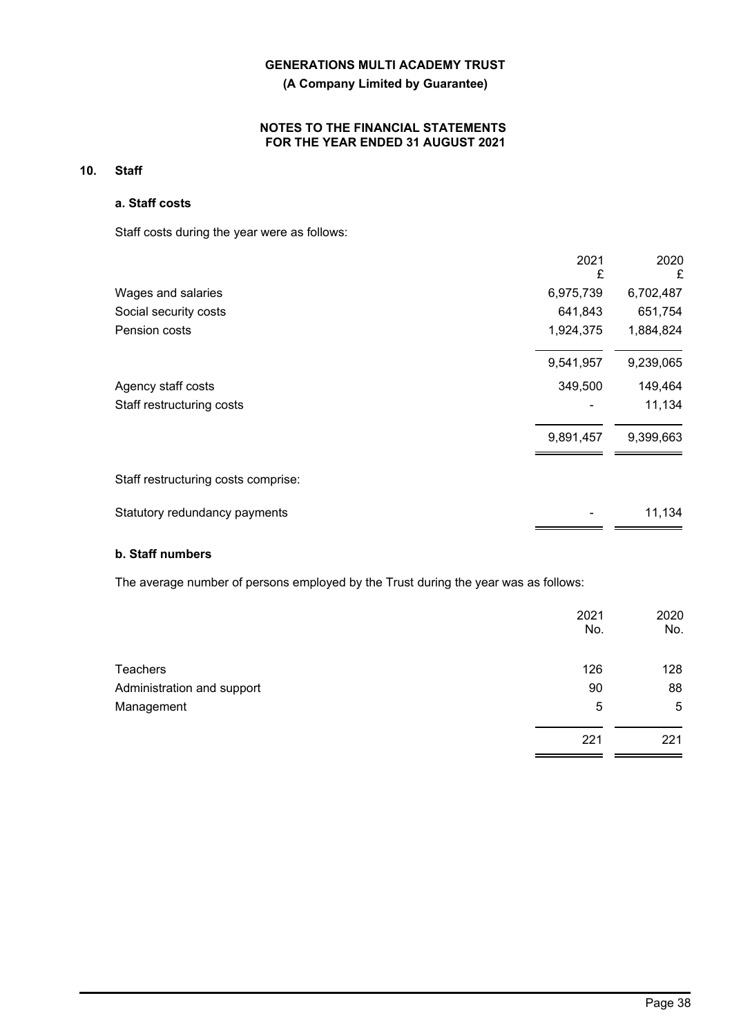**(A Company Limited by Guarantee)**

## **NOTES TO THE FINANCIAL STATEMENTS FOR THE YEAR ENDED 31 AUGUST 2021**

## **10. Staff**

## **a. Staff costs**

Staff costs during the year were as follows:

|                                     | 2021<br>£ | 2020<br>£ |
|-------------------------------------|-----------|-----------|
| Wages and salaries                  | 6,975,739 | 6,702,487 |
| Social security costs               | 641,843   | 651,754   |
| Pension costs                       | 1,924,375 | 1,884,824 |
|                                     | 9,541,957 | 9,239,065 |
| Agency staff costs                  | 349,500   | 149,464   |
| Staff restructuring costs           |           | 11,134    |
|                                     | 9,891,457 | 9,399,663 |
| Staff restructuring costs comprise: |           |           |
| Statutory redundancy payments       |           | 11,134    |

## **b. Staff numbers**

The average number of persons employed by the Trust during the year was as follows:

|                            | 2021<br>No. | 2020<br>No. |
|----------------------------|-------------|-------------|
| <b>Teachers</b>            | 126         | 128         |
| Administration and support | 90          | 88          |
| Management                 | 5           | 5           |
|                            | 221         | 221         |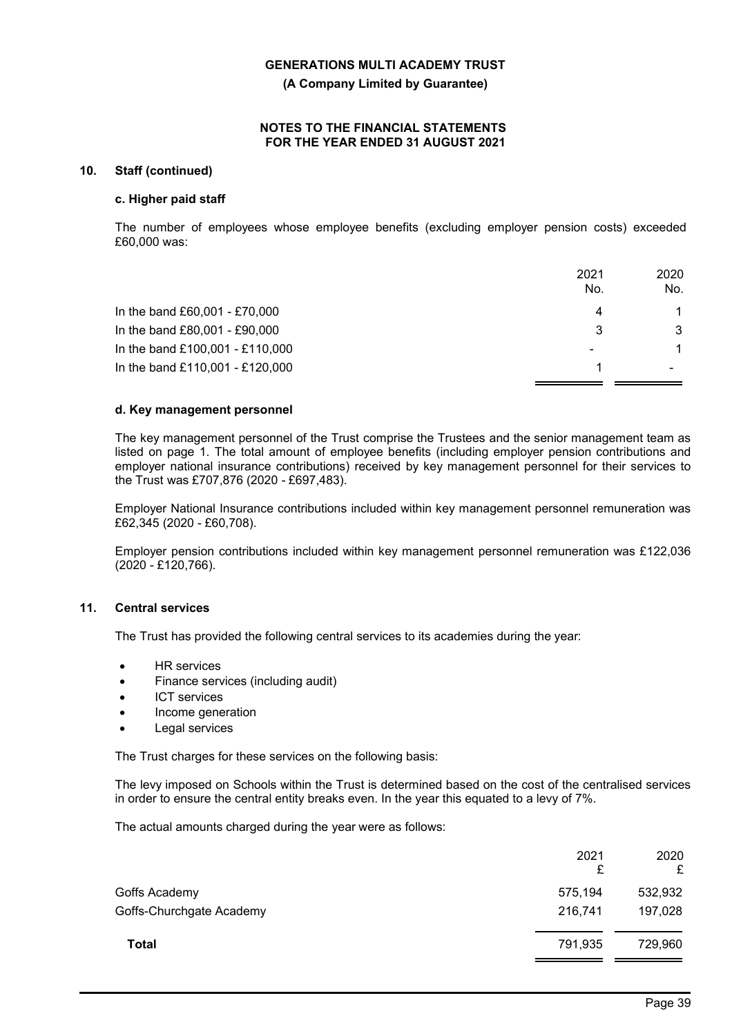**(A Company Limited by Guarantee)**

### **NOTES TO THE FINANCIAL STATEMENTS FOR THE YEAR ENDED 31 AUGUST 2021**

## **10. Staff (continued)**

#### **c. Higher paid staff**

The number of employees whose employee benefits (excluding employer pension costs) exceeded £60,000 was:

|                                 | 2021<br>No.    | 2020<br>No.    |
|---------------------------------|----------------|----------------|
| In the band £60,001 - £70,000   | 4              |                |
| In the band £80,001 - £90,000   | 3              | 3              |
| In the band £100,001 - £110,000 | $\blacksquare$ | $\overline{1}$ |
| In the band £110,001 - £120,000 |                |                |

## **d. Key management personnel**

The key management personnel of the Trust comprise the Trustees and the senior management team as listed on page 1. The total amount of employee benefits (including employer pension contributions and employer national insurance contributions) received by key management personnel for their services to the Trust was £707,876 (2020 *-* £697,483).

Employer National Insurance contributions included within key management personnel remuneration was £62,345 (2020 - £60,708).

Employer pension contributions included within key management personnel remuneration was £122,036 (2020 - £120,766).

## **11. Central services**

The Trust has provided the following central services to its academies during the year:

- **HR** services
- Finance services (including audit)
- **ICT** services
- Income generation
- Legal services

The Trust charges for these services on the following basis:

The levy imposed on Schools within the Trust is determined based on the cost of the centralised services in order to ensure the central entity breaks even. In the year this equated to a levy of 7%.

The actual amounts charged during the year were as follows:

|                          | 2021<br>£ | 2020<br>£ |
|--------------------------|-----------|-----------|
| Goffs Academy            | 575,194   | 532,932   |
| Goffs-Churchgate Academy | 216,741   | 197,028   |
| Total                    | 791,935   | 729,960   |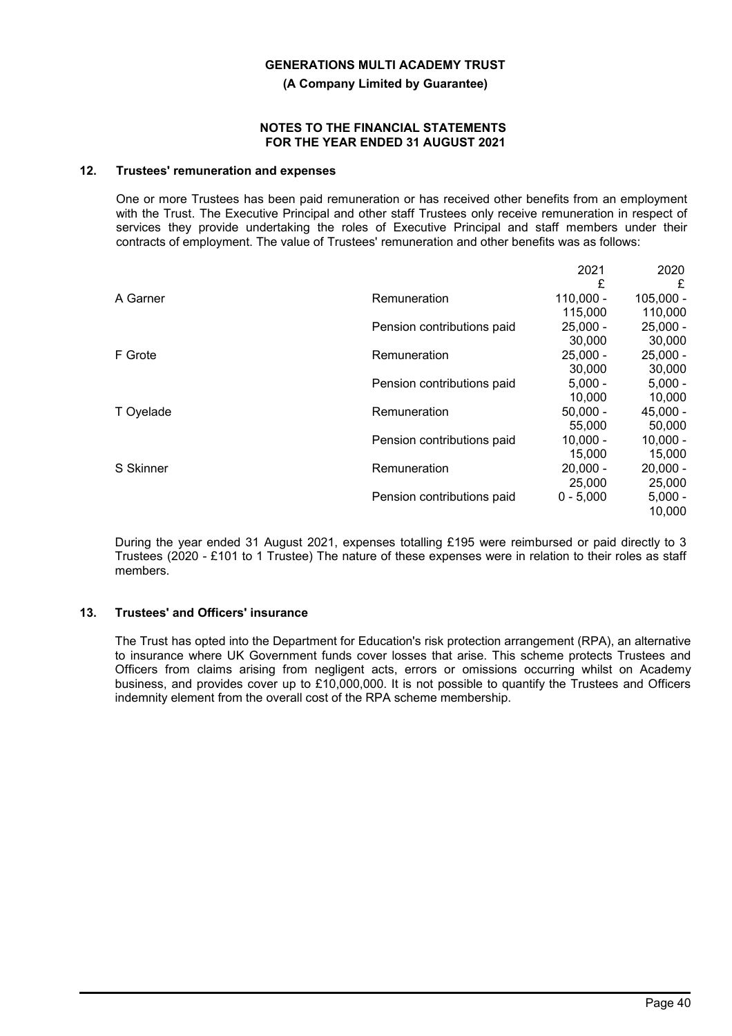**(A Company Limited by Guarantee)**

#### **NOTES TO THE FINANCIAL STATEMENTS FOR THE YEAR ENDED 31 AUGUST 2021**

## **12. Trustees' remuneration and expenses**

One or more Trustees has been paid remuneration or has received other benefits from an employment with the Trust. The Executive Principal and other staff Trustees only receive remuneration in respect of services they provide undertaking the roles of Executive Principal and staff members under their contracts of employment. The value of Trustees' remuneration and other benefits was as follows:

|           |                            | 2021        | 2020        |
|-----------|----------------------------|-------------|-------------|
|           |                            | £           | £           |
| A Garner  | Remuneration               | $110,000 -$ | $105,000 -$ |
|           |                            | 115,000     | 110,000     |
|           | Pension contributions paid | $25.000 -$  | $25,000 -$  |
|           |                            | 30,000      | 30,000      |
| F Grote   | Remuneration               | $25.000 -$  | $25,000 -$  |
|           |                            | 30,000      | 30,000      |
|           | Pension contributions paid | $5,000 -$   | $5,000 -$   |
|           |                            | 10,000      | 10,000      |
| T Oyelade | Remuneration               | $50,000 -$  | $45,000 -$  |
|           |                            | 55,000      | 50,000      |
|           | Pension contributions paid | $10,000 -$  | $10,000 -$  |
|           |                            | 15,000      | 15,000      |
| S Skinner | Remuneration               | $20,000 -$  | $20,000 -$  |
|           |                            | 25,000      | 25,000      |
|           | Pension contributions paid | $0 - 5,000$ | $5,000 -$   |
|           |                            |             | 10,000      |

During the year ended 31 August 2021, expenses totalling £195 were reimbursed or paid directly to 3 Trustees (2020 - £101 to 1 Trustee) The nature of these expenses were in relation to their roles as staff members.

## **13. Trustees' and Officers' insurance**

The Trust has opted into the Department for Education's risk protection arrangement (RPA), an alternative to insurance where UK Government funds cover losses that arise. This scheme protects Trustees and Officers from claims arising from negligent acts, errors or omissions occurring whilst on Academy business, and provides cover up to £10,000,000. It is not possible to quantify the Trustees and Officers indemnity element from the overall cost of the RPA scheme membership.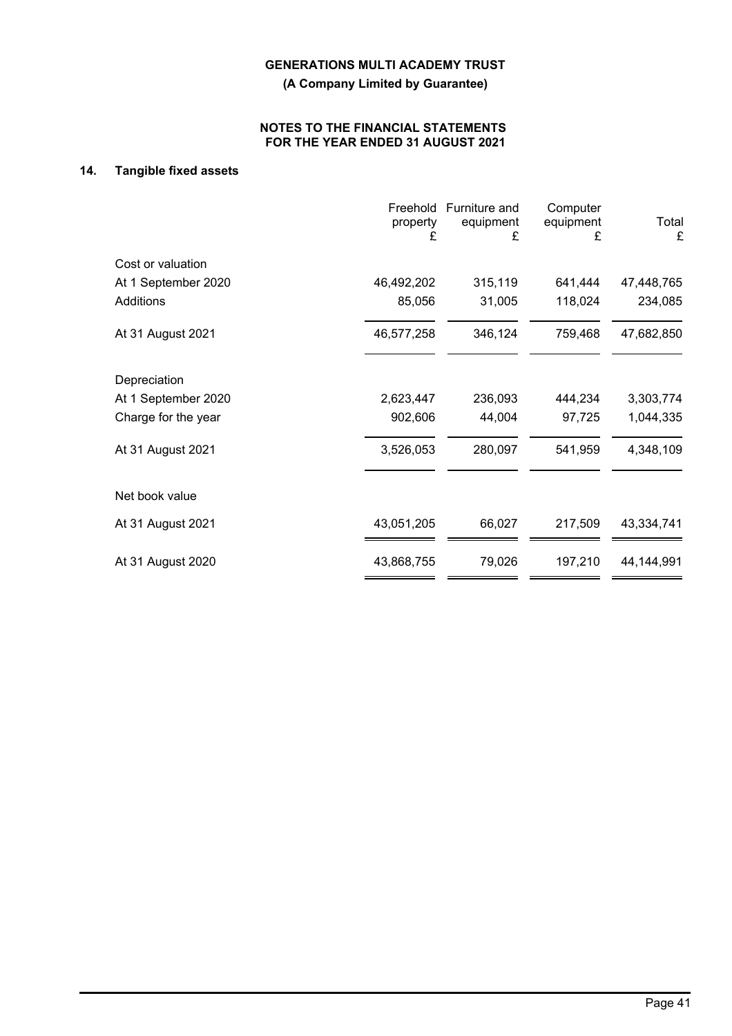**(A Company Limited by Guarantee)**

## **NOTES TO THE FINANCIAL STATEMENTS FOR THE YEAR ENDED 31 AUGUST 2021**

## **14. Tangible fixed assets**

|                     | property<br>£ | Freehold Furniture and<br>equipment<br>£ | Computer<br>equipment<br>£ | Total<br>£ |
|---------------------|---------------|------------------------------------------|----------------------------|------------|
| Cost or valuation   |               |                                          |                            |            |
| At 1 September 2020 | 46,492,202    | 315,119                                  | 641,444                    | 47,448,765 |
| <b>Additions</b>    | 85,056        | 31,005                                   | 118,024                    | 234,085    |
| At 31 August 2021   | 46,577,258    | 346,124                                  | 759,468                    | 47,682,850 |
| Depreciation        |               |                                          |                            |            |
| At 1 September 2020 | 2,623,447     | 236,093                                  | 444,234                    | 3,303,774  |
| Charge for the year | 902,606       | 44,004                                   | 97,725                     | 1,044,335  |
| At 31 August 2021   | 3,526,053     | 280,097                                  | 541,959                    | 4,348,109  |
| Net book value      |               |                                          |                            |            |
| At 31 August 2021   | 43,051,205    | 66,027                                   | 217,509                    | 43,334,741 |
| At 31 August 2020   | 43,868,755    | 79,026                                   | 197,210                    | 44,144,991 |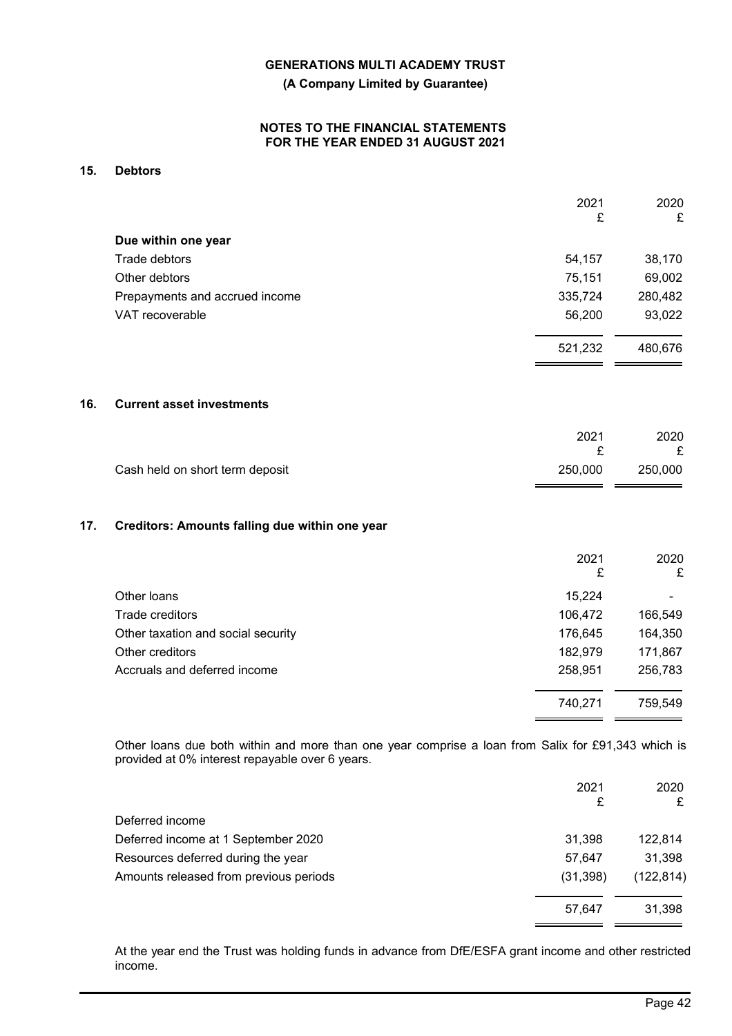**(A Company Limited by Guarantee)**

## **NOTES TO THE FINANCIAL STATEMENTS FOR THE YEAR ENDED 31 AUGUST 2021**

## **15. Debtors**

|                                | 2021    | 2020    |
|--------------------------------|---------|---------|
|                                | £       | £       |
| Due within one year            |         |         |
| Trade debtors                  | 54,157  | 38,170  |
| Other debtors                  | 75,151  | 69,002  |
| Prepayments and accrued income | 335,724 | 280,482 |
| VAT recoverable                | 56,200  | 93,022  |
|                                | 521,232 | 480,676 |
|                                |         |         |
|                                |         |         |

## **16. Current asset investments**

|                                 | 2021    | 2020<br>£ |
|---------------------------------|---------|-----------|
| Cash held on short term deposit | 250,000 | 250.000   |

## **17. Creditors: Amounts falling due within one year**

|                                    | 2021<br>£ | 2020<br>£      |
|------------------------------------|-----------|----------------|
| Other loans                        | 15,224    | $\blacksquare$ |
| Trade creditors                    | 106,472   | 166,549        |
| Other taxation and social security | 176,645   | 164,350        |
| Other creditors                    | 182,979   | 171,867        |
| Accruals and deferred income       | 258,951   | 256,783        |
|                                    | 740,271   | 759,549        |

Other loans due both within and more than one year comprise a loan from Salix for £91,343 which is provided at 0% interest repayable over 6 years.

|                                        | 2021<br>£ | 2020<br>£  |
|----------------------------------------|-----------|------------|
| Deferred income                        |           |            |
| Deferred income at 1 September 2020    | 31,398    | 122,814    |
| Resources deferred during the year     | 57.647    | 31,398     |
| Amounts released from previous periods | (31, 398) | (122, 814) |
|                                        | 57.647    | 31,398     |

At the year end the Trust was holding funds in advance from DfE/ESFA grant income and other restricted income.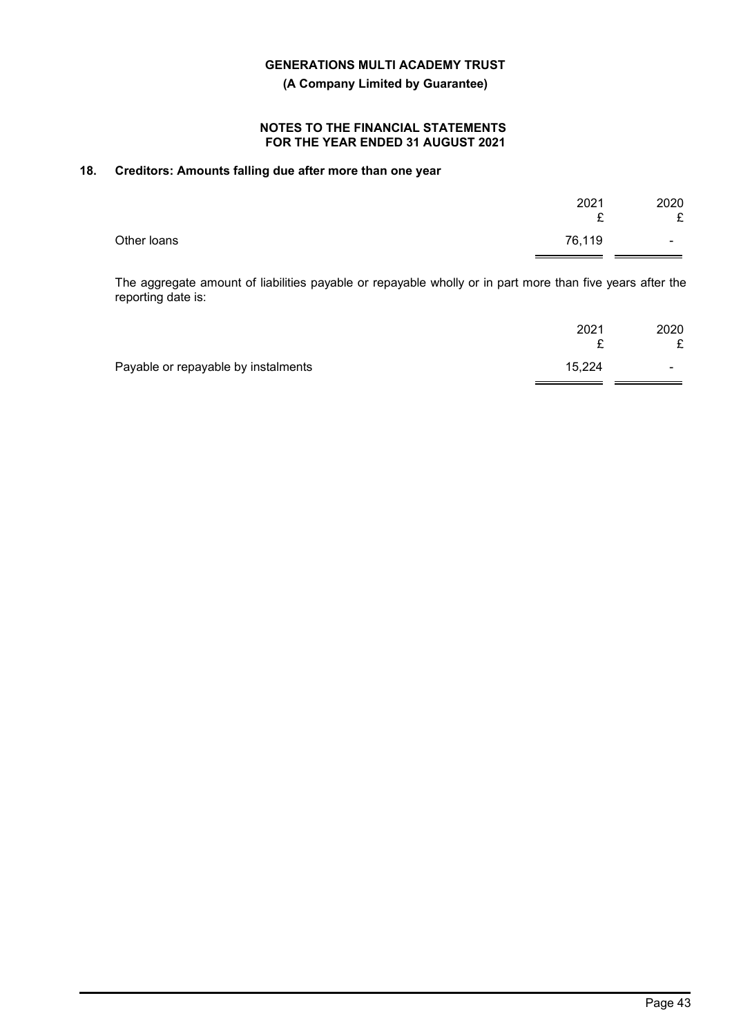**(A Company Limited by Guarantee)**

## **NOTES TO THE FINANCIAL STATEMENTS FOR THE YEAR ENDED 31 AUGUST 2021**

## **18. Creditors: Amounts falling due after more than one year**

|             | 2021<br>$\mathbf{C}$<br>- | 2020<br>£                |
|-------------|---------------------------|--------------------------|
| Other loans | 76,119                    | $\overline{\phantom{0}}$ |

The aggregate amount of liabilities payable or repayable wholly or in part more than five years after the reporting date is:

|                                     | 2021   | 2020<br>£      |
|-------------------------------------|--------|----------------|
| Payable or repayable by instalments | 15,224 | $\blacksquare$ |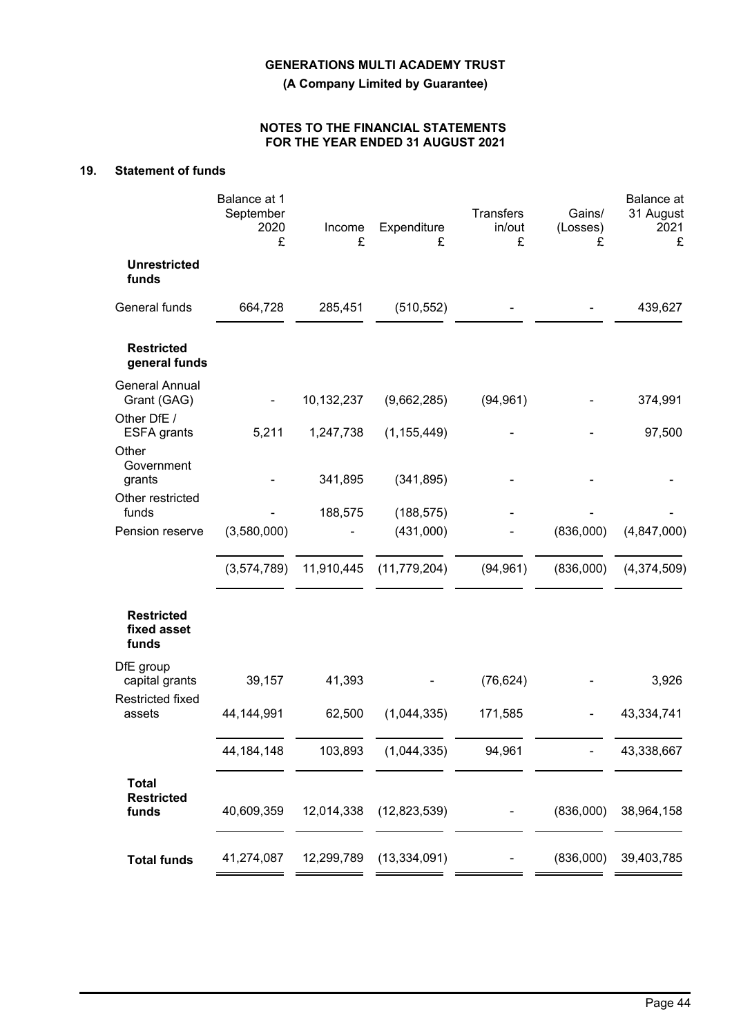**(A Company Limited by Guarantee)**

## **NOTES TO THE FINANCIAL STATEMENTS FOR THE YEAR ENDED 31 AUGUST 2021**

## **19. Statement of funds**

|                                                     | Balance at 1<br>September<br>2020<br>£ | Income<br>£ | Expenditure<br>£        | Transfers<br>in/out<br>£ | Gains/<br>(Losses)<br>£ | <b>Balance</b> at<br>31 August<br>2021<br>£ |
|-----------------------------------------------------|----------------------------------------|-------------|-------------------------|--------------------------|-------------------------|---------------------------------------------|
| <b>Unrestricted</b><br>funds                        |                                        |             |                         |                          |                         |                                             |
| General funds                                       | 664,728                                | 285,451     | (510, 552)              |                          |                         | 439,627                                     |
| <b>Restricted</b><br>general funds                  |                                        |             |                         |                          |                         |                                             |
| <b>General Annual</b><br>Grant (GAG)<br>Other DfE / |                                        | 10,132,237  | (9,662,285)             | (94, 961)                |                         | 374,991                                     |
| <b>ESFA</b> grants                                  | 5,211                                  | 1,247,738   | (1, 155, 449)           |                          |                         | 97,500                                      |
| Other<br>Government<br>grants                       |                                        | 341,895     | (341, 895)              |                          |                         |                                             |
| Other restricted                                    |                                        |             |                         |                          |                         |                                             |
| funds<br>Pension reserve                            | (3,580,000)                            | 188,575     | (188, 575)<br>(431,000) |                          | (836,000)               | (4,847,000)                                 |
|                                                     | (3,574,789)                            | 11,910,445  | (11, 779, 204)          | (94, 961)                | (836,000)               | (4,374,509)                                 |
| <b>Restricted</b><br>fixed asset<br>funds           |                                        |             |                         |                          |                         |                                             |
| DfE group<br>capital grants                         | 39,157                                 | 41,393      |                         | (76, 624)                |                         | 3,926                                       |
| <b>Restricted fixed</b><br>assets                   | 44,144,991                             | 62,500      | (1,044,335)             | 171,585                  |                         | 43,334,741                                  |
|                                                     | 44, 184, 148                           | 103,893     | (1,044,335)             | 94,961                   |                         | 43,338,667                                  |
| <b>Total</b><br><b>Restricted</b><br>funds          | 40,609,359                             | 12,014,338  | (12,823,539)            |                          | (836,000)               | 38,964,158                                  |
| <b>Total funds</b>                                  | 41,274,087                             | 12,299,789  | (13, 334, 091)          |                          | (836,000)               | 39,403,785                                  |
|                                                     |                                        |             |                         |                          |                         |                                             |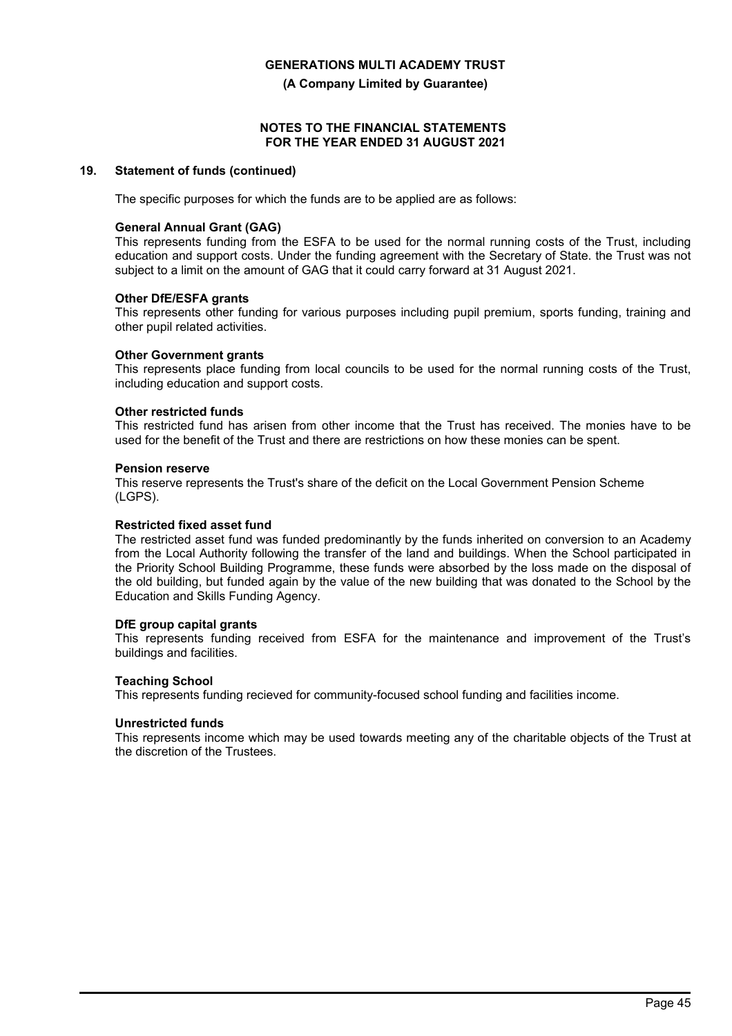**(A Company Limited by Guarantee)**

#### **NOTES TO THE FINANCIAL STATEMENTS FOR THE YEAR ENDED 31 AUGUST 2021**

## **19. Statement of funds (continued)**

The specific purposes for which the funds are to be applied are as follows:

## **General Annual Grant (GAG)**

This represents funding from the ESFA to be used for the normal running costs of the Trust, including education and support costs. Under the funding agreement with the Secretary of State. the Trust was not subject to a limit on the amount of GAG that it could carry forward at 31 August 2021.

## **Other DfE/ESFA grants**

This represents other funding for various purposes including pupil premium, sports funding, training and other pupil related activities.

## **Other Government grants**

This represents place funding from local councils to be used for the normal running costs of the Trust, including education and support costs.

## **Other restricted funds**

This restricted fund has arisen from other income that the Trust has received. The monies have to be used for the benefit of the Trust and there are restrictions on how these monies can be spent.

#### **Pension reserve**

This reserve represents the Trust's share of the deficit on the Local Government Pension Scheme (LGPS).

#### **Restricted fixed asset fund**

The restricted asset fund was funded predominantly by the funds inherited on conversion to an Academy from the Local Authority following the transfer of the land and buildings. When the School participated in the Priority School Building Programme, these funds were absorbed by the loss made on the disposal of the old building, but funded again by the value of the new building that was donated to the School by the Education and Skills Funding Agency.

#### **DfE group capital grants**

This represents funding received from ESFA for the maintenance and improvement of the Trust's buildings and facilities.

## **Teaching School**

This represents funding recieved for community-focused school funding and facilities income.

#### **Unrestricted funds**

This represents income which may be used towards meeting any of the charitable objects of the Trust at the discretion of the Trustees.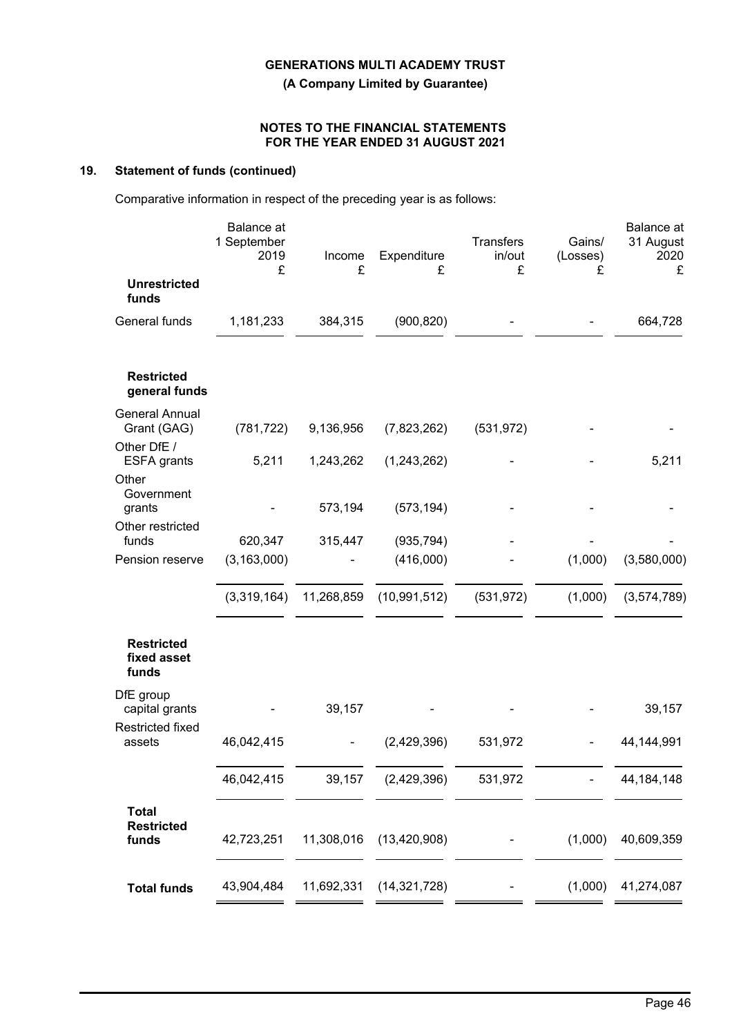**(A Company Limited by Guarantee)**

## **NOTES TO THE FINANCIAL STATEMENTS FOR THE YEAR ENDED 31 AUGUST 2021**

## **19. Statement of funds (continued)**

Comparative information in respect of the preceding year is as follows:

|                                            | Balance at<br>1 September<br>2019<br>£ | Income<br>£ | Expenditure<br>£        | <b>Transfers</b><br>in/out<br>£ | Gains/<br>(Losses)<br>£ | <b>Balance</b> at<br>31 August<br>2020<br>£ |
|--------------------------------------------|----------------------------------------|-------------|-------------------------|---------------------------------|-------------------------|---------------------------------------------|
| <b>Unrestricted</b><br>funds               |                                        |             |                         |                                 |                         |                                             |
| General funds                              | 1,181,233                              | 384,315     | (900, 820)              |                                 |                         | 664,728                                     |
| <b>Restricted</b><br>general funds         |                                        |             |                         |                                 |                         |                                             |
| <b>General Annual</b><br>Grant (GAG)       | (781, 722)                             | 9,136,956   | (7,823,262)             | (531, 972)                      |                         |                                             |
| Other DfE /<br><b>ESFA</b> grants          | 5,211                                  | 1,243,262   | (1,243,262)             |                                 |                         | 5,211                                       |
| Other<br>Government<br>grants              |                                        | 573,194     | (573, 194)              |                                 |                         |                                             |
| Other restricted                           |                                        |             |                         |                                 |                         |                                             |
| funds<br>Pension reserve                   | 620,347<br>(3, 163, 000)               | 315,447     | (935, 794)<br>(416,000) |                                 | (1,000)                 | (3,580,000)                                 |
|                                            | (3,319,164)                            | 11,268,859  | (10, 991, 512)          | (531, 972)                      | (1,000)                 | (3,574,789)                                 |
| <b>Restricted</b><br>fixed asset<br>funds  |                                        |             |                         |                                 |                         |                                             |
| DfE group<br>capital grants                |                                        | 39,157      |                         |                                 |                         | 39,157                                      |
| <b>Restricted fixed</b><br>assets          | 46,042,415                             |             | (2,429,396)             | 531,972                         |                         | 44,144,991                                  |
|                                            | 46,042,415                             | 39,157      | (2,429,396)             | 531,972                         |                         | 44, 184, 148                                |
| <b>Total</b><br><b>Restricted</b><br>funds | 42,723,251                             | 11,308,016  | (13, 420, 908)          |                                 | (1,000)                 | 40,609,359                                  |
| <b>Total funds</b>                         | 43,904,484                             | 11,692,331  | (14, 321, 728)          |                                 | (1,000)                 | 41,274,087                                  |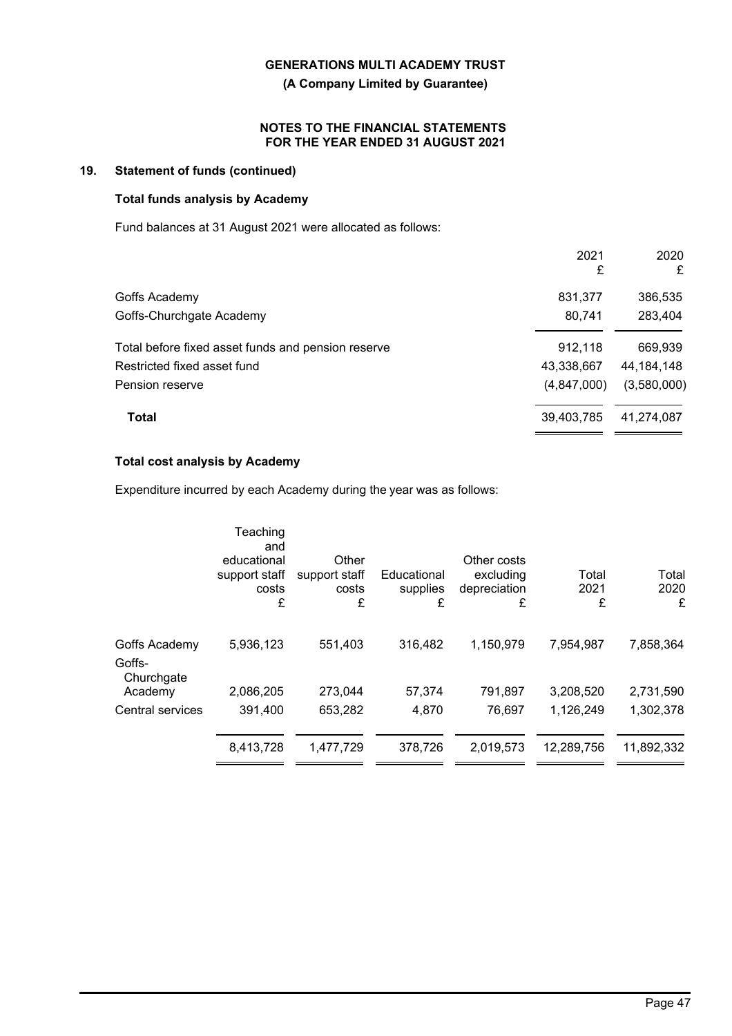**(A Company Limited by Guarantee)**

## **NOTES TO THE FINANCIAL STATEMENTS FOR THE YEAR ENDED 31 AUGUST 2021**

## **19. Statement of funds (continued)**

## **Total funds analysis by Academy**

Fund balances at 31 August 2021 were allocated as follows:

|                                                    | 2021<br>£   | 2020<br>£    |
|----------------------------------------------------|-------------|--------------|
| Goffs Academy                                      | 831,377     | 386,535      |
| Goffs-Churchgate Academy                           | 80,741      | 283,404      |
| Total before fixed asset funds and pension reserve | 912,118     | 669,939      |
| Restricted fixed asset fund                        | 43,338,667  | 44, 184, 148 |
| Pension reserve                                    | (4,847,000) | (3,580,000)  |
| <b>Total</b>                                       | 39,403,785  | 41,274,087   |

## **Total cost analysis by Academy**

Expenditure incurred by each Academy during the year was as follows:

|                         | Teaching<br>and<br>educational<br>support staff<br>costs<br>£ | Other<br>support staff<br>costs<br>£ | Educational<br>supplies<br>£ | Other costs<br>excluding<br>depreciation<br>£ | Total<br>2021<br>£ | Total<br>2020<br>£ |
|-------------------------|---------------------------------------------------------------|--------------------------------------|------------------------------|-----------------------------------------------|--------------------|--------------------|
| Goffs Academy<br>Goffs- | 5,936,123                                                     | 551,403                              | 316,482                      | 1,150,979                                     | 7,954,987          | 7,858,364          |
| Churchgate<br>Academy   | 2,086,205                                                     | 273,044                              | 57,374                       | 791,897                                       | 3,208,520          | 2,731,590          |
| Central services        | 391,400                                                       | 653,282                              | 4,870                        | 76,697                                        | 1,126,249          | 1,302,378          |
|                         | 8,413,728                                                     | 1,477,729                            | 378,726                      | 2,019,573                                     | 12,289,756         | 11,892,332         |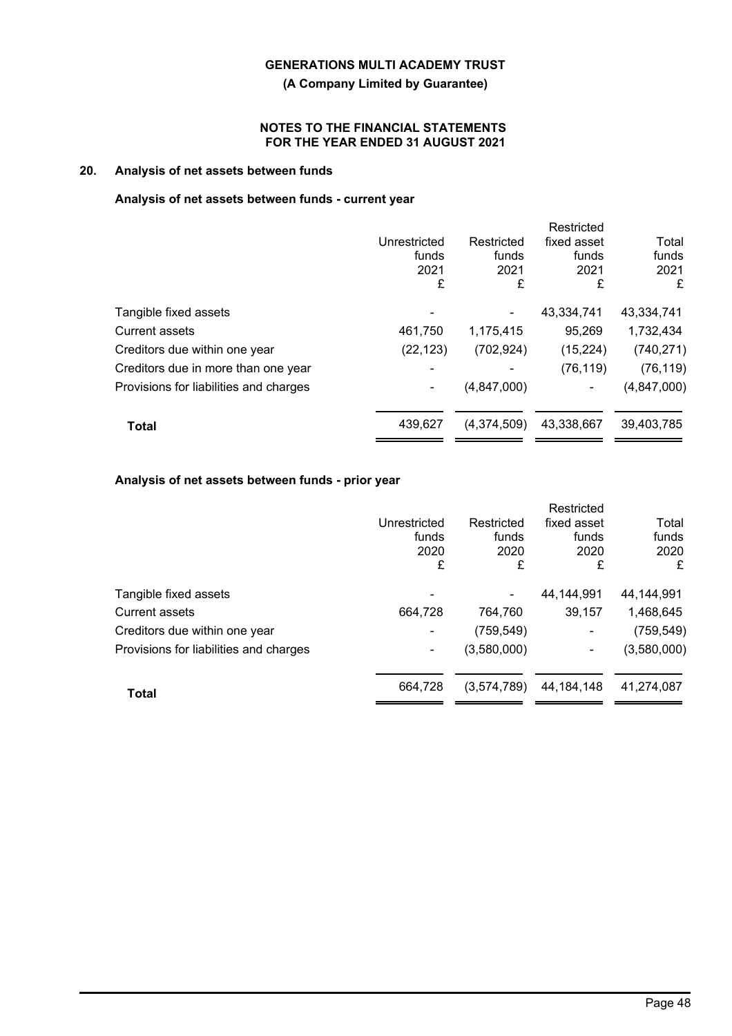**(A Company Limited by Guarantee)**

## **NOTES TO THE FINANCIAL STATEMENTS FOR THE YEAR ENDED 31 AUGUST 2021**

## **20. Analysis of net assets between funds**

## **Analysis of net assets between funds - current year**

|              |               | Restricted  |             |
|--------------|---------------|-------------|-------------|
| Unrestricted | Restricted    | fixed asset | Total       |
| funds        | funds         | funds       | funds       |
| 2021         | 2021          | 2021        | 2021        |
| £            | £             | £           | £           |
|              |               | 43,334,741  | 43,334,741  |
| 461,750      | 1,175,415     | 95,269      | 1,732,434   |
| (22, 123)    | (702, 924)    | (15, 224)   | (740, 271)  |
|              |               | (76, 119)   | (76, 119)   |
|              | (4, 847, 000) |             | (4,847,000) |
| 439,627      | (4,374,509)   | 43,338,667  | 39,403,785  |
|              |               |             |             |

## **Analysis of net assets between funds - prior year**

|                                        |              |             | Restricted   |             |
|----------------------------------------|--------------|-------------|--------------|-------------|
|                                        | Unrestricted | Restricted  | fixed asset  | Total       |
|                                        | funds        | funds       | funds        | funds       |
|                                        | 2020         | 2020        | 2020         | 2020        |
|                                        | £            | £           | £            | £           |
| Tangible fixed assets                  |              |             | 44.144.991   | 44,144,991  |
| <b>Current assets</b>                  | 664,728      | 764,760     | 39,157       | 1,468,645   |
| Creditors due within one year          | ۰            | (759, 549)  | -            | (759, 549)  |
| Provisions for liabilities and charges | ۰            | (3,580,000) | ۰            | (3,580,000) |
| <b>Total</b>                           | 664,728      | (3,574,789) | 44, 184, 148 | 41.274.087  |
|                                        |              |             |              |             |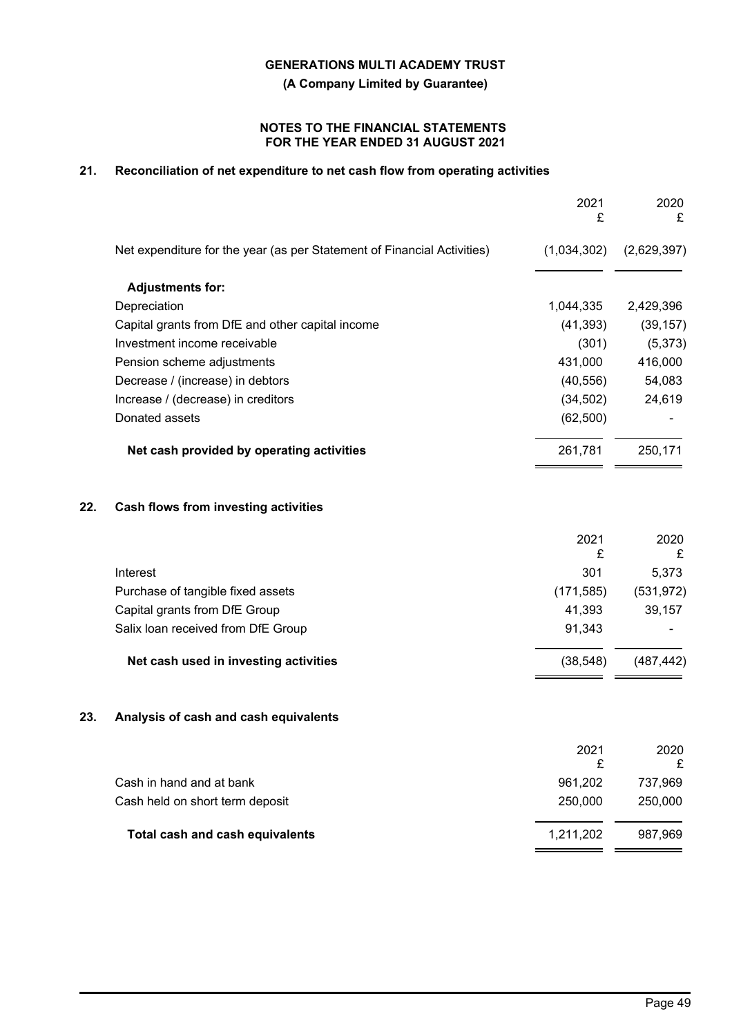**(A Company Limited by Guarantee)**

## **NOTES TO THE FINANCIAL STATEMENTS FOR THE YEAR ENDED 31 AUGUST 2021**

## **21. Reconciliation of net expenditure to net cash flow from operating activities**

|     |                                                                         | 2021<br>£   | 2020<br>£   |
|-----|-------------------------------------------------------------------------|-------------|-------------|
|     | Net expenditure for the year (as per Statement of Financial Activities) | (1,034,302) | (2,629,397) |
|     | <b>Adjustments for:</b>                                                 |             |             |
|     | Depreciation                                                            | 1,044,335   | 2,429,396   |
|     | Capital grants from DfE and other capital income                        | (41, 393)   | (39, 157)   |
|     | Investment income receivable                                            | (301)       | (5, 373)    |
|     | Pension scheme adjustments                                              | 431,000     | 416,000     |
|     | Decrease / (increase) in debtors                                        | (40, 556)   | 54,083      |
|     | Increase / (decrease) in creditors                                      | (34, 502)   | 24,619      |
|     | Donated assets                                                          | (62, 500)   |             |
|     | Net cash provided by operating activities                               | 261,781     | 250,171     |
| 22. | Cash flows from investing activities                                    |             |             |
|     |                                                                         | 2021<br>£   | 2020<br>£   |
|     | Interest                                                                | 301         | 5,373       |
|     | Purchase of tangible fixed assets                                       | (171, 585)  | (531, 972)  |
|     | Capital grants from DfE Group                                           | 41,393      | 39,157      |
|     | Salix loan received from DfE Group                                      | 91,343      |             |
|     | Net cash used in investing activities                                   | (38, 548)   | (487, 442)  |
| 23. | Analysis of cash and cash equivalents                                   |             |             |
|     |                                                                         | 2021<br>£   | 2020<br>£   |
|     | Cash in hand and at bank                                                | 961,202     | 737,969     |
|     | Cash held on short term deposit                                         | 250,000     | 250,000     |
|     | Total cash and cash equivalents                                         | 1,211,202   | 987,969     |
|     |                                                                         |             |             |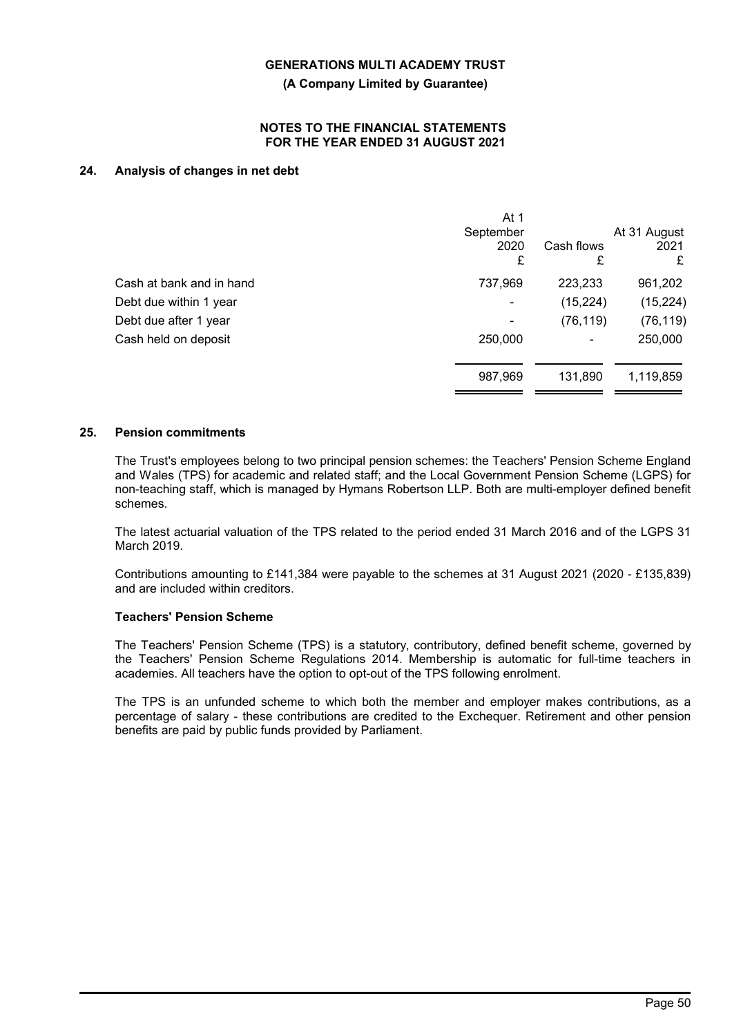**(A Company Limited by Guarantee)**

### **NOTES TO THE FINANCIAL STATEMENTS FOR THE YEAR ENDED 31 AUGUST 2021**

## **24. Analysis of changes in net debt**

|                          | At 1<br>September<br>2020<br>£ | Cash flows<br>£ | At 31 August<br>2021<br>£ |
|--------------------------|--------------------------------|-----------------|---------------------------|
| Cash at bank and in hand | 737,969                        | 223,233         | 961,202                   |
| Debt due within 1 year   |                                | (15, 224)       | (15, 224)                 |
| Debt due after 1 year    |                                | (76, 119)       | (76, 119)                 |
| Cash held on deposit     | 250,000                        | $\blacksquare$  | 250,000                   |
|                          | 987,969                        | 131,890         | 1,119,859                 |

#### **25. Pension commitments**

The Trust's employees belong to two principal pension schemes: the Teachers' Pension Scheme England and Wales (TPS) for academic and related staff; and the Local Government Pension Scheme (LGPS) for non-teaching staff, which is managed by Hymans Robertson LLP. Both are multi-employer defined benefit schemes.

The latest actuarial valuation of the TPS related to the period ended 31 March 2016 and of the LGPS 31 March 2019.

Contributions amounting to £141,384 were payable to the schemes at 31 August 2021 (2020 - £135,839) and are included within creditors.

#### **Teachers' Pension Scheme**

The Teachers' Pension Scheme (TPS) is a statutory, contributory, defined benefit scheme, governed by the Teachers' Pension Scheme Regulations 2014. Membership is automatic for full-time teachers in academies. All teachers have the option to opt-out of the TPS following enrolment.

The TPS is an unfunded scheme to which both the member and employer makes contributions, as a percentage of salary - these contributions are credited to the Exchequer. Retirement and other pension benefits are paid by public funds provided by Parliament.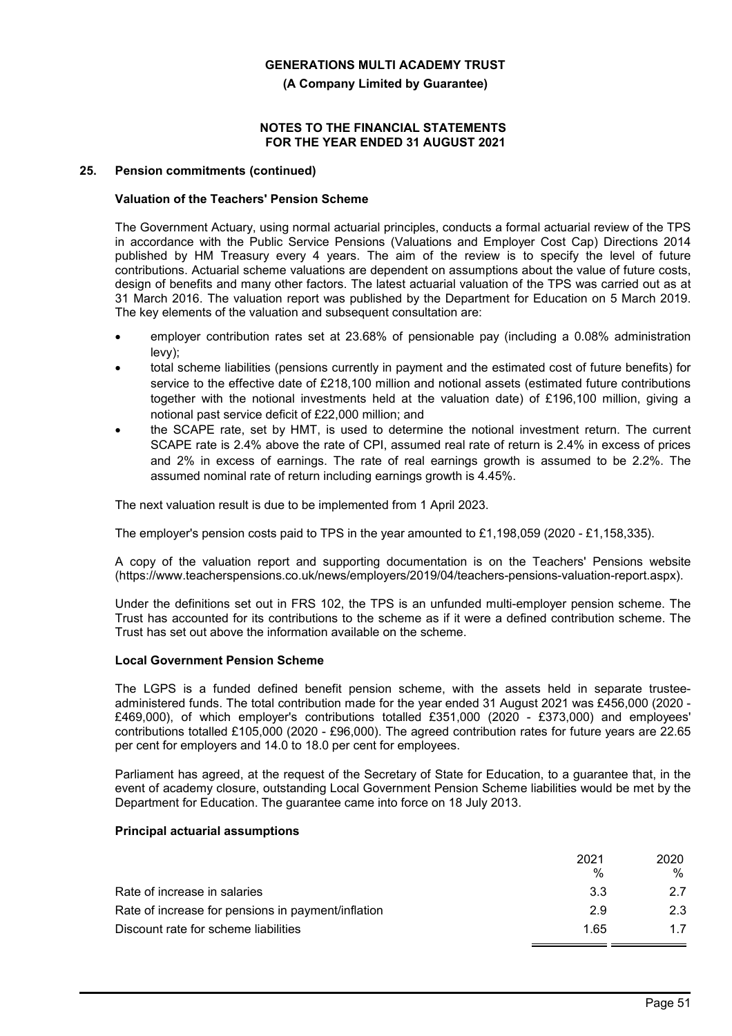**(A Company Limited by Guarantee)**

## **NOTES TO THE FINANCIAL STATEMENTS FOR THE YEAR ENDED 31 AUGUST 2021**

## **25. Pension commitments (continued)**

## **Valuation of the Teachers' Pension Scheme**

The Government Actuary, using normal actuarial principles, conducts a formal actuarial review of the TPS in accordance with the Public Service Pensions (Valuations and Employer Cost Cap) Directions 2014 published by HM Treasury every 4 years. The aim of the review is to specify the level of future contributions. Actuarial scheme valuations are dependent on assumptions about the value of future costs, design of benefits and many other factors. The latest actuarial valuation of the TPS was carried out as at 31 March 2016. The valuation report was published by the Department for Education on 5 March 2019. The key elements of the valuation and subsequent consultation are:

- employer contribution rates set at 23.68% of pensionable pay (including a 0.08% administration levy);
- total scheme liabilities (pensions currently in payment and the estimated cost of future benefits) for service to the effective date of £218,100 million and notional assets (estimated future contributions together with the notional investments held at the valuation date) of £196,100 million, giving a notional past service deficit of £22,000 million; and
- the SCAPE rate, set by HMT, is used to determine the notional investment return. The current SCAPE rate is 2.4% above the rate of CPI, assumed real rate of return is 2.4% in excess of prices and 2% in excess of earnings. The rate of real earnings growth is assumed to be 2.2%. The assumed nominal rate of return including earnings growth is 4.45%.

The next valuation result is due to be implemented from 1 April 2023.

The employer's pension costs paid to TPS in the year amounted to £1,198,059 (2020 - £1,158,335).

A copy of the valuation report and supporting documentation is on the Teachers' Pensions website (https://www.teacherspensions.co.uk/news/employers/2019/04/teachers-pensions-valuation-report.aspx).

Under the definitions set out in FRS 102, the TPS is an unfunded multi-employer pension scheme. The Trust has accounted for its contributions to the scheme as if it were a defined contribution scheme. The Trust has set out above the information available on the scheme.

#### **Local Government Pension Scheme**

The LGPS is a funded defined benefit pension scheme, with the assets held in separate trusteeadministered funds. The total contribution made for the year ended 31 August 2021 was £456,000 (2020 - £469,000), of which employer's contributions totalled £351,000 (2020 - £373,000) and employees' contributions totalled £105,000 (2020 - £96,000). The agreed contribution rates for future years are 22.65 per cent for employers and 14.0 to 18.0 per cent for employees.

Parliament has agreed, at the request of the Secretary of State for Education, to a guarantee that, in the event of academy closure, outstanding Local Government Pension Scheme liabilities would be met by the Department for Education. The guarantee came into force on 18 July 2013.

#### **Principal actuarial assumptions**

|                                                    | 2021 | 2020 |
|----------------------------------------------------|------|------|
|                                                    | %    | %    |
| Rate of increase in salaries                       | 3.3  | 27   |
| Rate of increase for pensions in payment/inflation | 29   | 2.3  |
| Discount rate for scheme liabilities               | 1.65 | 1.7  |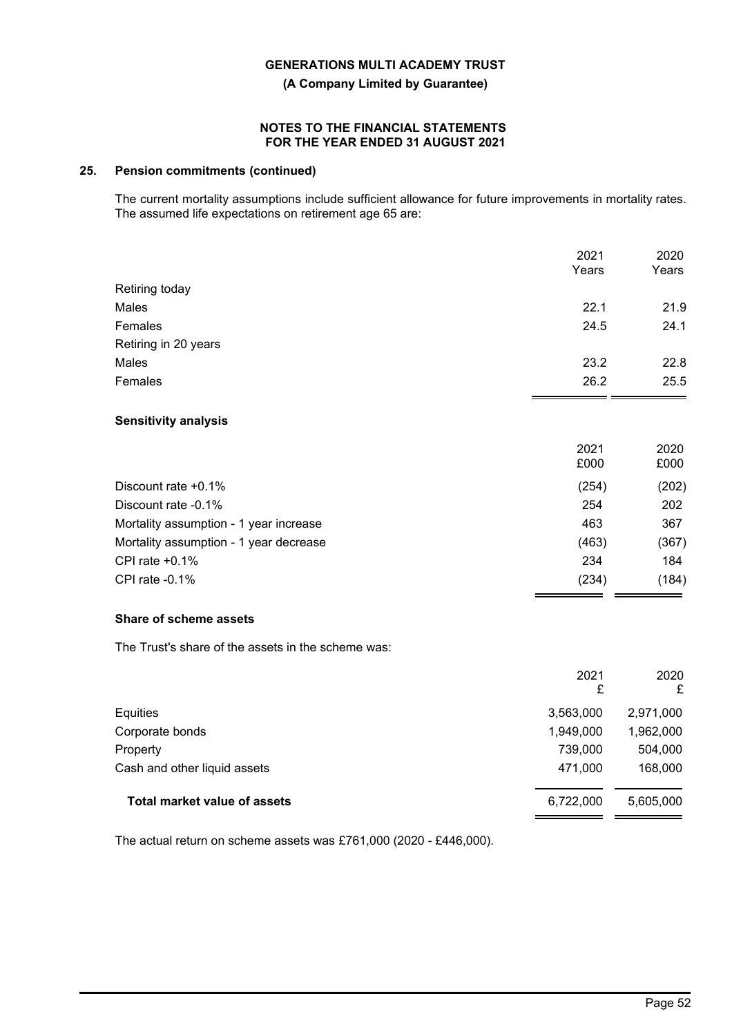**(A Company Limited by Guarantee)**

## **NOTES TO THE FINANCIAL STATEMENTS FOR THE YEAR ENDED 31 AUGUST 2021**

## **25. Pension commitments (continued)**

The current mortality assumptions include sufficient allowance for future improvements in mortality rates. The assumed life expectations on retirement age 65 are:

|                      | 2021  | 2020  |
|----------------------|-------|-------|
|                      | Years | Years |
| Retiring today       |       |       |
| Males                | 22.1  | 21.9  |
| Females              | 24.5  | 24.1  |
| Retiring in 20 years |       |       |
| Males                | 23.2  | 22.8  |
| Females              | 26.2  | 25.5  |
|                      |       |       |
|                      |       |       |

## **Sensitivity analysis**

| 2021<br>£000 | 2020<br>£000 |
|--------------|--------------|
| (254)        | (202)        |
| 254          | 202          |
| 463          | 367          |
| (463)        | (367)        |
| 234          | 184          |
| (234)        | (184)        |
|              |              |

## **Share of scheme assets**

The Trust's share of the assets in the scheme was:

|                                     | 2021<br>£ | 2020<br>£ |
|-------------------------------------|-----------|-----------|
| Equities                            | 3,563,000 | 2,971,000 |
| Corporate bonds                     | 1,949,000 | 1,962,000 |
| Property                            | 739,000   | 504,000   |
| Cash and other liquid assets        | 471,000   | 168,000   |
| <b>Total market value of assets</b> | 6,722,000 | 5,605,000 |

The actual return on scheme assets was £761,000 (2020 - £446,000).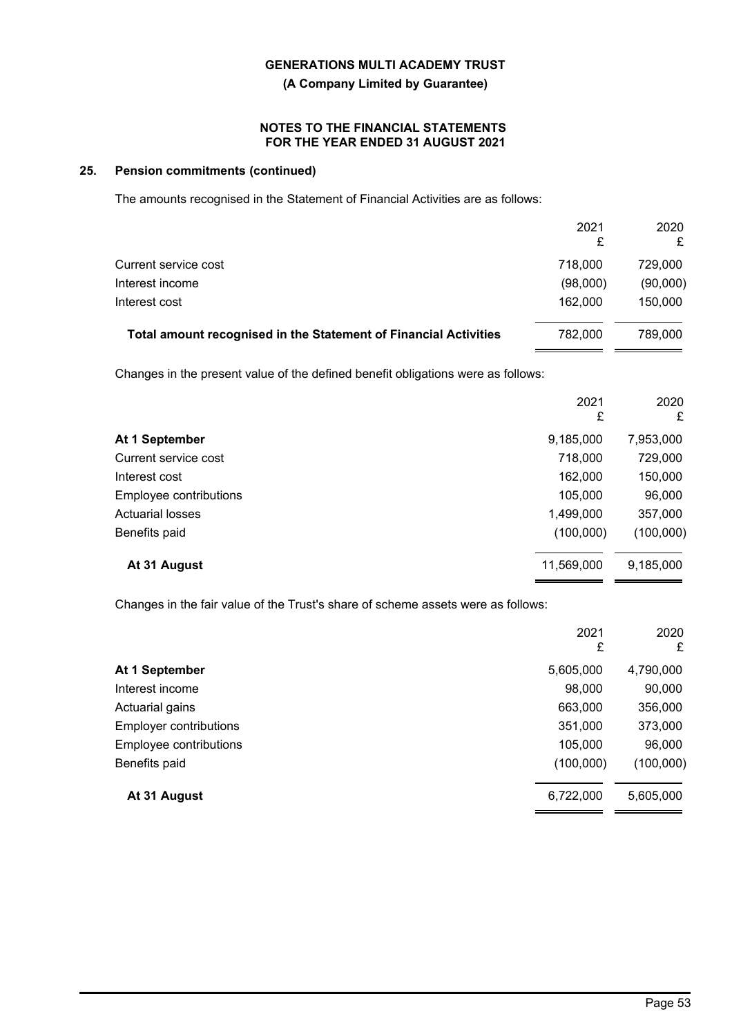**(A Company Limited by Guarantee)**

## **NOTES TO THE FINANCIAL STATEMENTS FOR THE YEAR ENDED 31 AUGUST 2021**

## **25. Pension commitments (continued)**

The amounts recognised in the Statement of Financial Activities are as follows:

|                                                                  | 2021<br>£ | 2020<br>£ |
|------------------------------------------------------------------|-----------|-----------|
| Current service cost                                             | 718,000   | 729.000   |
| Interest income                                                  | (98,000)  | (90,000)  |
| Interest cost                                                    | 162,000   | 150,000   |
| Total amount recognised in the Statement of Financial Activities | 782,000   | 789.000   |

Changes in the present value of the defined benefit obligations were as follows:

|                         | 2021<br>£  | 2020<br>£ |
|-------------------------|------------|-----------|
| At 1 September          | 9,185,000  | 7,953,000 |
| Current service cost    | 718,000    | 729,000   |
| Interest cost           | 162,000    | 150,000   |
| Employee contributions  | 105,000    | 96,000    |
| <b>Actuarial losses</b> | 1,499,000  | 357,000   |
| Benefits paid           | (100,000)  | (100,000) |
| At 31 August            | 11,569,000 | 9,185,000 |

Changes in the fair value of the Trust's share of scheme assets were as follows:

|                               | 2021<br>£ | 2020<br>£ |
|-------------------------------|-----------|-----------|
| At 1 September                | 5,605,000 | 4,790,000 |
| Interest income               | 98,000    | 90,000    |
| Actuarial gains               | 663,000   | 356,000   |
| <b>Employer contributions</b> | 351,000   | 373,000   |
| Employee contributions        | 105,000   | 96,000    |
| Benefits paid                 | (100,000) | (100,000) |
| At 31 August                  | 6,722,000 | 5,605,000 |